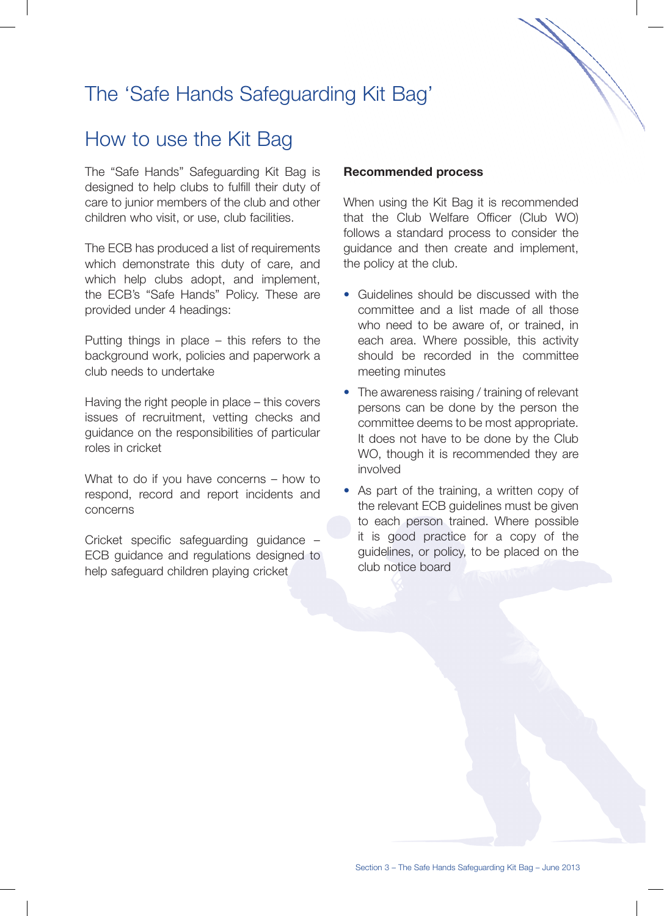# The 'Safe Hands Safeguarding Kit Bag'

### How to use the Kit Bag

The "Safe Hands" Safeguarding Kit Bag is designed to help clubs to fulfill their duty of care to junior members of the club and other children who visit, or use, club facilities.

The ECB has produced a list of requirements which demonstrate this duty of care, and which help clubs adopt, and implement, the ECB's "Safe Hands" Policy. These are provided under 4 headings:

Putting things in place – this refers to the background work, policies and paperwork a club needs to undertake

Having the right people in place – this covers issues of recruitment, vetting checks and guidance on the responsibilities of particular roles in cricket

What to do if you have concerns – how to respond, record and report incidents and concerns

Cricket specific safeguarding guidance – ECB guidance and regulations designed to help safeguard children playing cricket

### **Recommended process**

When using the Kit Bag it is recommended that the Club Welfare Officer (Club WO) follows a standard process to consider the guidance and then create and implement, the policy at the club.

- Guidelines should be discussed with the committee and a list made of all those who need to be aware of, or trained, in each area. Where possible, this activity should be recorded in the committee meeting minutes
- The awareness raising / training of relevant persons can be done by the person the committee deems to be most appropriate. It does not have to be done by the Club WO, though it is recommended they are involved
- As part of the training, a written copy of the relevant ECB guidelines must be given to each person trained. Where possible it is good practice for a copy of the guidelines, or policy, to be placed on the club notice board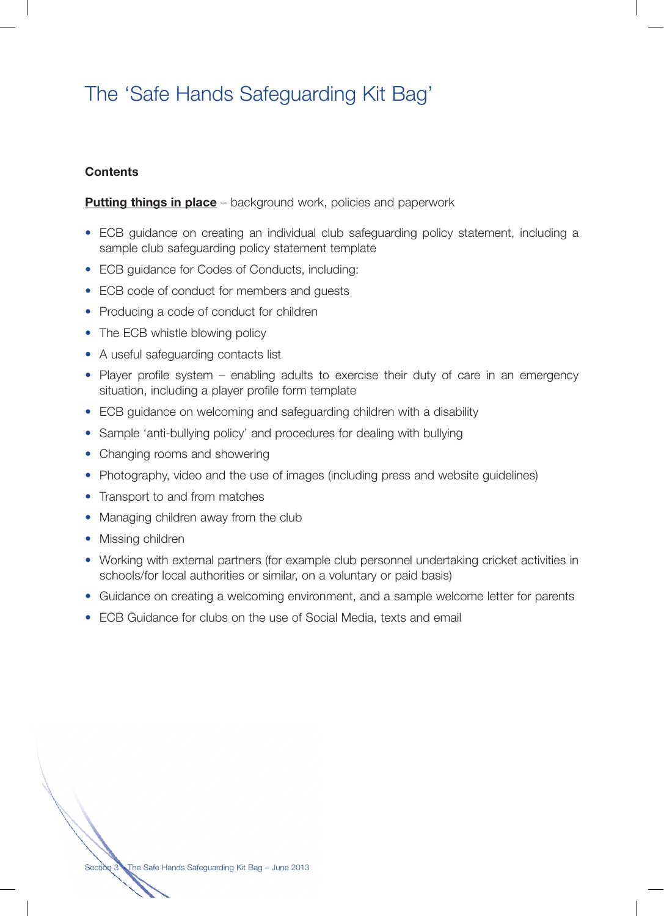# The 'Safe Hands Safeguarding Kit Bag'

### **Contents**

**Putting things in place** – background work, policies and paperwork

- ECB guidance on creating an individual club safeguarding policy statement, including a sample club safeguarding policy statement template
- ECB guidance for Codes of Conducts, including:
- ECB code of conduct for members and guests
- Producing a code of conduct for children
- The ECB whistle blowing policy
- A useful safeguarding contacts list
- Player profile system enabling adults to exercise their duty of care in an emergency situation, including a player profile form template
- ECB guidance on welcoming and safeguarding children with a disability
- Sample 'anti-bullying policy' and procedures for dealing with bullying
- Changing rooms and showering
- Photography, video and the use of images (including press and website guidelines)
- Transport to and from matches
- Managing children away from the club

Section 3 – The Safe Hands Safeguarding Kit Bag – June 2013

- Missing children
- Working with external partners (for example club personnel undertaking cricket activities in schools/for local authorities or similar, on a voluntary or paid basis)
- Guidance on creating a welcoming environment, and a sample welcome letter for parents
- ECB Guidance for clubs on the use of Social Media, texts and email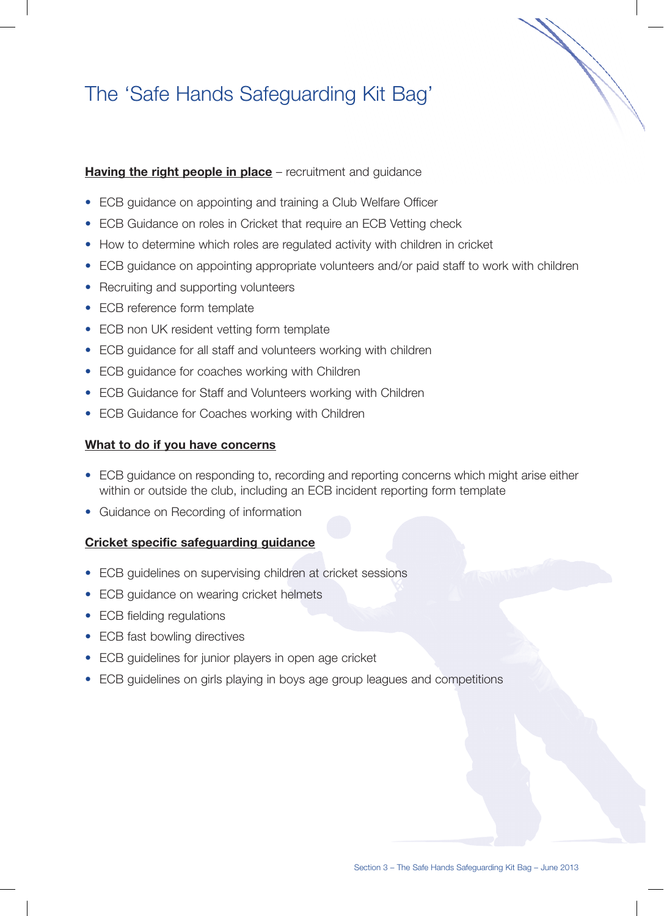# The 'Safe Hands Safeguarding Kit Bag'

### **Having the right people in place** – recruitment and guidance

- ECB guidance on appointing and training a Club Welfare Officer
- ECB Guidance on roles in Cricket that require an ECB Vetting check
- How to determine which roles are regulated activity with children in cricket
- ECB guidance on appointing appropriate volunteers and/or paid staff to work with children
- Recruiting and supporting volunteers
- ECB reference form template
- ECB non UK resident vetting form template
- ECB guidance for all staff and volunteers working with children
- ECB guidance for coaches working with Children
- ECB Guidance for Staff and Volunteers working with Children
- ECB Guidance for Coaches working with Children

### **What to do if you have concerns**

- ECB guidance on responding to, recording and reporting concerns which might arise either within or outside the club, including an ECB incident reporting form template
- Guidance on Recording of information

### **Cricket specific safeguarding guidance**

- ECB guidelines on supervising children at cricket sessions
- ECB guidance on wearing cricket helmets
- ECB fielding regulations
- ECB fast bowling directives
- ECB guidelines for junior players in open age cricket
- ECB guidelines on girls playing in boys age group leagues and competitions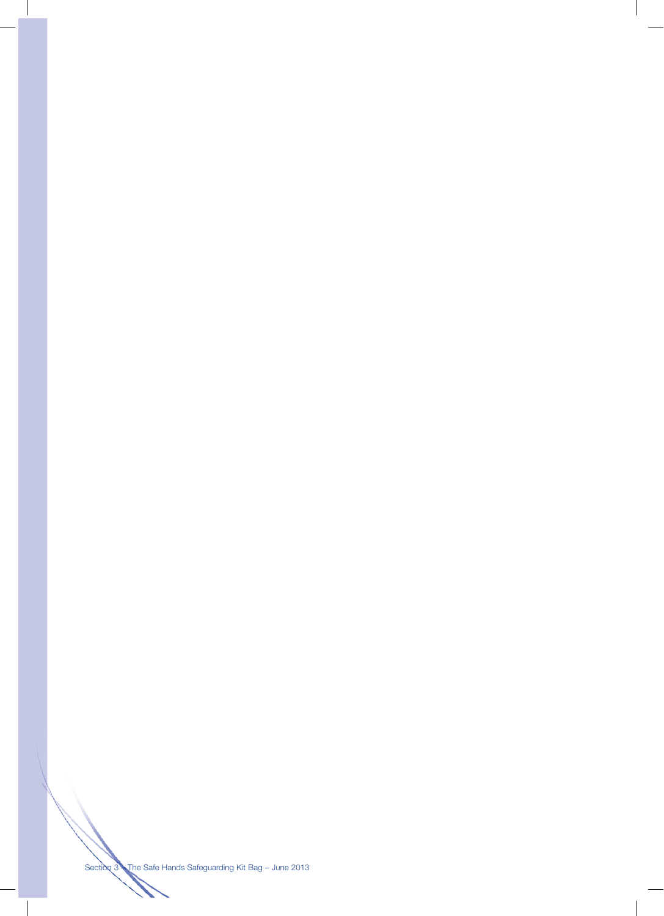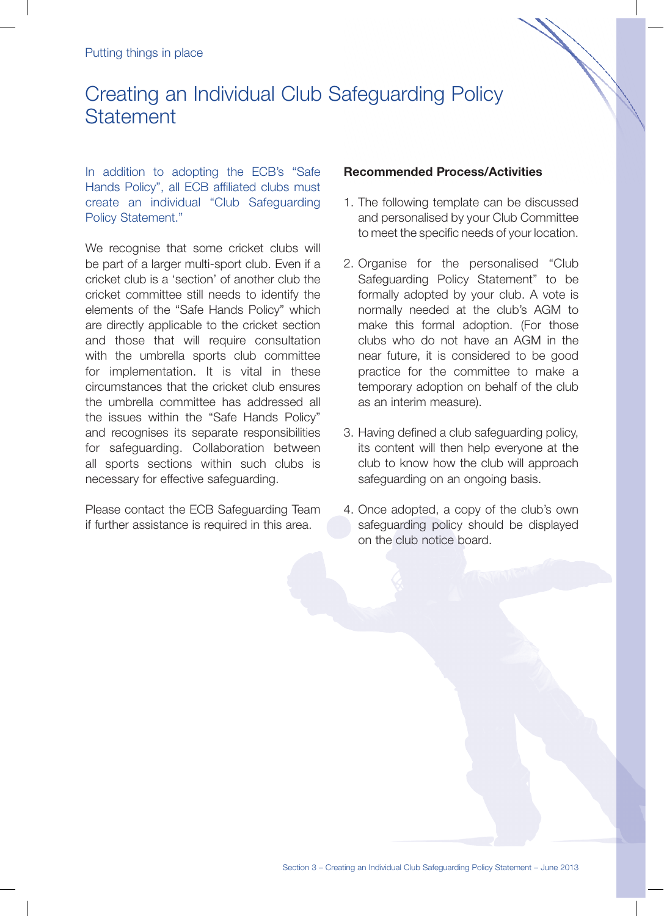# Creating an Individual Club Safeguarding Policy **Statement**

In addition to adopting the ECB's "Safe Hands Policy", all ECB affiliated clubs must create an individual "Club Safeguarding Policy Statement."

We recognise that some cricket clubs will be part of a larger multi-sport club. Even if a cricket club is a 'section' of another club the cricket committee still needs to identify the elements of the "Safe Hands Policy" which are directly applicable to the cricket section and those that will require consultation with the umbrella sports club committee for implementation. It is vital in these circumstances that the cricket club ensures the umbrella committee has addressed all the issues within the "Safe Hands Policy" and recognises its separate responsibilities for safeguarding. Collaboration between all sports sections within such clubs is necessary for effective safeguarding.

Please contact the ECB Safeguarding Team if further assistance is required in this area.

### **Recommended Process/Activities**

- 1. The following template can be discussed and personalised by your Club Committee to meet the specific needs of your location.
- 2. Organise for the personalised "Club Safeguarding Policy Statement" to be formally adopted by your club. A vote is normally needed at the club's AGM to make this formal adoption. (For those clubs who do not have an AGM in the near future, it is considered to be good practice for the committee to make a temporary adoption on behalf of the club as an interim measure).
- 3. Having defined a club safeguarding policy, its content will then help everyone at the club to know how the club will approach safeguarding on an ongoing basis.
- 4. Once adopted, a copy of the club's own safeguarding policy should be displayed on the club notice board.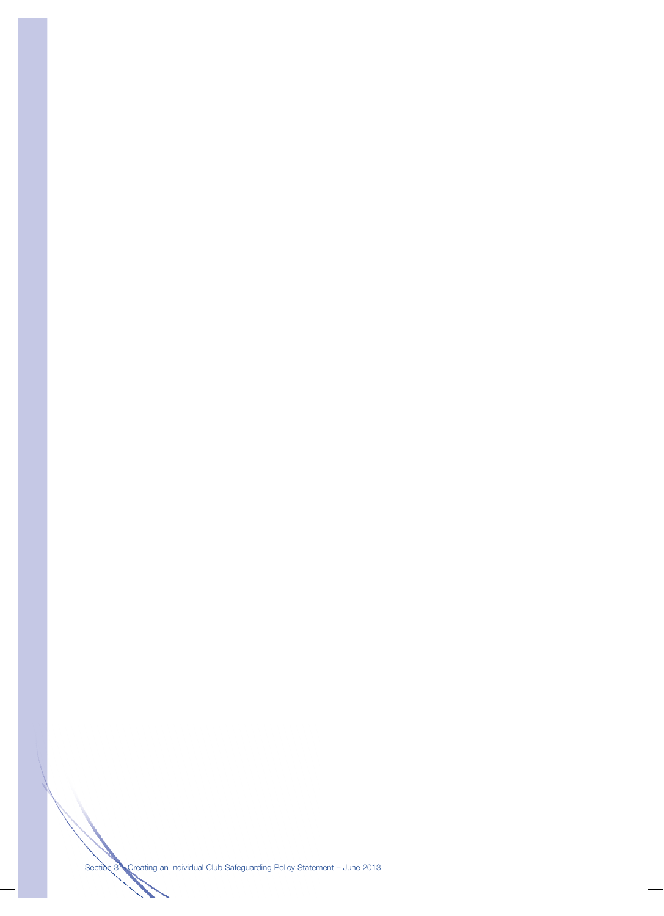Section 3 – Creating an Individual Club Safeguarding Policy Statement – June 2013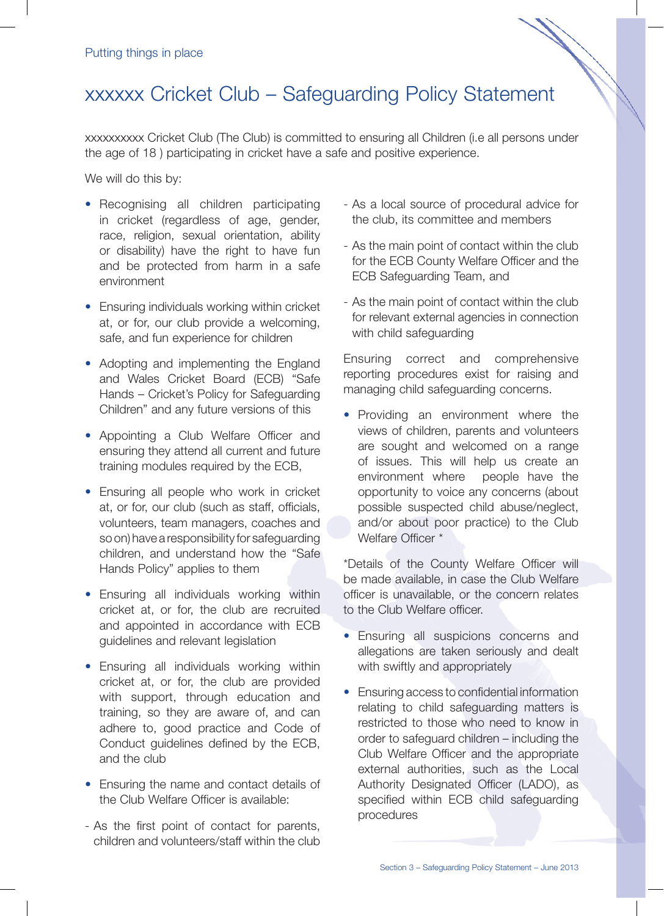# xxxxxx Cricket Club – Safeguarding Policy Statement

xxxxxxxxxx Cricket Club (The Club) is committed to ensuring all Children (i.e all persons under the age of 18 ) participating in cricket have a safe and positive experience.

We will do this by:

- Recognising all children participating in cricket (regardless of age, gender, race, religion, sexual orientation, ability or disability) have the right to have fun and be protected from harm in a safe environment
- Ensuring individuals working within cricket at, or for, our club provide a welcoming, safe, and fun experience for children
- Adopting and implementing the England and Wales Cricket Board (ECB) "Safe Hands – Cricket's Policy for Safeguarding Children" and any future versions of this
- Appointing a Club Welfare Officer and ensuring they attend all current and future training modules required by the ECB,
- Ensuring all people who work in cricket at, or for, our club (such as staff, officials, volunteers, team managers, coaches and so on) have a responsibility for safeguarding children, and understand how the "Safe Hands Policy" applies to them
- Ensuring all individuals working within cricket at, or for, the club are recruited and appointed in accordance with ECB guidelines and relevant legislation
- Ensuring all individuals working within cricket at, or for, the club are provided with support, through education and training, so they are aware of, and can adhere to, good practice and Code of Conduct guidelines defined by the ECB, and the club
- Ensuring the name and contact details of the Club Welfare Officer is available:
- As the first point of contact for parents, children and volunteers/staff within the club
- As a local source of procedural advice for the club, its committee and members
- As the main point of contact within the club for the ECB County Welfare Officer and the ECB Safeguarding Team, and
- As the main point of contact within the club for relevant external agencies in connection with child safeguarding

Ensuring correct and comprehensive reporting procedures exist for raising and managing child safeguarding concerns.

• Providing an environment where the views of children, parents and volunteers are sought and welcomed on a range of issues. This will help us create an environment where people have the opportunity to voice any concerns (about possible suspected child abuse/neglect, and/or about poor practice) to the Club Welfare Officer \*

\*Details of the County Welfare Officer will be made available, in case the Club Welfare officer is unavailable, or the concern relates to the Club Welfare officer.

- Ensuring all suspicions concerns and allegations are taken seriously and dealt with swiftly and appropriately
- Ensuring access to confidential information relating to child safeguarding matters is restricted to those who need to know in order to safeguard children – including the Club Welfare Officer and the appropriate external authorities, such as the Local Authority Designated Officer (LADO), as specified within ECB child safeguarding procedures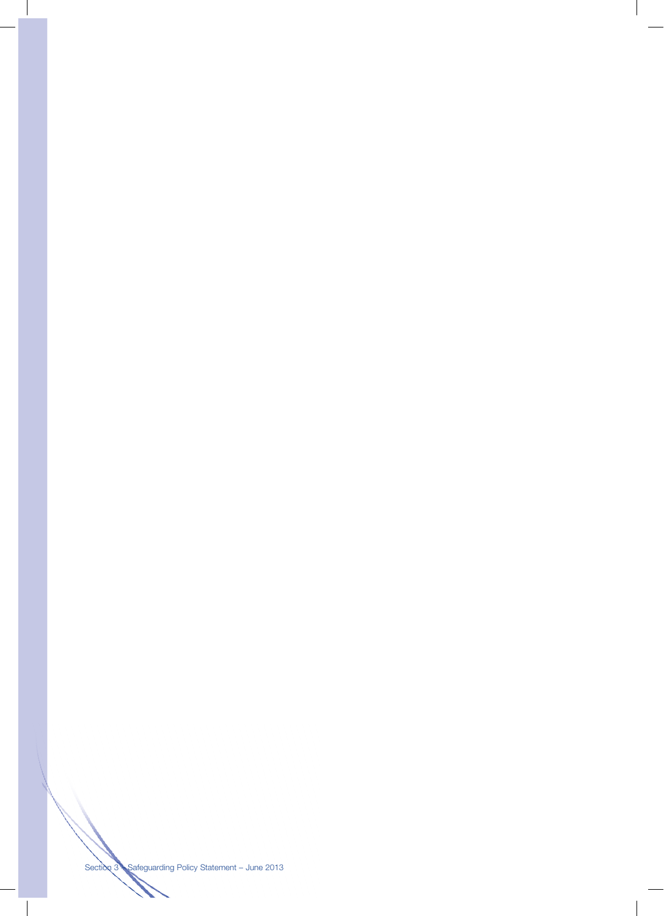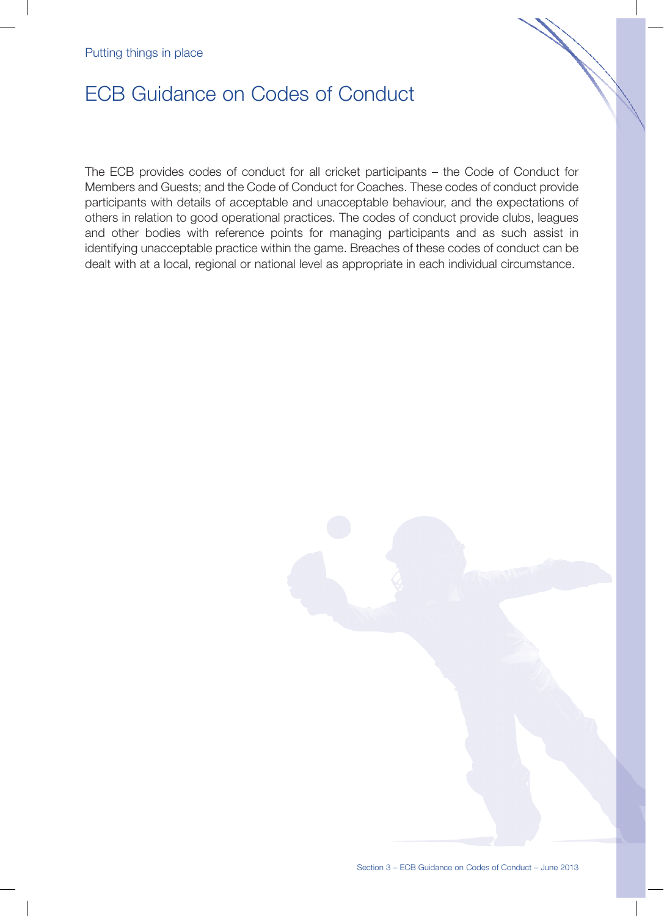# ECB Guidance on Codes of Conduct

The ECB provides codes of conduct for all cricket participants – the Code of Conduct for Members and Guests; and the Code of Conduct for Coaches. These codes of conduct provide participants with details of acceptable and unacceptable behaviour, and the expectations of others in relation to good operational practices. The codes of conduct provide clubs, leagues and other bodies with reference points for managing participants and as such assist in identifying unacceptable practice within the game. Breaches of these codes of conduct can be dealt with at a local, regional or national level as appropriate in each individual circumstance.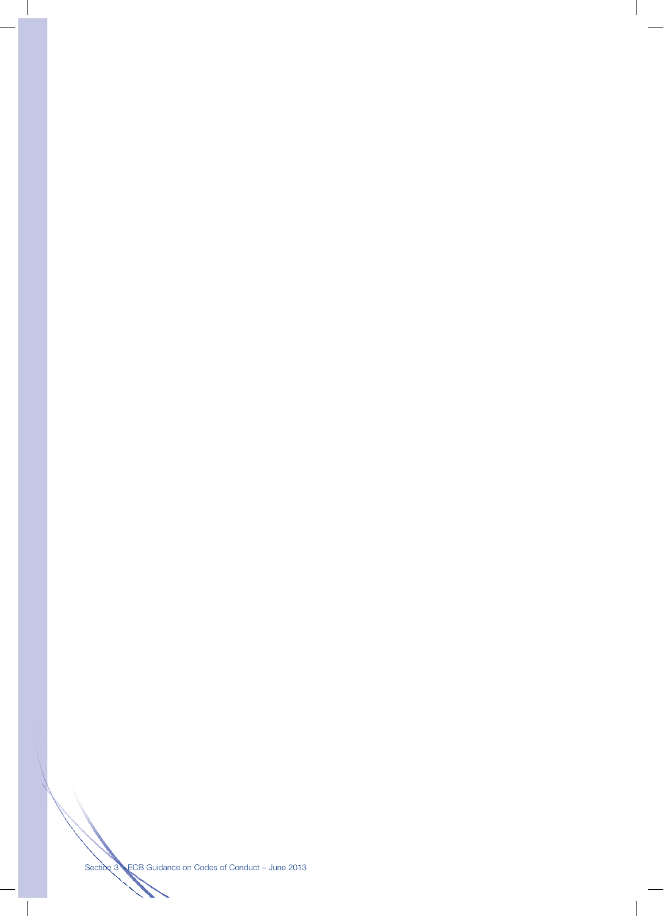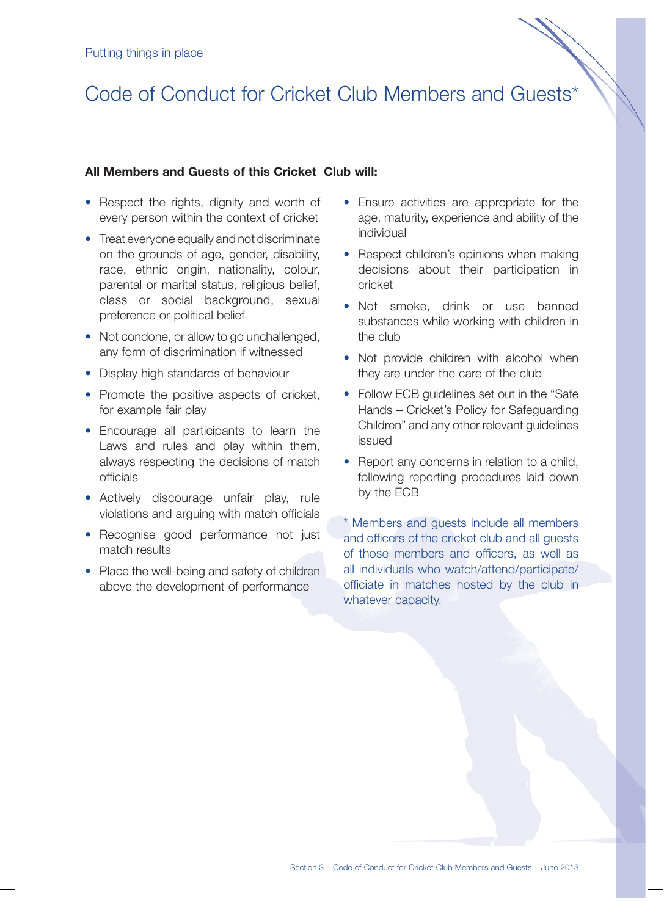# Code of Conduct for Cricket Club Members and Guests\*

### **All Members and Guests of this Cricket Club will:**

- Respect the rights, dignity and worth of every person within the context of cricket
- Treat everyone equally and not discriminate on the grounds of age, gender, disability, race, ethnic origin, nationality, colour, parental or marital status, religious belief, class or social background, sexual preference or political belief
- Not condone, or allow to go unchallenged, any form of discrimination if witnessed
- Display high standards of behaviour
- Promote the positive aspects of cricket, for example fair play
- Encourage all participants to learn the Laws and rules and play within them, always respecting the decisions of match officials
- Actively discourage unfair play, rule violations and arguing with match officials
- Recognise good performance not just match results
- Place the well-being and safety of children above the development of performance
- Ensure activities are appropriate for the age, maturity, experience and ability of the individual
- Respect children's opinions when making decisions about their participation in cricket
- Not smoke, drink or use banned substances while working with children in the club
- Not provide children with alcohol when they are under the care of the club
- Follow ECB quidelines set out in the "Safe" Hands – Cricket's Policy for Safeguarding Children" and any other relevant guidelines issued
- Report any concerns in relation to a child, following reporting procedures laid down by the ECB

\* Members and guests include all members and officers of the cricket club and all guests of those members and officers, as well as all individuals who watch/attend/participate/ officiate in matches hosted by the club in whatever capacity.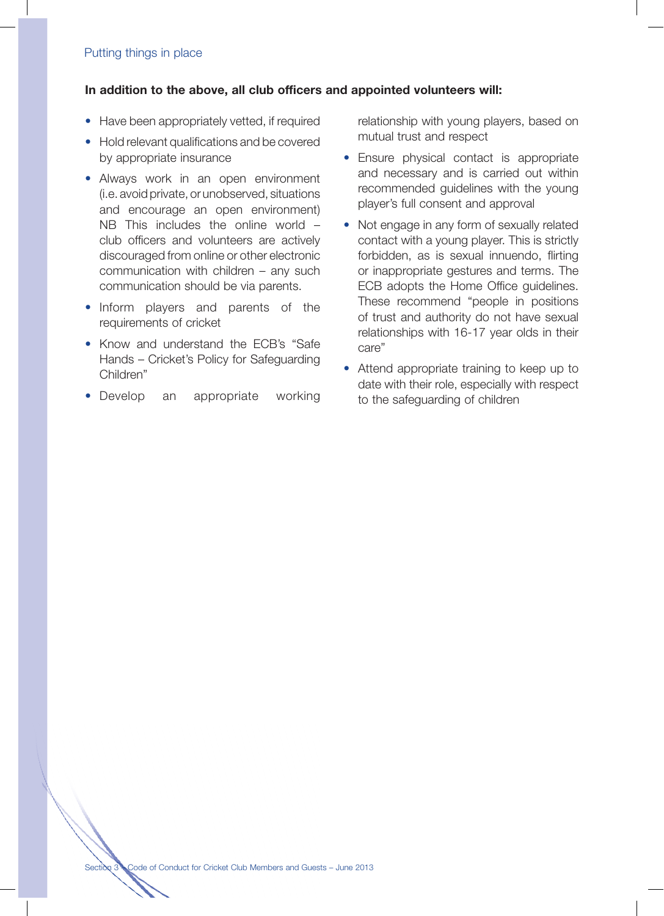### Putting things in place

#### **In addition to the above, all club officers and appointed volunteers will:**

- Have been appropriately vetted, if required
- Hold relevant qualifications and be covered by appropriate insurance
- Always work in an open environment (i.e. avoid private, or unobserved, situations and encourage an open environment) NB This includes the online world – club officers and volunteers are actively discouraged from online or other electronic communication with children – any such communication should be via parents.
- Inform players and parents of the requirements of cricket
- Know and understand the ECB's "Safe Hands – Cricket's Policy for Safeguarding Children"
- Develop an appropriate working

relationship with young players, based on mutual trust and respect

- Ensure physical contact is appropriate and necessary and is carried out within recommended guidelines with the young player's full consent and approval
- Not engage in any form of sexually related contact with a young player. This is strictly forbidden, as is sexual innuendo, flirting or inappropriate gestures and terms. The ECB adopts the Home Office guidelines. These recommend "people in positions of trust and authority do not have sexual relationships with 16-17 year olds in their care"
- Attend appropriate training to keep up to date with their role, especially with respect to the safeguarding of children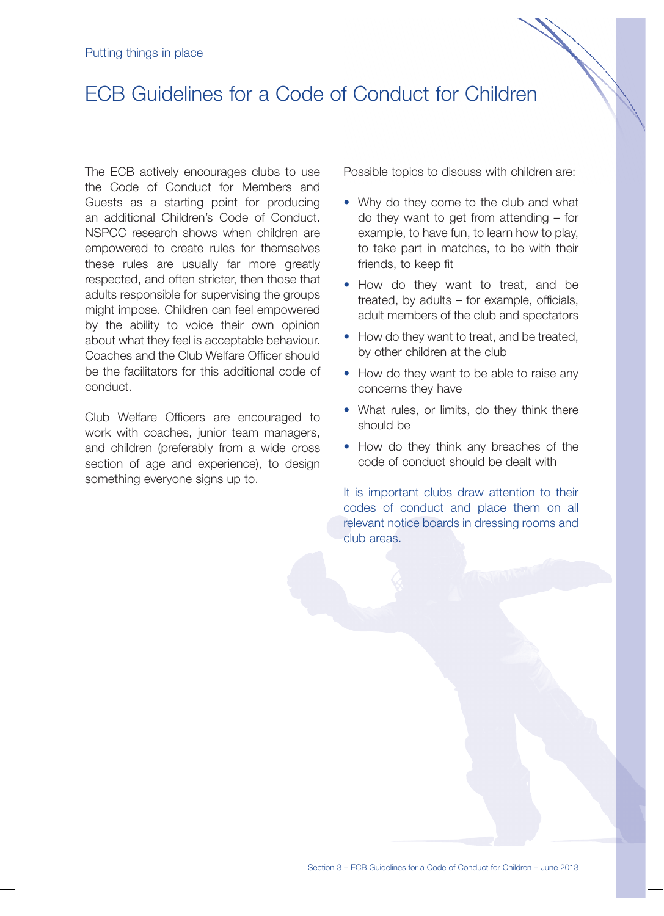# ECB Guidelines for a Code of Conduct for Children

The ECB actively encourages clubs to use the Code of Conduct for Members and Guests as a starting point for producing an additional Children's Code of Conduct. NSPCC research shows when children are empowered to create rules for themselves these rules are usually far more greatly respected, and often stricter, then those that adults responsible for supervising the groups might impose. Children can feel empowered by the ability to voice their own opinion about what they feel is acceptable behaviour. Coaches and the Club Welfare Officer should be the facilitators for this additional code of conduct.

Club Welfare Officers are encouraged to work with coaches, junior team managers, and children (preferably from a wide cross section of age and experience), to design something everyone signs up to.

Possible topics to discuss with children are:

- Why do they come to the club and what do they want to get from attending – for example, to have fun, to learn how to play, to take part in matches, to be with their friends, to keep fit
- How do they want to treat, and be treated, by adults – for example, officials, adult members of the club and spectators
- How do they want to treat, and be treated, by other children at the club
- How do they want to be able to raise any concerns they have
- What rules, or limits, do they think there should be
- How do they think any breaches of the code of conduct should be dealt with

It is important clubs draw attention to their codes of conduct and place them on all relevant notice boards in dressing rooms and club areas.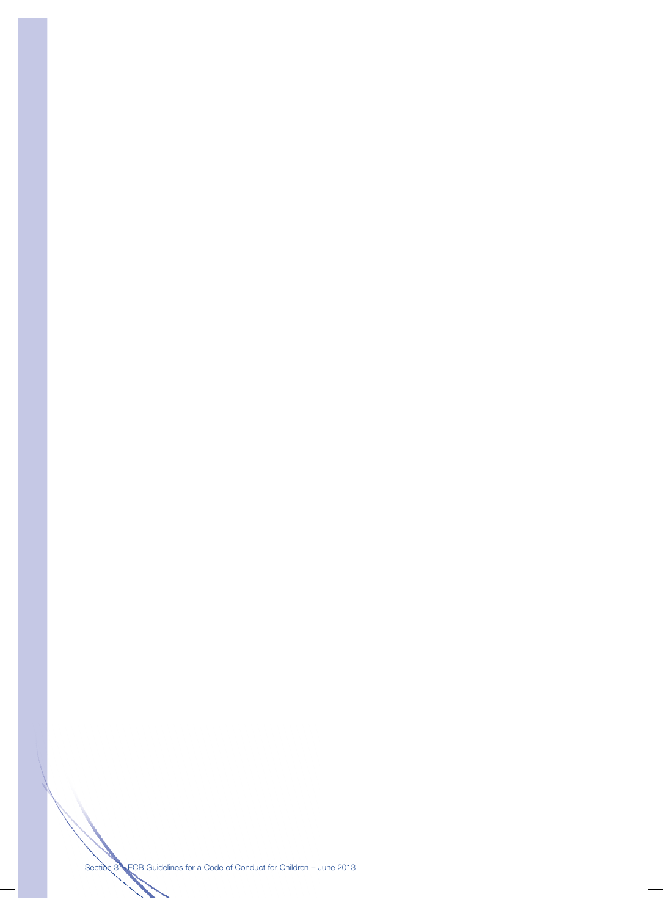Section 3 ECB Guidelines for a Code of Conduct for Children – June 2013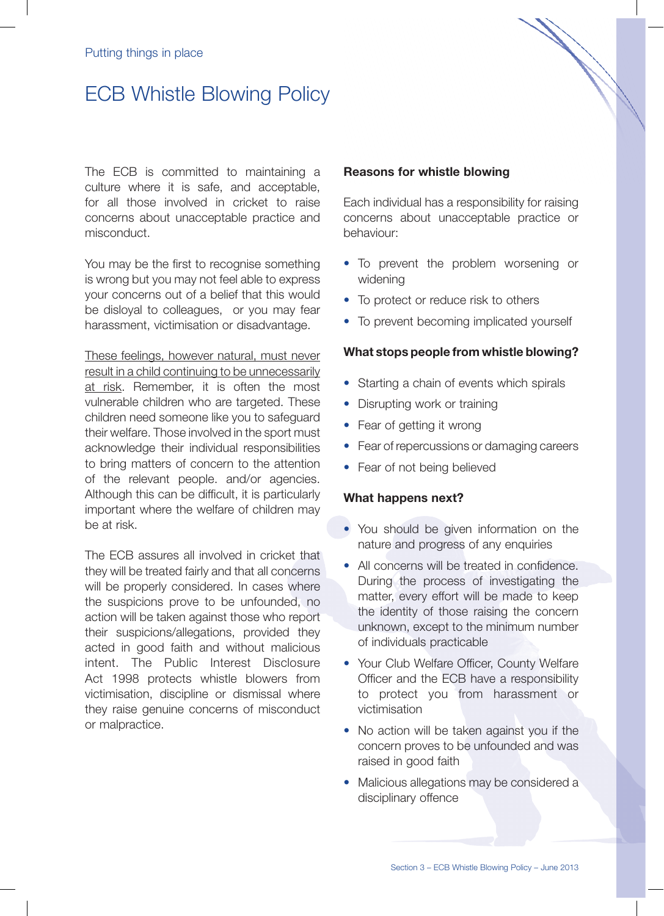# ECB Whistle Blowing Policy

The ECB is committed to maintaining a culture where it is safe, and acceptable, for all those involved in cricket to raise concerns about unacceptable practice and misconduct.

You may be the first to recognise something is wrong but you may not feel able to express your concerns out of a belief that this would be disloyal to colleagues, or you may fear harassment, victimisation or disadvantage.

These feelings, however natural, must never result in a child continuing to be unnecessarily at risk. Remember, it is often the most vulnerable children who are targeted. These children need someone like you to safeguard their welfare. Those involved in the sport must acknowledge their individual responsibilities to bring matters of concern to the attention of the relevant people. and/or agencies. Although this can be difficult, it is particularly important where the welfare of children may be at risk.

The ECB assures all involved in cricket that they will be treated fairly and that all concerns will be properly considered. In cases where the suspicions prove to be unfounded, no action will be taken against those who report their suspicions/allegations, provided they acted in good faith and without malicious intent. The Public Interest Disclosure Act 1998 protects whistle blowers from victimisation, discipline or dismissal where they raise genuine concerns of misconduct or malpractice.

### **Reasons for whistle blowing**

Each individual has a responsibility for raising concerns about unacceptable practice or behaviour:

- To prevent the problem worsening or widening
- To protect or reduce risk to others
- To prevent becoming implicated yourself

### **What stops people from whistle blowing?**

- Starting a chain of events which spirals
- Disrupting work or training
- Fear of getting it wrong
- Fear of repercussions or damaging careers
- Fear of not being believed

### **What happens next?**

- You should be given information on the nature and progress of any enquiries
- All concerns will be treated in confidence. During the process of investigating the matter, every effort will be made to keep the identity of those raising the concern unknown, except to the minimum number of individuals practicable
- Your Club Welfare Officer, County Welfare Officer and the ECB have a responsibility to protect you from harassment or victimisation
- No action will be taken against you if the concern proves to be unfounded and was raised in good faith
- Malicious allegations may be considered a disciplinary offence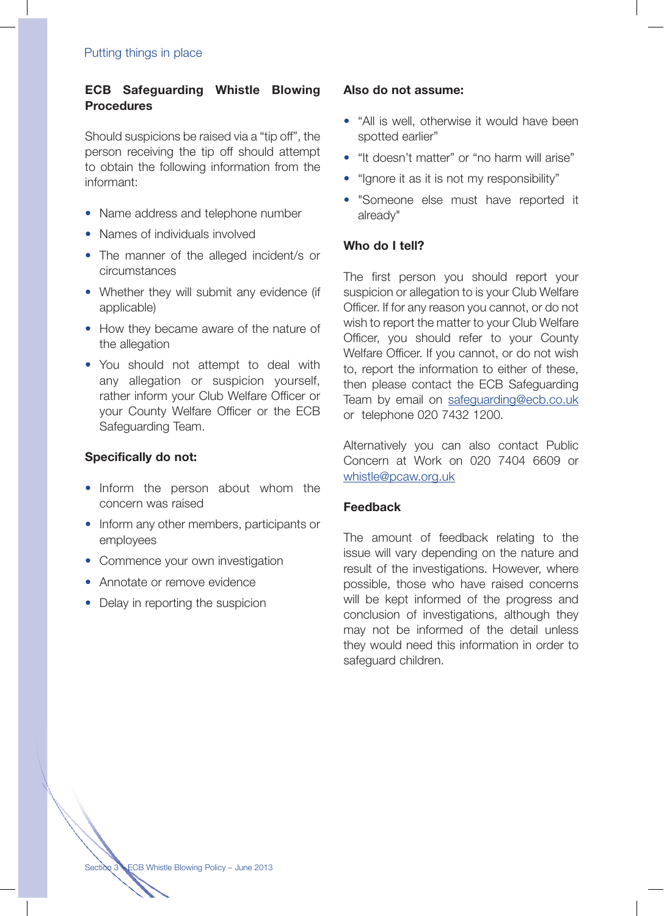### **ECB Safeguarding Whistle Blowing Procedures**

Should suspicions be raised via a "tip off", the person receiving the tip off should attempt to obtain the following information from the informant:

- Name address and telephone number
- Names of individuals involved
- The manner of the alleged incident/s or circumstances
- Whether they will submit any evidence (if applicable)
- How they became aware of the nature of the allegation
- You should not attempt to deal with any allegation or suspicion yourself, rather inform your Club Welfare Officer or your County Welfare Officer or the ECB Safeguarding Team.

### **Specifically do not:**

- Inform the person about whom the concern was raised
- Inform any other members, participants or employees
- Commence your own investigation
- Annotate or remove evidence
- Delay in reporting the suspicion

### **Also do not assume:**

- "All is well, otherwise it would have been spotted earlier"
- "It doesn't matter" or "no harm will arise"
- "Ignore it as it is not my responsibility"
- "Someone else must have reported it already"

### **Who do I tell?**

The first person you should report your suspicion or allegation to is your Club Welfare Officer. If for any reason you cannot, or do not wish to report the matter to your Club Welfare Officer, you should refer to your County Welfare Officer. If you cannot, or do not wish to, report the information to either of these, then please contact the ECB Safeguarding Team by email on safeguarding@ecb.co.uk or telephone 020 7432 1200.

Alternatively you can also contact Public Concern at Work on 020 7404 6609 or whistle@pcaw.org.uk

### **Feedback**

The amount of feedback relating to the issue will vary depending on the nature and result of the investigations. However, where possible, those who have raised concerns will be kept informed of the progress and conclusion of investigations, although they may not be informed of the detail unless they would need this information in order to safeguard children.

Section 3 – ECB Whistle Blowing Policy – June 2013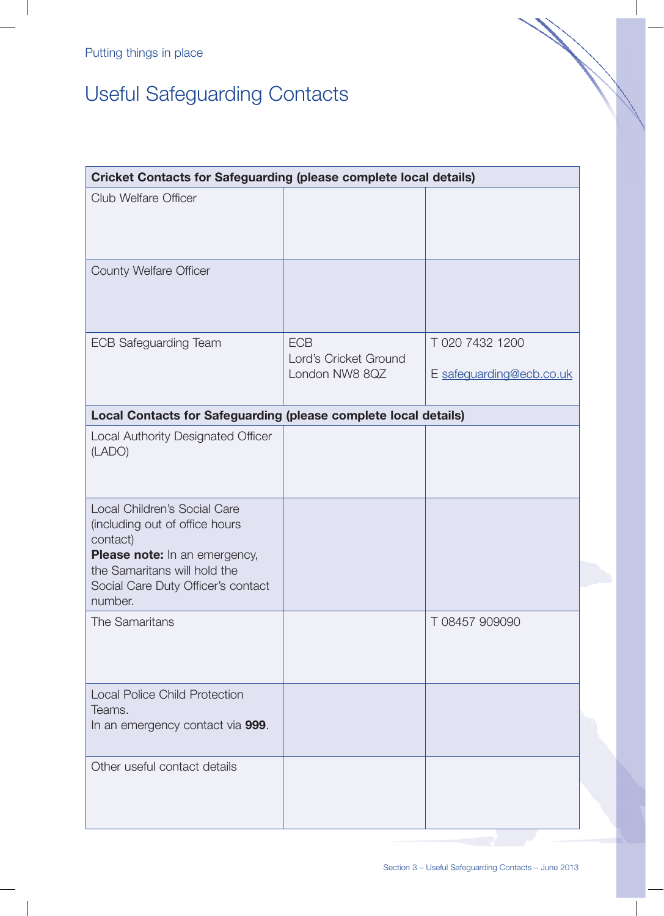Putting things in place

# Useful Safeguarding Contacts

| <b>Cricket Contacts for Safeguarding (please complete local details)</b>                                                                                                                     |                                                       |                                             |
|----------------------------------------------------------------------------------------------------------------------------------------------------------------------------------------------|-------------------------------------------------------|---------------------------------------------|
| Club Welfare Officer                                                                                                                                                                         |                                                       |                                             |
| <b>County Welfare Officer</b>                                                                                                                                                                |                                                       |                                             |
| <b>ECB Safeguarding Team</b>                                                                                                                                                                 | <b>ECB</b><br>Lord's Cricket Ground<br>London NW8 8QZ | T 020 7432 1200<br>E safeguarding@ecb.co.uk |
| Local Contacts for Safeguarding (please complete local details)                                                                                                                              |                                                       |                                             |
| Local Authority Designated Officer<br>(LADO)                                                                                                                                                 |                                                       |                                             |
| Local Children's Social Care<br>(including out of office hours<br>contact)<br>Please note: In an emergency,<br>the Samaritans will hold the<br>Social Care Duty Officer's contact<br>number. |                                                       |                                             |
| The Samaritans                                                                                                                                                                               |                                                       | T 08457 909090                              |
| <b>Local Police Child Protection</b><br>Teams.<br>In an emergency contact via 999.                                                                                                           |                                                       |                                             |
| Other useful contact details                                                                                                                                                                 |                                                       |                                             |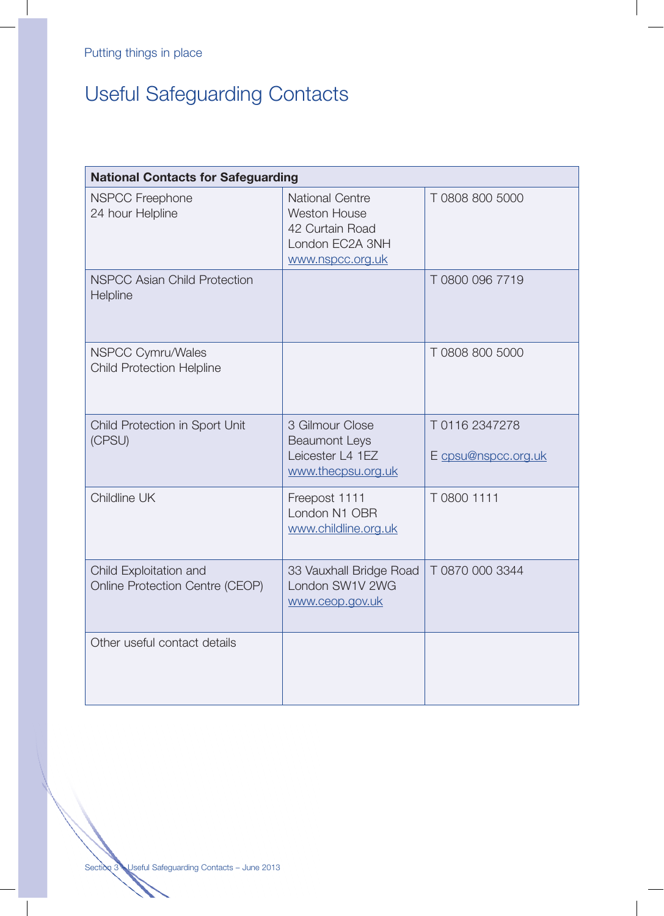Putting things in place

# Useful Safeguarding Contacts

| <b>National Contacts for Safeguarding</b>                    |                                                                                                         |                                       |
|--------------------------------------------------------------|---------------------------------------------------------------------------------------------------------|---------------------------------------|
| <b>NSPCC Freephone</b><br>24 hour Helpline                   | <b>National Centre</b><br><b>Weston House</b><br>42 Curtain Road<br>London EC2A 3NH<br>www.nspcc.org.uk | T 0808 800 5000                       |
| <b>NSPCC Asian Child Protection</b><br>Helpline              |                                                                                                         | T08000967719                          |
| <b>NSPCC Cymru/Wales</b><br><b>Child Protection Helpline</b> |                                                                                                         | T 0808 800 5000                       |
| Child Protection in Sport Unit<br>(CPSU)                     | 3 Gilmour Close<br><b>Beaumont Leys</b><br>Leicester L4 1EZ<br>www.thecpsu.org.uk                       | T 0116 2347278<br>E cpsu@nspcc.org.uk |
| Childline UK                                                 | Freepost 1111<br>London N1 OBR<br>www.childline.org.uk                                                  | T 0800 1111                           |
| Child Exploitation and<br>Online Protection Centre (CEOP)    | 33 Vauxhall Bridge Road<br>London SW1V 2WG<br>www.ceop.gov.uk                                           | T08700003344                          |
| Other useful contact details                                 |                                                                                                         |                                       |

Section 3 – Useful Safeguarding Contacts – June 2013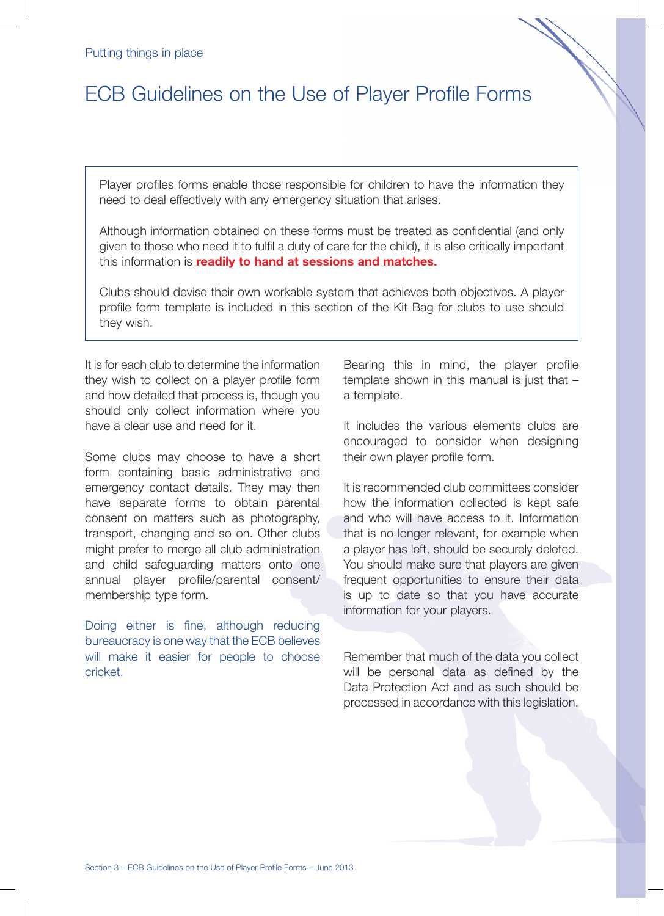# ECB Guidelines on the Use of Player Profile Forms

Player profiles forms enable those responsible for children to have the information they need to deal effectively with any emergency situation that arises.

Although information obtained on these forms must be treated as confidential (and only given to those who need it to fulfil a duty of care for the child), it is also critically important this information is **readily to hand at sessions and matches.**

Clubs should devise their own workable system that achieves both objectives. A player profile form template is included in this section of the Kit Bag for clubs to use should they wish.

It is for each club to determine the information they wish to collect on a player profile form and how detailed that process is, though you should only collect information where you have a clear use and need for it.

Some clubs may choose to have a short form containing basic administrative and emergency contact details. They may then have separate forms to obtain parental consent on matters such as photography, transport, changing and so on. Other clubs might prefer to merge all club administration and child safeguarding matters onto one annual player profile/parental consent/ membership type form.

Doing either is fine, although reducing bureaucracy is one way that the ECB believes will make it easier for people to choose cricket.

Bearing this in mind, the player profile template shown in this manual is just that – a template.

It includes the various elements clubs are encouraged to consider when designing their own player profile form.

It is recommended club committees consider how the information collected is kept safe and who will have access to it. Information that is no longer relevant, for example when a player has left, should be securely deleted. You should make sure that players are given frequent opportunities to ensure their data is up to date so that you have accurate information for your players.

Remember that much of the data you collect will be personal data as defined by the Data Protection Act and as such should be processed in accordance with this legislation.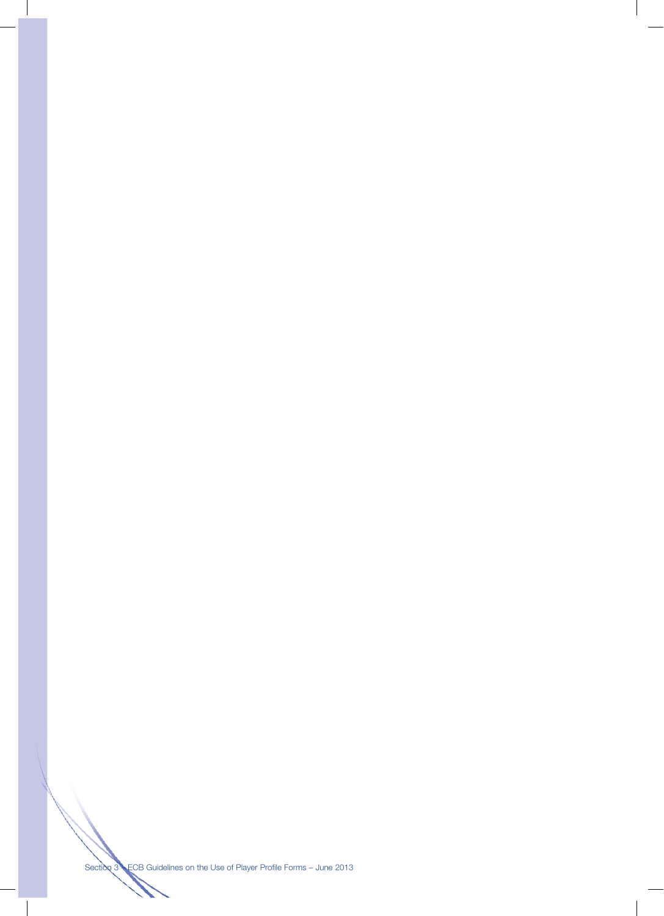Section 3 – ECB Guidelines on the Use of Player Profile Forms – June 2013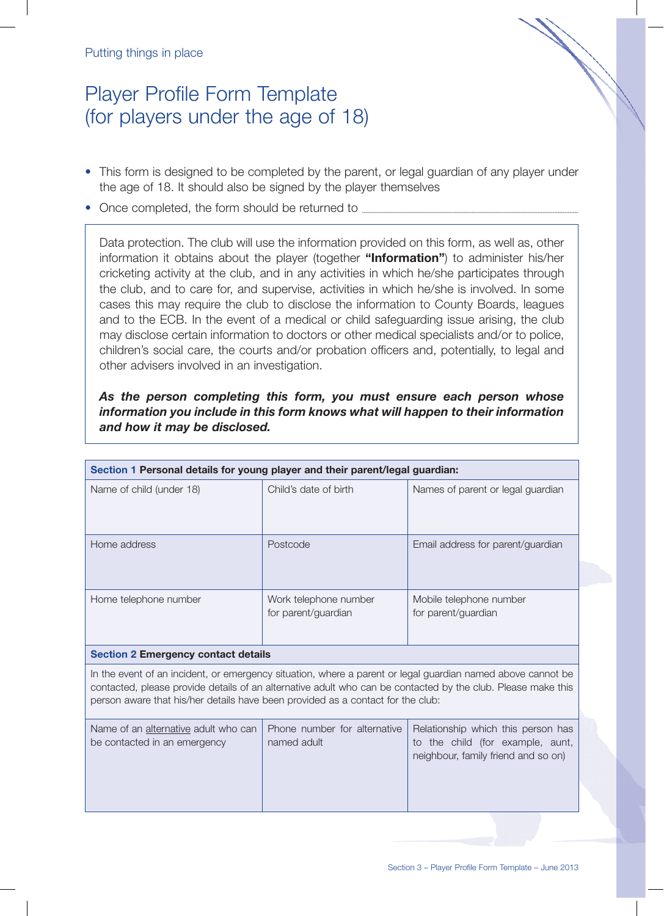### Player Profile Form Template (for players under the age of 18)

- This form is designed to be completed by the parent, or legal guardian of any player under the age of 18. It should also be signed by the player themselves
- Once completed, the form should be returned to \_

Data protection. The club will use the information provided on this form, as well as, other information it obtains about the player (together **"Information"**) to administer his/her cricketing activity at the club, and in any activities in which he/she participates through the club, and to care for, and supervise, activities in which he/she is involved. In some cases this may require the club to disclose the information to County Boards, leagues and to the ECB. In the event of a medical or child safeguarding issue arising, the club may disclose certain information to doctors or other medical specialists and/or to police, children's social care, the courts and/or probation officers and, potentially, to legal and other advisers involved in an investigation.

### *As the person completing this form, you must ensure each person whose information you include in this form knows what will happen to their information and how it may be disclosed.*

| Section 1 Personal details for young player and their parent/legal guardian:                                                                                                                                                                                                                                   |                                              |                                                                                                               |
|----------------------------------------------------------------------------------------------------------------------------------------------------------------------------------------------------------------------------------------------------------------------------------------------------------------|----------------------------------------------|---------------------------------------------------------------------------------------------------------------|
| Name of child (under 18)                                                                                                                                                                                                                                                                                       | Child's date of birth                        | Names of parent or legal guardian                                                                             |
| Home address                                                                                                                                                                                                                                                                                                   | Postcode                                     | Email address for parent/guardian                                                                             |
| Home telephone number                                                                                                                                                                                                                                                                                          | Work telephone number<br>for parent/guardian | Mobile telephone number<br>for parent/guardian                                                                |
| <b>Section 2 Emergency contact details</b>                                                                                                                                                                                                                                                                     |                                              |                                                                                                               |
| In the event of an incident, or emergency situation, where a parent or legal guardian named above cannot be<br>contacted, please provide details of an alternative adult who can be contacted by the club. Please make this<br>person aware that his/her details have been provided as a contact for the club: |                                              |                                                                                                               |
| Name of an alternative adult who can<br>be contacted in an emergency                                                                                                                                                                                                                                           | Phone number for alternative<br>named adult  | Relationship which this person has<br>to the child (for example, aunt,<br>neighbour, family friend and so on) |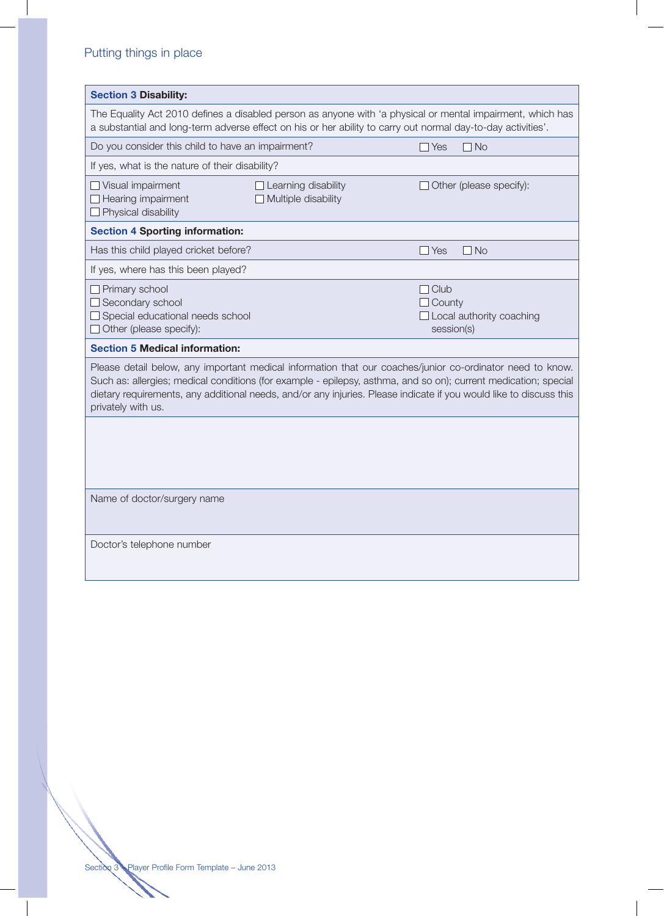### Putting things in place

| <b>Section 3 Disability:</b>                                                                                                                                                                                                                                                                                                                                             |                                                   |                                                                          |  |
|--------------------------------------------------------------------------------------------------------------------------------------------------------------------------------------------------------------------------------------------------------------------------------------------------------------------------------------------------------------------------|---------------------------------------------------|--------------------------------------------------------------------------|--|
| The Equality Act 2010 defines a disabled person as anyone with 'a physical or mental impairment, which has<br>a substantial and long-term adverse effect on his or her ability to carry out normal day-to-day activities'.                                                                                                                                               |                                                   |                                                                          |  |
| Do you consider this child to have an impairment?                                                                                                                                                                                                                                                                                                                        |                                                   | $\n  no\n$<br>$\Box$ Yes                                                 |  |
| If yes, what is the nature of their disability?                                                                                                                                                                                                                                                                                                                          |                                                   |                                                                          |  |
| $\Box$ Visual impairment<br>$\Box$ Hearing impairment<br>$\Box$ Physical disability                                                                                                                                                                                                                                                                                      | $\Box$ Learning disability<br>Multiple disability | $\Box$ Other (please specify):                                           |  |
| <b>Section 4 Sporting information:</b>                                                                                                                                                                                                                                                                                                                                   |                                                   |                                                                          |  |
| Has this child played cricket before?                                                                                                                                                                                                                                                                                                                                    |                                                   | $\Box$ Yes<br>$\Box$ No                                                  |  |
| If yes, where has this been played?                                                                                                                                                                                                                                                                                                                                      |                                                   |                                                                          |  |
| $\Box$ Primary school<br>$\Box$ Secondary school<br>□ Special educational needs school<br>Other (please specify):                                                                                                                                                                                                                                                        |                                                   | $\Box$ Club<br>$\Box$ County<br>□ Local authority coaching<br>session(s) |  |
| <b>Section 5 Medical information:</b>                                                                                                                                                                                                                                                                                                                                    |                                                   |                                                                          |  |
| Please detail below, any important medical information that our coaches/junior co-ordinator need to know.<br>Such as: allergies; medical conditions (for example - epilepsy, asthma, and so on); current medication; special<br>dietary requirements, any additional needs, and/or any injuries. Please indicate if you would like to discuss this<br>privately with us. |                                                   |                                                                          |  |
|                                                                                                                                                                                                                                                                                                                                                                          |                                                   |                                                                          |  |
| Name of doctor/surgery name                                                                                                                                                                                                                                                                                                                                              |                                                   |                                                                          |  |
|                                                                                                                                                                                                                                                                                                                                                                          |                                                   |                                                                          |  |
| Doctor's telephone number                                                                                                                                                                                                                                                                                                                                                |                                                   |                                                                          |  |

Section 3 – Player Profile Form Template – June 2013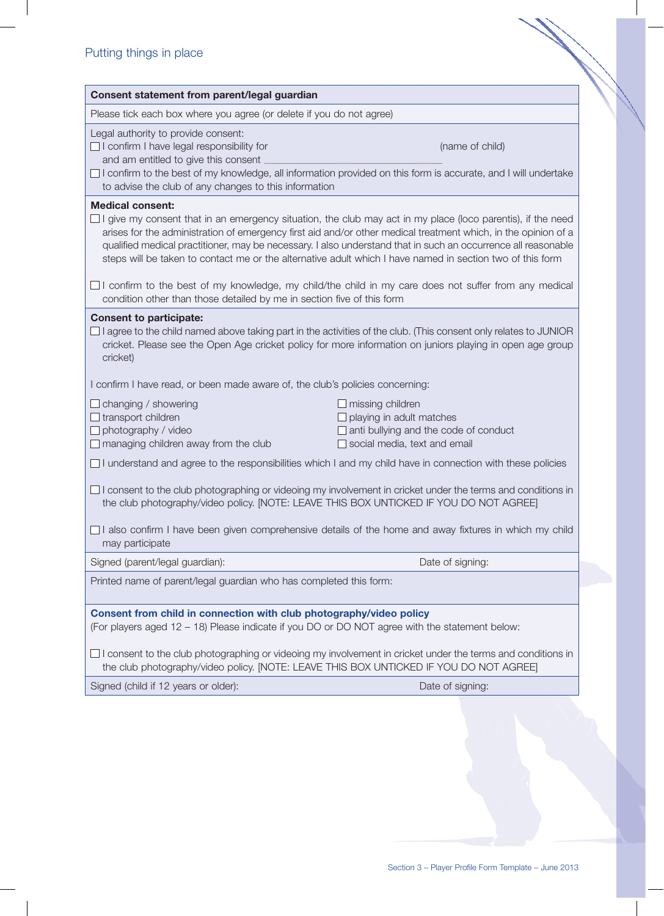| Please tick each box where you agree (or delete if you do not agree)<br>Legal authority to provide consent:<br>□ I confirm I have legal responsibility for<br>(name of child)<br>and am entitled to give this consent<br>$\Box$ I confirm to the best of my knowledge, all information provided on this form is accurate, and I will undertake<br>to advise the club of any changes to this information<br><b>Medical consent:</b><br>$\Box$ I give my consent that in an emergency situation, the club may act in my place (loco parentis), if the need<br>arises for the administration of emergency first aid and/or other medical treatment which, in the opinion of a<br>qualified medical practitioner, may be necessary. I also understand that in such an occurrence all reasonable<br>steps will be taken to contact me or the alternative adult which I have named in section two of this form<br>$\Box$ I confirm to the best of my knowledge, my child/the child in my care does not suffer from any medical<br>condition other than those detailed by me in section five of this form<br><b>Consent to participate:</b><br>$\Box$ I agree to the child named above taking part in the activities of the club. (This consent only relates to JUNIOR<br>cricket. Please see the Open Age cricket policy for more information on juniors playing in open age group<br>cricket)<br>I confirm I have read, or been made aware of, the club's policies concerning:<br>$\Box$ missing children<br>$\Box$ changing / showering<br>playing in adult matches<br>$\Box$ photography / video<br>$\Box$ anti bullying and the code of conduct<br>$\Box$ social media, text and email<br>$\Box$ I understand and agree to the responsibilities which I and my child have in connection with these policies<br>$\Box$ I consent to the club photographing or videoing my involvement in cricket under the terms and conditions in<br>the club photography/video policy. [NOTE: LEAVE THIS BOX UNTICKED IF YOU DO NOT AGREE]<br>$\Box$ I also confirm I have been given comprehensive details of the home and away fixtures in which my child<br>may participate<br>Signed (parent/legal guardian):<br>Date of signing:<br>Printed name of parent/legal guardian who has completed this form:<br>Consent from child in connection with club photography/video policy<br>(For players aged 12 - 18) Please indicate if you DO or DO NOT agree with the statement below:<br>$\Box$ I consent to the club photographing or videoing my involvement in cricket under the terms and conditions in<br>the club photography/video policy. [NOTE: LEAVE THIS BOX UNTICKED IF YOU DO NOT AGREE]<br>Signed (child if 12 years or older):<br>Date of signing: | Consent statement from parent/legal guardian                             |  |
|-------------------------------------------------------------------------------------------------------------------------------------------------------------------------------------------------------------------------------------------------------------------------------------------------------------------------------------------------------------------------------------------------------------------------------------------------------------------------------------------------------------------------------------------------------------------------------------------------------------------------------------------------------------------------------------------------------------------------------------------------------------------------------------------------------------------------------------------------------------------------------------------------------------------------------------------------------------------------------------------------------------------------------------------------------------------------------------------------------------------------------------------------------------------------------------------------------------------------------------------------------------------------------------------------------------------------------------------------------------------------------------------------------------------------------------------------------------------------------------------------------------------------------------------------------------------------------------------------------------------------------------------------------------------------------------------------------------------------------------------------------------------------------------------------------------------------------------------------------------------------------------------------------------------------------------------------------------------------------------------------------------------------------------------------------------------------------------------------------------------------------------------------------------------------------------------------------------------------------------------------------------------------------------------------------------------------------------------------------------------------------------------------------------------------------------------------------------------------------------------------------------------------------------------------------------------------------------------------------------------------------------------------------------------------------------------------------------------------------------------------|--------------------------------------------------------------------------|--|
|                                                                                                                                                                                                                                                                                                                                                                                                                                                                                                                                                                                                                                                                                                                                                                                                                                                                                                                                                                                                                                                                                                                                                                                                                                                                                                                                                                                                                                                                                                                                                                                                                                                                                                                                                                                                                                                                                                                                                                                                                                                                                                                                                                                                                                                                                                                                                                                                                                                                                                                                                                                                                                                                                                                                                 |                                                                          |  |
|                                                                                                                                                                                                                                                                                                                                                                                                                                                                                                                                                                                                                                                                                                                                                                                                                                                                                                                                                                                                                                                                                                                                                                                                                                                                                                                                                                                                                                                                                                                                                                                                                                                                                                                                                                                                                                                                                                                                                                                                                                                                                                                                                                                                                                                                                                                                                                                                                                                                                                                                                                                                                                                                                                                                                 |                                                                          |  |
|                                                                                                                                                                                                                                                                                                                                                                                                                                                                                                                                                                                                                                                                                                                                                                                                                                                                                                                                                                                                                                                                                                                                                                                                                                                                                                                                                                                                                                                                                                                                                                                                                                                                                                                                                                                                                                                                                                                                                                                                                                                                                                                                                                                                                                                                                                                                                                                                                                                                                                                                                                                                                                                                                                                                                 |                                                                          |  |
|                                                                                                                                                                                                                                                                                                                                                                                                                                                                                                                                                                                                                                                                                                                                                                                                                                                                                                                                                                                                                                                                                                                                                                                                                                                                                                                                                                                                                                                                                                                                                                                                                                                                                                                                                                                                                                                                                                                                                                                                                                                                                                                                                                                                                                                                                                                                                                                                                                                                                                                                                                                                                                                                                                                                                 |                                                                          |  |
|                                                                                                                                                                                                                                                                                                                                                                                                                                                                                                                                                                                                                                                                                                                                                                                                                                                                                                                                                                                                                                                                                                                                                                                                                                                                                                                                                                                                                                                                                                                                                                                                                                                                                                                                                                                                                                                                                                                                                                                                                                                                                                                                                                                                                                                                                                                                                                                                                                                                                                                                                                                                                                                                                                                                                 |                                                                          |  |
|                                                                                                                                                                                                                                                                                                                                                                                                                                                                                                                                                                                                                                                                                                                                                                                                                                                                                                                                                                                                                                                                                                                                                                                                                                                                                                                                                                                                                                                                                                                                                                                                                                                                                                                                                                                                                                                                                                                                                                                                                                                                                                                                                                                                                                                                                                                                                                                                                                                                                                                                                                                                                                                                                                                                                 |                                                                          |  |
|                                                                                                                                                                                                                                                                                                                                                                                                                                                                                                                                                                                                                                                                                                                                                                                                                                                                                                                                                                                                                                                                                                                                                                                                                                                                                                                                                                                                                                                                                                                                                                                                                                                                                                                                                                                                                                                                                                                                                                                                                                                                                                                                                                                                                                                                                                                                                                                                                                                                                                                                                                                                                                                                                                                                                 | $\Box$ transport children<br>$\Box$ managing children away from the club |  |
|                                                                                                                                                                                                                                                                                                                                                                                                                                                                                                                                                                                                                                                                                                                                                                                                                                                                                                                                                                                                                                                                                                                                                                                                                                                                                                                                                                                                                                                                                                                                                                                                                                                                                                                                                                                                                                                                                                                                                                                                                                                                                                                                                                                                                                                                                                                                                                                                                                                                                                                                                                                                                                                                                                                                                 |                                                                          |  |
|                                                                                                                                                                                                                                                                                                                                                                                                                                                                                                                                                                                                                                                                                                                                                                                                                                                                                                                                                                                                                                                                                                                                                                                                                                                                                                                                                                                                                                                                                                                                                                                                                                                                                                                                                                                                                                                                                                                                                                                                                                                                                                                                                                                                                                                                                                                                                                                                                                                                                                                                                                                                                                                                                                                                                 |                                                                          |  |
|                                                                                                                                                                                                                                                                                                                                                                                                                                                                                                                                                                                                                                                                                                                                                                                                                                                                                                                                                                                                                                                                                                                                                                                                                                                                                                                                                                                                                                                                                                                                                                                                                                                                                                                                                                                                                                                                                                                                                                                                                                                                                                                                                                                                                                                                                                                                                                                                                                                                                                                                                                                                                                                                                                                                                 |                                                                          |  |
|                                                                                                                                                                                                                                                                                                                                                                                                                                                                                                                                                                                                                                                                                                                                                                                                                                                                                                                                                                                                                                                                                                                                                                                                                                                                                                                                                                                                                                                                                                                                                                                                                                                                                                                                                                                                                                                                                                                                                                                                                                                                                                                                                                                                                                                                                                                                                                                                                                                                                                                                                                                                                                                                                                                                                 |                                                                          |  |
|                                                                                                                                                                                                                                                                                                                                                                                                                                                                                                                                                                                                                                                                                                                                                                                                                                                                                                                                                                                                                                                                                                                                                                                                                                                                                                                                                                                                                                                                                                                                                                                                                                                                                                                                                                                                                                                                                                                                                                                                                                                                                                                                                                                                                                                                                                                                                                                                                                                                                                                                                                                                                                                                                                                                                 |                                                                          |  |
|                                                                                                                                                                                                                                                                                                                                                                                                                                                                                                                                                                                                                                                                                                                                                                                                                                                                                                                                                                                                                                                                                                                                                                                                                                                                                                                                                                                                                                                                                                                                                                                                                                                                                                                                                                                                                                                                                                                                                                                                                                                                                                                                                                                                                                                                                                                                                                                                                                                                                                                                                                                                                                                                                                                                                 |                                                                          |  |
|                                                                                                                                                                                                                                                                                                                                                                                                                                                                                                                                                                                                                                                                                                                                                                                                                                                                                                                                                                                                                                                                                                                                                                                                                                                                                                                                                                                                                                                                                                                                                                                                                                                                                                                                                                                                                                                                                                                                                                                                                                                                                                                                                                                                                                                                                                                                                                                                                                                                                                                                                                                                                                                                                                                                                 |                                                                          |  |
|                                                                                                                                                                                                                                                                                                                                                                                                                                                                                                                                                                                                                                                                                                                                                                                                                                                                                                                                                                                                                                                                                                                                                                                                                                                                                                                                                                                                                                                                                                                                                                                                                                                                                                                                                                                                                                                                                                                                                                                                                                                                                                                                                                                                                                                                                                                                                                                                                                                                                                                                                                                                                                                                                                                                                 |                                                                          |  |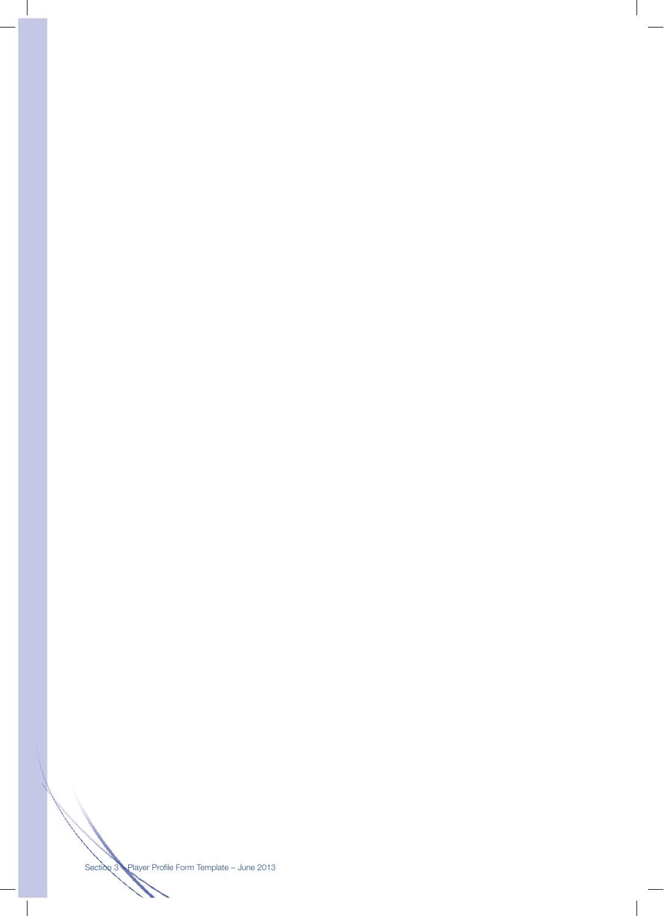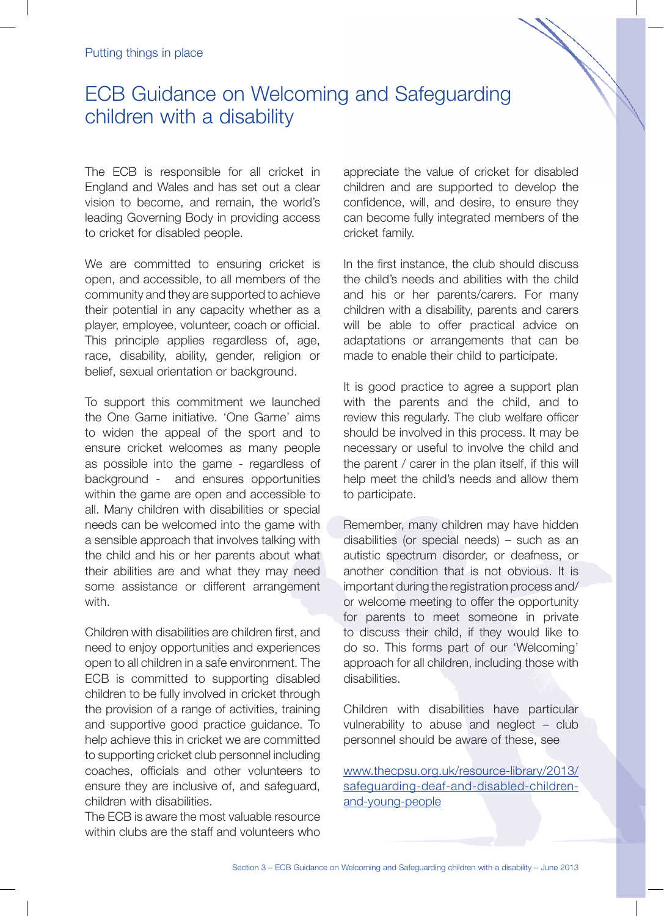### ECB Guidance on Welcoming and Safeguarding children with a disability

The ECB is responsible for all cricket in England and Wales and has set out a clear vision to become, and remain, the world's leading Governing Body in providing access to cricket for disabled people.

We are committed to ensuring cricket is open, and accessible, to all members of the community and they are supported to achieve their potential in any capacity whether as a player, employee, volunteer, coach or official. This principle applies regardless of, age, race, disability, ability, gender, religion or belief, sexual orientation or background.

To support this commitment we launched the One Game initiative. 'One Game' aims to widen the appeal of the sport and to ensure cricket welcomes as many people as possible into the game - regardless of background - and ensures opportunities within the game are open and accessible to all. Many children with disabilities or special needs can be welcomed into the game with a sensible approach that involves talking with the child and his or her parents about what their abilities are and what they may need some assistance or different arrangement with.

Children with disabilities are children first, and need to enjoy opportunities and experiences open to all children in a safe environment. The ECB is committed to supporting disabled children to be fully involved in cricket through the provision of a range of activities, training and supportive good practice guidance. To help achieve this in cricket we are committed to supporting cricket club personnel including coaches, officials and other volunteers to ensure they are inclusive of, and safeguard, children with disabilities.

The ECB is aware the most valuable resource within clubs are the staff and volunteers who appreciate the value of cricket for disabled children and are supported to develop the confidence, will, and desire, to ensure they can become fully integrated members of the cricket family.

In the first instance, the club should discuss the child's needs and abilities with the child and his or her parents/carers. For many children with a disability, parents and carers will be able to offer practical advice on adaptations or arrangements that can be made to enable their child to participate.

It is good practice to agree a support plan with the parents and the child, and to review this regularly. The club welfare officer should be involved in this process. It may be necessary or useful to involve the child and the parent / carer in the plan itself, if this will help meet the child's needs and allow them to participate.

Remember, many children may have hidden disabilities (or special needs) – such as an autistic spectrum disorder, or deafness, or another condition that is not obvious. It is important during the registration process and/ or welcome meeting to offer the opportunity for parents to meet someone in private to discuss their child, if they would like to do so. This forms part of our 'Welcoming' approach for all children, including those with disabilities.

Children with disabilities have particular vulnerability to abuse and neglect – club personnel should be aware of these, see

www.thecpsu.org.uk/resource-library/2013/ safeguarding-deaf-and-disabled-childrenand-young-people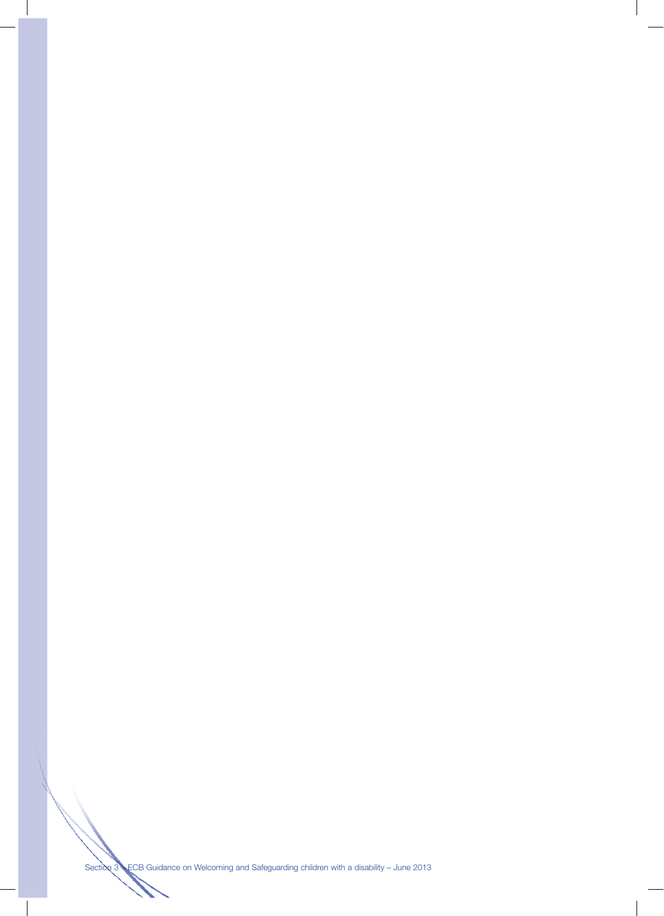Section 3 LECB Guidance on Welcoming and Safeguarding children with a disability – June 2013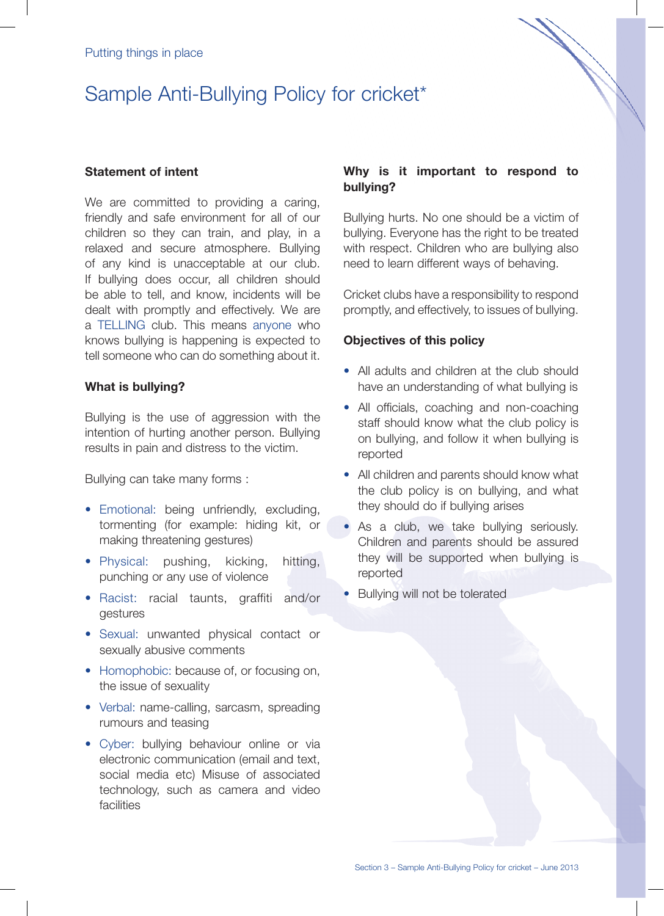# Sample Anti-Bullying Policy for cricket\*

### **Statement of intent**

We are committed to providing a caring, friendly and safe environment for all of our children so they can train, and play, in a relaxed and secure atmosphere. Bullying of any kind is unacceptable at our club. If bullying does occur, all children should be able to tell, and know, incidents will be dealt with promptly and effectively. We are a TELLING club. This means anyone who knows bullying is happening is expected to tell someone who can do something about it.

### **What is bullying?**

Bullying is the use of aggression with the intention of hurting another person. Bullying results in pain and distress to the victim.

Bullying can take many forms :

- Emotional: being unfriendly, excluding, tormenting (for example: hiding kit, or making threatening gestures)
- Physical: pushing, kicking, hitting, punching or any use of violence
- Racist: racial taunts, graffiti and/or gestures
- Sexual: unwanted physical contact or sexually abusive comments
- Homophobic: because of, or focusing on, the issue of sexuality
- Verbal: name-calling, sarcasm, spreading rumours and teasing
- Cyber: bullying behaviour online or via electronic communication (email and text, social media etc) Misuse of associated technology, such as camera and video facilities

### **Why is it important to respond to bullying?**

Bullying hurts. No one should be a victim of bullying. Everyone has the right to be treated with respect. Children who are bullying also need to learn different ways of behaving.

Cricket clubs have a responsibility to respond promptly, and effectively, to issues of bullying.

### **Objectives of this policy**

- All adults and children at the club should have an understanding of what bullying is
- All officials, coaching and non-coaching staff should know what the club policy is on bullying, and follow it when bullying is reported
- All children and parents should know what the club policy is on bullying, and what they should do if bullying arises
- As a club, we take bullying seriously. Children and parents should be assured they will be supported when bullying is reported
- Bullying will not be tolerated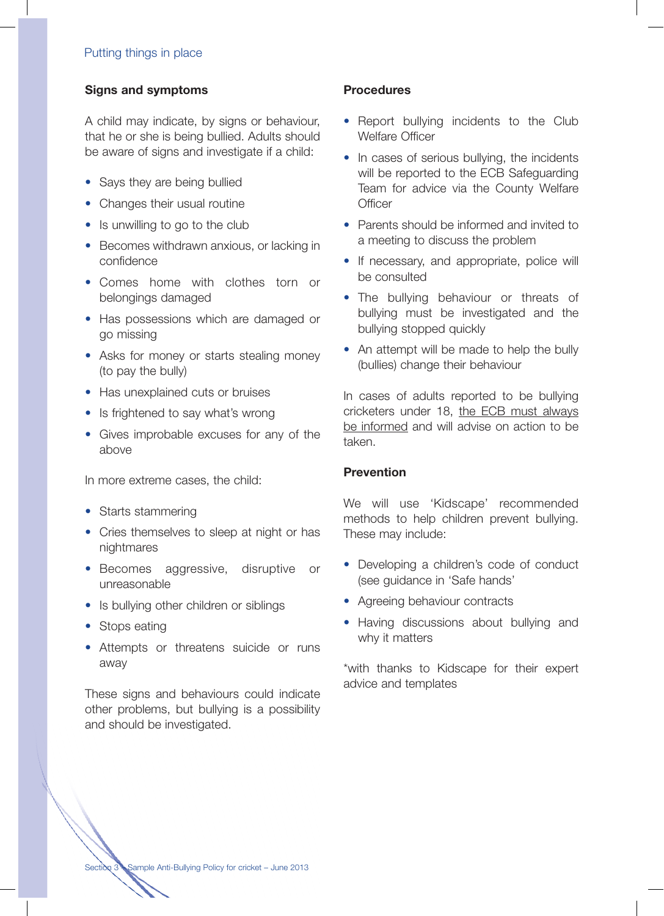### Putting things in place

#### **Signs and symptoms**

A child may indicate, by signs or behaviour, that he or she is being bullied. Adults should be aware of signs and investigate if a child:

- Says they are being bullied
- Changes their usual routine
- Is unwilling to go to the club
- Becomes withdrawn anxious, or lacking in confidence
- Comes home with clothes torn or belongings damaged
- Has possessions which are damaged or go missing
- Asks for money or starts stealing money (to pay the bully)
- Has unexplained cuts or bruises
- Is frightened to say what's wrong
- Gives improbable excuses for any of the above

In more extreme cases, the child:

- Starts stammering
- Cries themselves to sleep at night or has nightmares
- Becomes aggressive, disruptive or unreasonable
- Is bullying other children or siblings
- Stops eating
- Attempts or threatens suicide or runs away

These signs and behaviours could indicate other problems, but bullying is a possibility and should be investigated.

#### **Procedures**

- Report bullying incidents to the Club Welfare Officer
- In cases of serious bullying, the incidents will be reported to the ECB Safeguarding Team for advice via the County Welfare **Officer**
- Parents should be informed and invited to a meeting to discuss the problem
- If necessary, and appropriate, police will be consulted
- The bullying behaviour or threats of bullying must be investigated and the bullying stopped quickly
- An attempt will be made to help the bully (bullies) change their behaviour

In cases of adults reported to be bullying cricketers under 18, the ECB must always be informed and will advise on action to be taken.

#### **Prevention**

We will use 'Kidscape' recommended methods to help children prevent bullying. These may include:

- Developing a children's code of conduct (see guidance in 'Safe hands'
- Agreeing behaviour contracts
- Having discussions about bullying and why it matters

\*with thanks to Kidscape for their expert advice and templates

Section 3 – Sample Anti-Bullying Policy for cricket – June 2013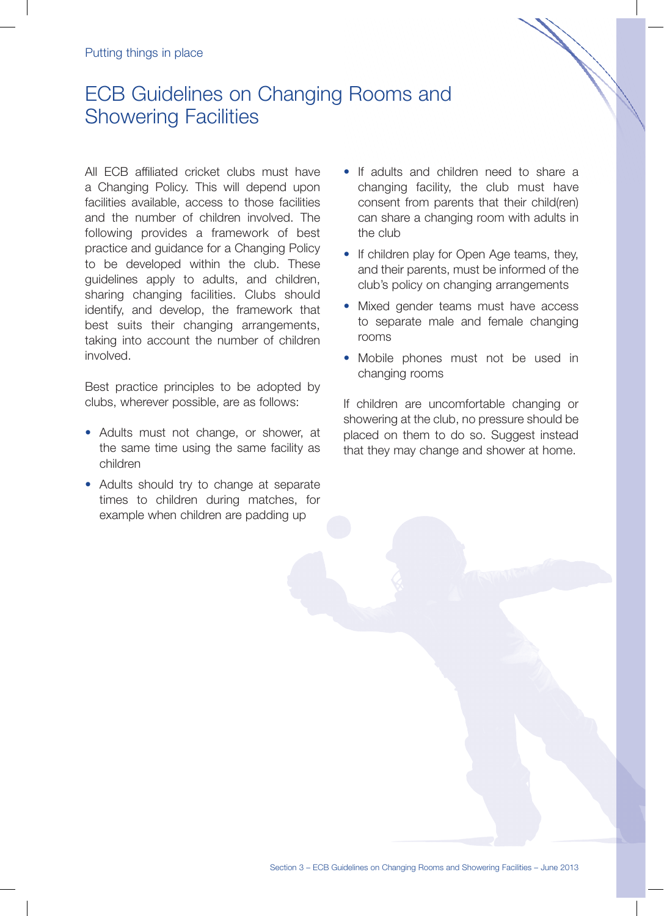# ECB Guidelines on Changing Rooms and Showering Facilities

All ECB affiliated cricket clubs must have a Changing Policy. This will depend upon facilities available, access to those facilities and the number of children involved. The following provides a framework of best practice and guidance for a Changing Policy to be developed within the club. These guidelines apply to adults, and children, sharing changing facilities. Clubs should identify, and develop, the framework that best suits their changing arrangements, taking into account the number of children involved.

Best practice principles to be adopted by clubs, wherever possible, are as follows:

- Adults must not change, or shower, at the same time using the same facility as children
- Adults should try to change at separate times to children during matches, for example when children are padding up
- If adults and children need to share a changing facility, the club must have consent from parents that their child(ren) can share a changing room with adults in the club
- If children play for Open Age teams, they, and their parents, must be informed of the club's policy on changing arrangements
- Mixed gender teams must have access to separate male and female changing rooms
- Mobile phones must not be used in changing rooms

If children are uncomfortable changing or showering at the club, no pressure should be placed on them to do so. Suggest instead that they may change and shower at home.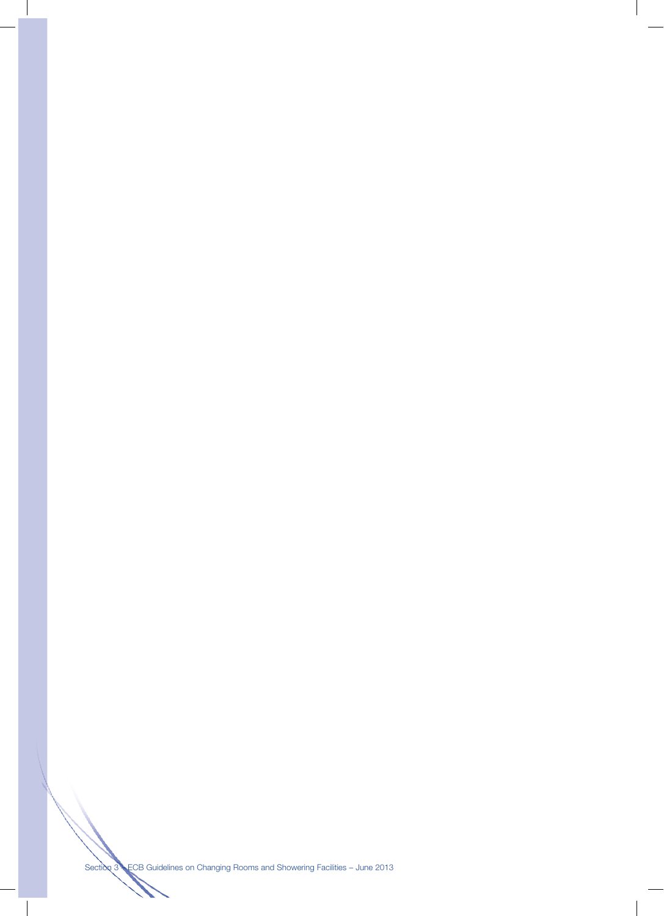Section 3 ECB Guidelines on Changing Rooms and Showering Facilities – June 2013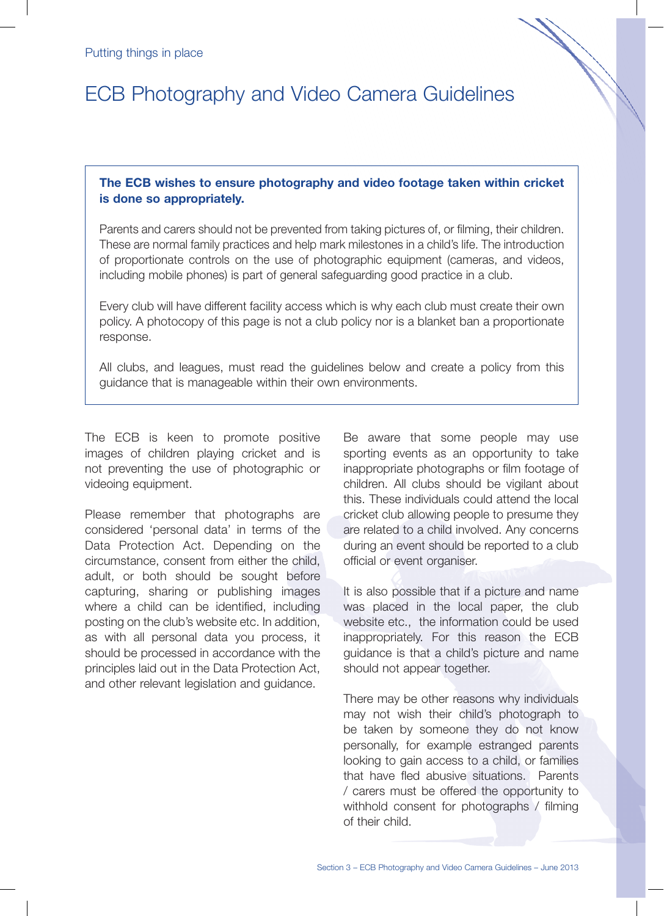# ECB Photography and Video Camera Guidelines

### **The ECB wishes to ensure photography and video footage taken within cricket is done so appropriately.**

Parents and carers should not be prevented from taking pictures of, or filming, their children. These are normal family practices and help mark milestones in a child's life. The introduction of proportionate controls on the use of photographic equipment (cameras, and videos, including mobile phones) is part of general safeguarding good practice in a club.

Every club will have different facility access which is why each club must create their own policy. A photocopy of this page is not a club policy nor is a blanket ban a proportionate response.

All clubs, and leagues, must read the guidelines below and create a policy from this guidance that is manageable within their own environments.

The ECB is keen to promote positive images of children playing cricket and is not preventing the use of photographic or videoing equipment.

Please remember that photographs are considered 'personal data' in terms of the Data Protection Act. Depending on the circumstance, consent from either the child, adult, or both should be sought before capturing, sharing or publishing images where a child can be identified, including posting on the club's website etc. In addition, as with all personal data you process, it should be processed in accordance with the principles laid out in the Data Protection Act, and other relevant legislation and guidance.

Be aware that some people may use sporting events as an opportunity to take inappropriate photographs or film footage of children. All clubs should be vigilant about this. These individuals could attend the local cricket club allowing people to presume they are related to a child involved. Any concerns during an event should be reported to a club official or event organiser.

It is also possible that if a picture and name was placed in the local paper, the club website etc., the information could be used inappropriately. For this reason the ECB guidance is that a child's picture and name should not appear together.

There may be other reasons why individuals may not wish their child's photograph to be taken by someone they do not know personally, for example estranged parents looking to gain access to a child, or families that have fled abusive situations. Parents / carers must be offered the opportunity to withhold consent for photographs / filming of their child.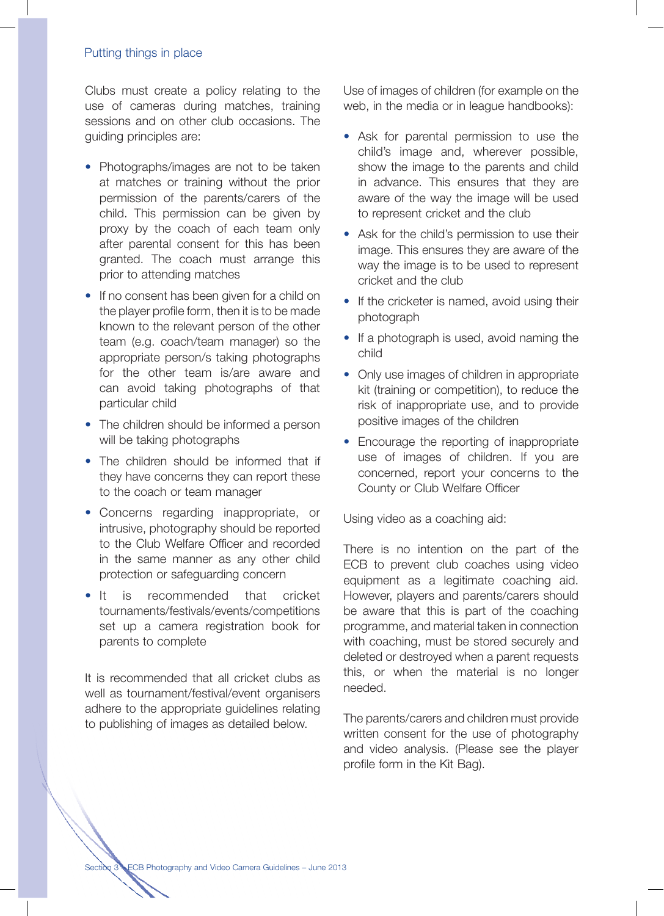#### Putting things in place

Clubs must create a policy relating to the use of cameras during matches, training sessions and on other club occasions. The guiding principles are:

- Photographs/images are not to be taken at matches or training without the prior permission of the parents/carers of the child. This permission can be given by proxy by the coach of each team only after parental consent for this has been granted. The coach must arrange this prior to attending matches
- If no consent has been given for a child on the player profile form, then it is to be made known to the relevant person of the other team (e.g. coach/team manager) so the appropriate person/s taking photographs for the other team is/are aware and can avoid taking photographs of that particular child
- The children should be informed a person will be taking photographs
- The children should be informed that if they have concerns they can report these to the coach or team manager
- Concerns regarding inappropriate, or intrusive, photography should be reported to the Club Welfare Officer and recorded in the same manner as any other child protection or safeguarding concern
- It is recommended that cricket tournaments/festivals/events/competitions set up a camera registration book for parents to complete

It is recommended that all cricket clubs as well as tournament/festival/event organisers adhere to the appropriate guidelines relating to publishing of images as detailed below.

Use of images of children (for example on the web, in the media or in league handbooks):

- Ask for parental permission to use the child's image and, wherever possible, show the image to the parents and child in advance. This ensures that they are aware of the way the image will be used to represent cricket and the club
- Ask for the child's permission to use their image. This ensures they are aware of the way the image is to be used to represent cricket and the club
- If the cricketer is named, avoid using their photograph
- If a photograph is used, avoid naming the child
- Only use images of children in appropriate kit (training or competition), to reduce the risk of inappropriate use, and to provide positive images of the children
- Encourage the reporting of inappropriate use of images of children. If you are concerned, report your concerns to the County or Club Welfare Officer

Using video as a coaching aid:

There is no intention on the part of the ECB to prevent club coaches using video equipment as a legitimate coaching aid. However, players and parents/carers should be aware that this is part of the coaching programme, and material taken in connection with coaching, must be stored securely and deleted or destroyed when a parent requests this, or when the material is no longer needed.

The parents/carers and children must provide written consent for the use of photography and video analysis. (Please see the player profile form in the Kit Bag).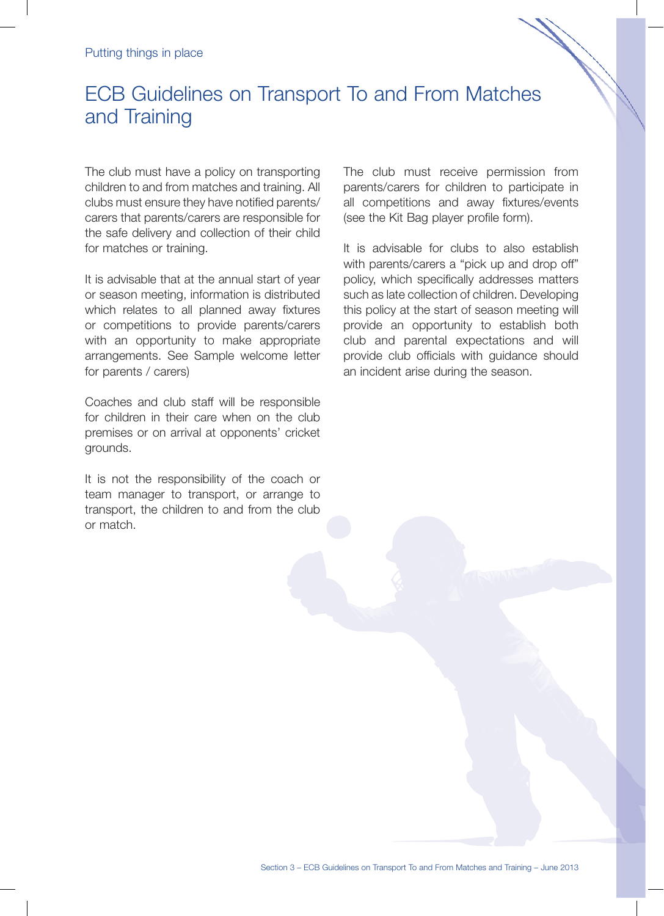# ECB Guidelines on Transport To and From Matches and Training

The club must have a policy on transporting children to and from matches and training. All clubs must ensure they have notified parents/ carers that parents/carers are responsible for the safe delivery and collection of their child for matches or training.

It is advisable that at the annual start of year or season meeting, information is distributed which relates to all planned away fixtures or competitions to provide parents/carers with an opportunity to make appropriate arrangements. See Sample welcome letter for parents / carers)

Coaches and club staff will be responsible for children in their care when on the club premises or on arrival at opponents' cricket grounds.

It is not the responsibility of the coach or team manager to transport, or arrange to transport, the children to and from the club or match.

The club must receive permission from parents/carers for children to participate in all competitions and away fixtures/events (see the Kit Bag player profile form).

It is advisable for clubs to also establish with parents/carers a "pick up and drop off" policy, which specifically addresses matters such as late collection of children. Developing this policy at the start of season meeting will provide an opportunity to establish both club and parental expectations and will provide club officials with guidance should an incident arise during the season.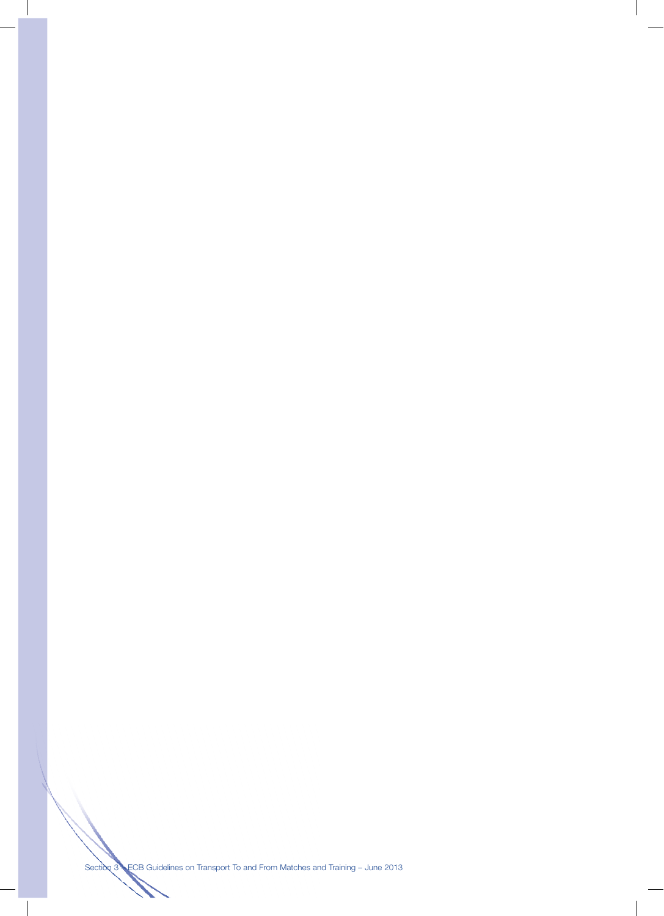Section 3 LECB Guidelines on Transport To and From Matches and Training – June 2013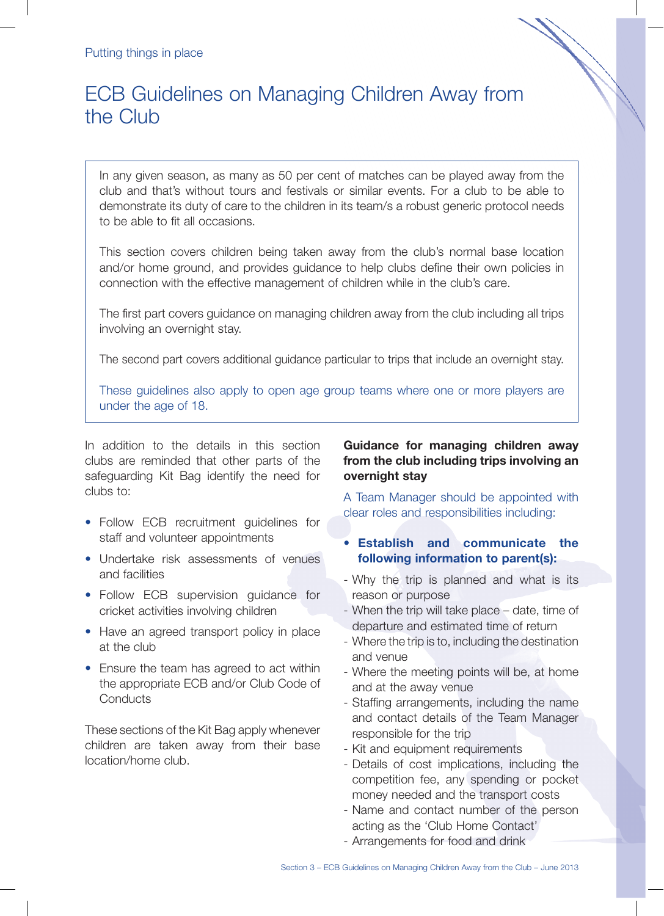## ECB Guidelines on Managing Children Away from the Club

In any given season, as many as 50 per cent of matches can be played away from the club and that's without tours and festivals or similar events. For a club to be able to demonstrate its duty of care to the children in its team/s a robust generic protocol needs to be able to fit all occasions.

This section covers children being taken away from the club's normal base location and/or home ground, and provides guidance to help clubs define their own policies in connection with the effective management of children while in the club's care.

The first part covers guidance on managing children away from the club including all trips involving an overnight stay.

The second part covers additional guidance particular to trips that include an overnight stay.

These guidelines also apply to open age group teams where one or more players are under the age of 18.

In addition to the details in this section clubs are reminded that other parts of the safeguarding Kit Bag identify the need for clubs to:

- Follow ECB recruitment guidelines for staff and volunteer appointments
- Undertake risk assessments of venues and facilities
- Follow ECB supervision guidance for cricket activities involving children
- Have an agreed transport policy in place at the club
- Ensure the team has agreed to act within the appropriate ECB and/or Club Code of **Conducts**

These sections of the Kit Bag apply whenever children are taken away from their base location/home club.

### **Guidance for managing children away from the club including trips involving an overnight stay**

A Team Manager should be appointed with clear roles and responsibilities including:

### • **Establish and communicate the following information to parent(s):**

- Why the trip is planned and what is its reason or purpose
- When the trip will take place date, time of departure and estimated time of return
- Where the trip is to, including the destination and venue
- Where the meeting points will be, at home and at the away venue
- Staffing arrangements, including the name and contact details of the Team Manager responsible for the trip
- Kit and equipment requirements
- Details of cost implications, including the competition fee, any spending or pocket money needed and the transport costs
- Name and contact number of the person acting as the 'Club Home Contact'
- Arrangements for food and drink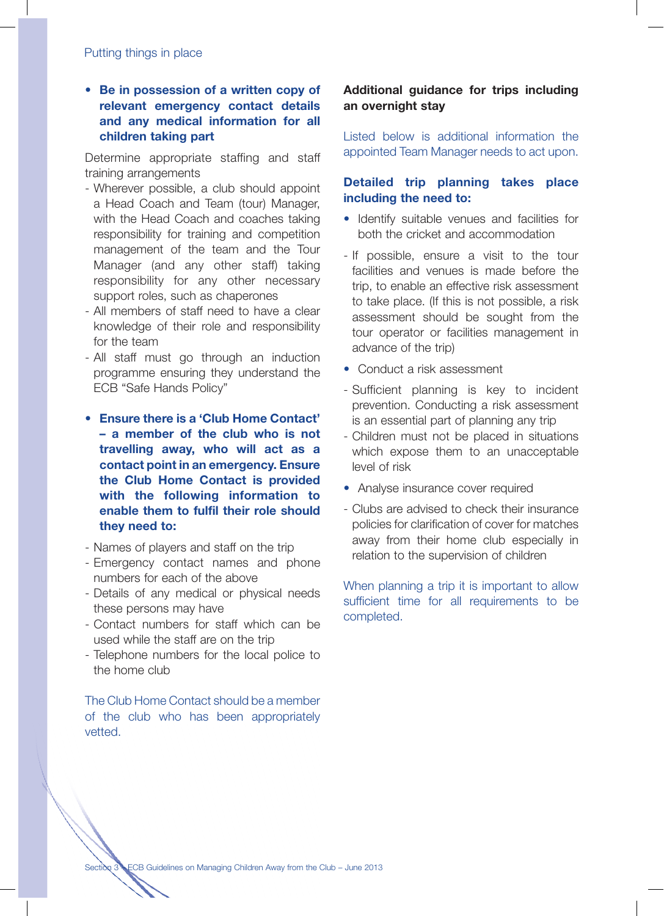• **Be in possession of a written copy of relevant emergency contact details and any medical information for all children taking part**

Determine appropriate staffing and staff training arrangements

- Wherever possible, a club should appoint a Head Coach and Team (tour) Manager, with the Head Coach and coaches taking responsibility for training and competition management of the team and the Tour Manager (and any other staff) taking responsibility for any other necessary support roles, such as chaperones
- All members of staff need to have a clear knowledge of their role and responsibility for the team
- All staff must go through an induction programme ensuring they understand the ECB "Safe Hands Policy"
- **Ensure there is a 'Club Home Contact' – a member of the club who is not travelling away, who will act as a contact point in an emergency. Ensure the Club Home Contact is provided with the following information to enable them to fulfil their role should they need to:**
- Names of players and staff on the trip
- Emergency contact names and phone numbers for each of the above
- Details of any medical or physical needs these persons may have
- Contact numbers for staff which can be used while the staff are on the trip
- Telephone numbers for the local police to the home club

The Club Home Contact should be a member of the club who has been appropriately vetted.

### **Additional guidance for trips including an overnight stay**

Listed below is additional information the appointed Team Manager needs to act upon.

### **Detailed trip planning takes place including the need to:**

- Identify suitable venues and facilities for both the cricket and accommodation
- If possible, ensure a visit to the tour facilities and venues is made before the trip, to enable an effective risk assessment to take place. (If this is not possible, a risk assessment should be sought from the tour operator or facilities management in advance of the trip)
- Conduct a risk assessment
- Sufficient planning is key to incident prevention. Conducting a risk assessment is an essential part of planning any trip
- Children must not be placed in situations which expose them to an unacceptable level of risk
- Analyse insurance cover required
- Clubs are advised to check their insurance policies for clarification of cover for matches away from their home club especially in relation to the supervision of children

When planning a trip it is important to allow sufficient time for all requirements to be completed.

Section 3 – ECB Guidelines on Managing Children Away from the Club – June 2013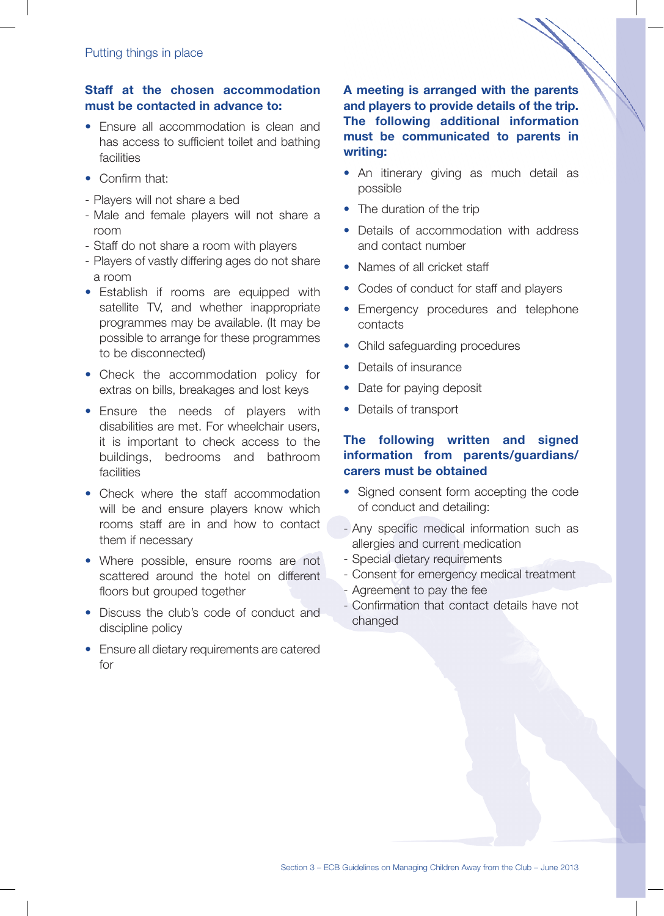## **Staff at the chosen accommodation must be contacted in advance to:**

- Ensure all accommodation is clean and has access to sufficient toilet and bathing facilities
- Confirm that:
- Players will not share a bed
- Male and female players will not share a room
- Staff do not share a room with players
- Players of vastly differing ages do not share a room
- Establish if rooms are equipped with satellite TV, and whether inappropriate programmes may be available. (It may be possible to arrange for these programmes to be disconnected)
- Check the accommodation policy for extras on bills, breakages and lost keys
- Ensure the needs of players with disabilities are met. For wheelchair users, it is important to check access to the buildings, bedrooms and bathroom facilities
- Check where the staff accommodation will be and ensure players know which rooms staff are in and how to contact them if necessary
- Where possible, ensure rooms are not scattered around the hotel on different floors but grouped together
- Discuss the club's code of conduct and discipline policy
- Ensure all dietary requirements are catered for

## **A meeting is arranged with the parents and players to provide details of the trip. The following additional information must be communicated to parents in writing:**

- An itinerary giving as much detail as possible
- The duration of the trip
- Details of accommodation with address and contact number
- Names of all cricket staff
- Codes of conduct for staff and players
- Emergency procedures and telephone contacts
- Child safeguarding procedures
- Details of insurance
- Date for paying deposit
- Details of transport

## **The following written and signed information from parents/guardians/ carers must be obtained**

- Signed consent form accepting the code of conduct and detailing:
- Any specific medical information such as allergies and current medication
- Special dietary requirements
- Consent for emergency medical treatment
- Agreement to pay the fee
- Confirmation that contact details have not changed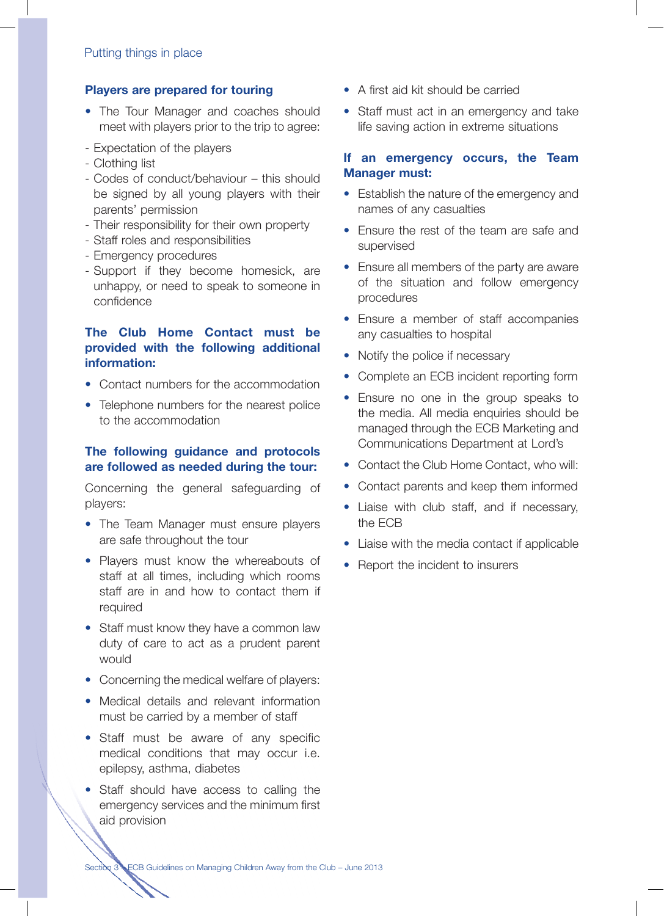#### **Players are prepared for touring**

- The Tour Manager and coaches should meet with players prior to the trip to agree:
- Expectation of the players
- Clothing list
- Codes of conduct/behaviour this should be signed by all young players with their parents' permission
- Their responsibility for their own property
- Staff roles and responsibilities
- Emergency procedures
- Support if they become homesick, are unhappy, or need to speak to someone in confidence

## **The Club Home Contact must be provided with the following additional information:**

- Contact numbers for the accommodation
- Telephone numbers for the nearest police to the accommodation

### **The following guidance and protocols are followed as needed during the tour:**

Concerning the general safeguarding of players:

- The Team Manager must ensure players are safe throughout the tour
- Players must know the whereabouts of staff at all times, including which rooms staff are in and how to contact them if required
- Staff must know they have a common law duty of care to act as a prudent parent would
- Concerning the medical welfare of players:
- Medical details and relevant information must be carried by a member of staff
- Staff must be aware of any specific medical conditions that may occur i.e. epilepsy, asthma, diabetes
- Staff should have access to calling the emergency services and the minimum first aid provision
- A first aid kit should be carried
- Staff must act in an emergency and take life saving action in extreme situations

## **If an emergency occurs, the Team Manager must:**

- Establish the nature of the emergency and names of any casualties
- Ensure the rest of the team are safe and supervised
- Ensure all members of the party are aware of the situation and follow emergency procedures
- Ensure a member of staff accompanies any casualties to hospital
- Notify the police if necessary
- Complete an ECB incident reporting form
- Ensure no one in the group speaks to the media. All media enquiries should be managed through the ECB Marketing and Communications Department at Lord's
- Contact the Club Home Contact, who will:
- Contact parents and keep them informed
- Liaise with club staff, and if necessary, the ECB
- Liaise with the media contact if applicable
- Report the incident to insurers

Section 3 – ECB Guidelines on Managing Children Away from the Club – June 2013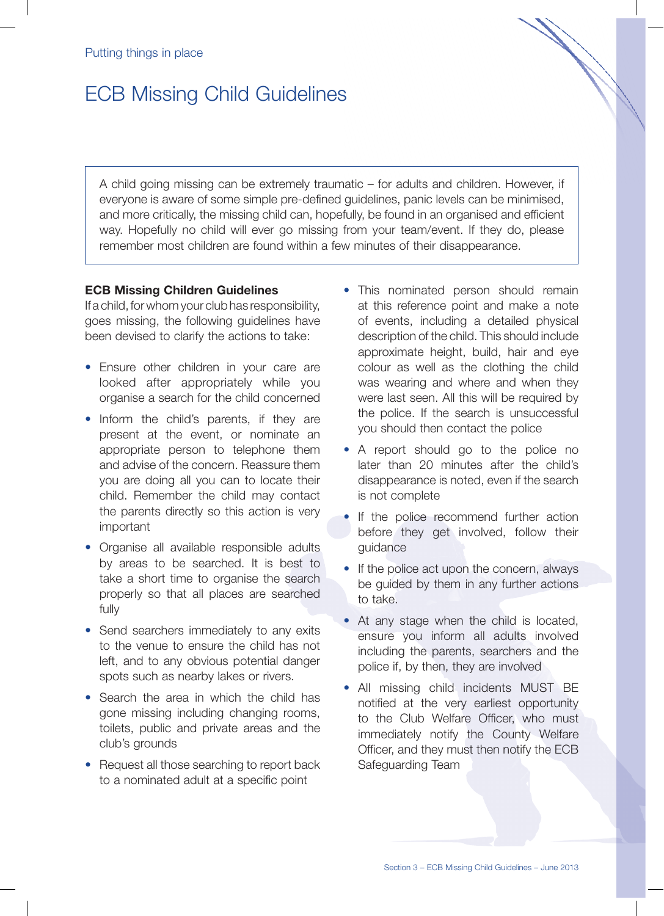# ECB Missing Child Guidelines

A child going missing can be extremely traumatic – for adults and children. However, if everyone is aware of some simple pre-defined guidelines, panic levels can be minimised, and more critically, the missing child can, hopefully, be found in an organised and efficient way. Hopefully no child will ever go missing from your team/event. If they do, please remember most children are found within a few minutes of their disappearance.

## **ECB Missing Children Guidelines**

If a child, for whom your club has responsibility, goes missing, the following guidelines have been devised to clarify the actions to take:

- Ensure other children in your care are looked after appropriately while you organise a search for the child concerned
- Inform the child's parents, if they are present at the event, or nominate an appropriate person to telephone them and advise of the concern. Reassure them you are doing all you can to locate their child. Remember the child may contact the parents directly so this action is very important
- Organise all available responsible adults by areas to be searched. It is best to take a short time to organise the search properly so that all places are searched fully
- Send searchers immediately to any exits to the venue to ensure the child has not left, and to any obvious potential danger spots such as nearby lakes or rivers.
- Search the area in which the child has gone missing including changing rooms, toilets, public and private areas and the club's grounds
- Request all those searching to report back to a nominated adult at a specific point
- This nominated person should remain at this reference point and make a note of events, including a detailed physical description of the child. This should include approximate height, build, hair and eye colour as well as the clothing the child was wearing and where and when they were last seen. All this will be required by the police. If the search is unsuccessful you should then contact the police
- A report should go to the police no later than 20 minutes after the child's disappearance is noted, even if the search is not complete
- If the police recommend further action before they get involved, follow their guidance
- If the police act upon the concern, always be guided by them in any further actions to take.
- At any stage when the child is located, ensure you inform all adults involved including the parents, searchers and the police if, by then, they are involved
- All missing child incidents MUST BE notified at the very earliest opportunity to the Club Welfare Officer, who must immediately notify the County Welfare Officer, and they must then notify the ECB Safeguarding Team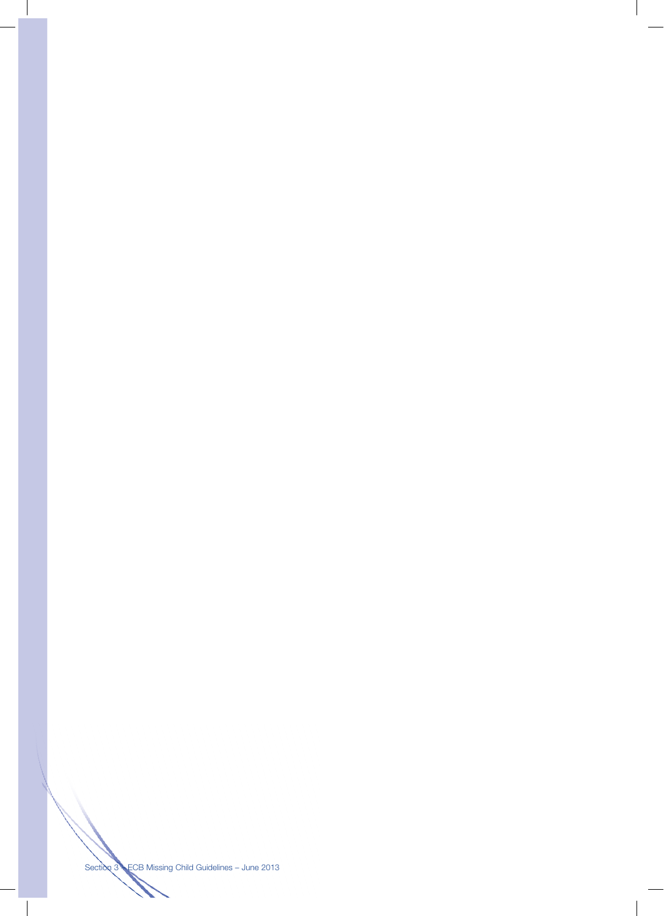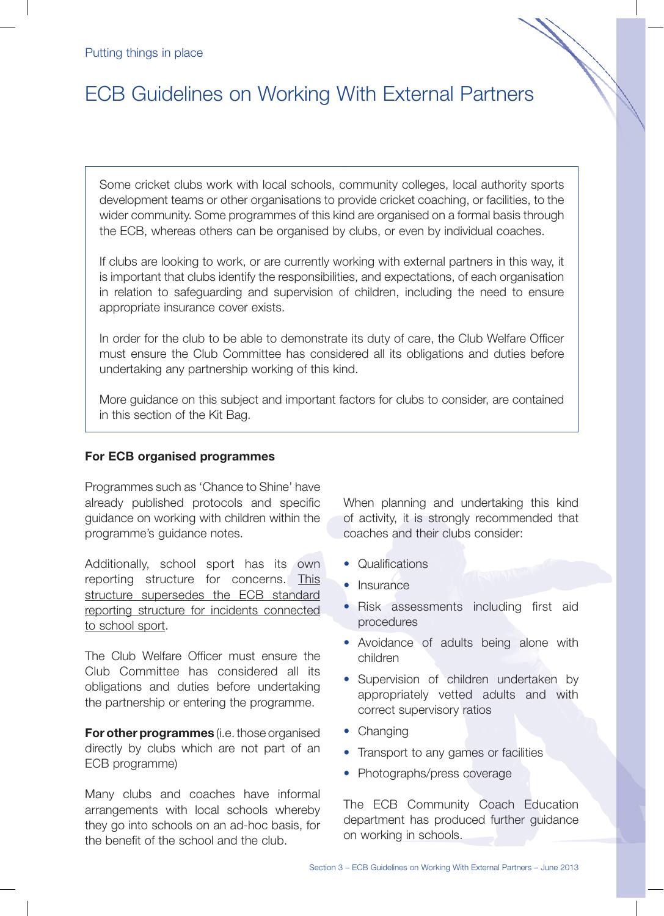# ECB Guidelines on Working With External Partners

Some cricket clubs work with local schools, community colleges, local authority sports development teams or other organisations to provide cricket coaching, or facilities, to the wider community. Some programmes of this kind are organised on a formal basis through the ECB, whereas others can be organised by clubs, or even by individual coaches.

If clubs are looking to work, or are currently working with external partners in this way, it is important that clubs identify the responsibilities, and expectations, of each organisation in relation to safeguarding and supervision of children, including the need to ensure appropriate insurance cover exists.

In order for the club to be able to demonstrate its duty of care, the Club Welfare Officer must ensure the Club Committee has considered all its obligations and duties before undertaking any partnership working of this kind.

More guidance on this subject and important factors for clubs to consider, are contained in this section of the Kit Bag.

## **For ECB organised programmes**

Programmes such as 'Chance to Shine' have already published protocols and specific guidance on working with children within the programme's guidance notes.

Additionally, school sport has its own reporting structure for concerns. This structure supersedes the ECB standard reporting structure for incidents connected to school sport.

The Club Welfare Officer must ensure the Club Committee has considered all its obligations and duties before undertaking the partnership or entering the programme.

**For other programmes** (i.e. those organised directly by clubs which are not part of an ECB programme)

Many clubs and coaches have informal arrangements with local schools whereby they go into schools on an ad-hoc basis, for the benefit of the school and the club.

When planning and undertaking this kind of activity, it is strongly recommended that coaches and their clubs consider:

- Qualifications
- Insurance
- Risk assessments including first aid procedures
- Avoidance of adults being alone with children
- Supervision of children undertaken by appropriately vetted adults and with correct supervisory ratios
- Changing
- Transport to any games or facilities
- Photographs/press coverage

The ECB Community Coach Education department has produced further guidance on working in schools.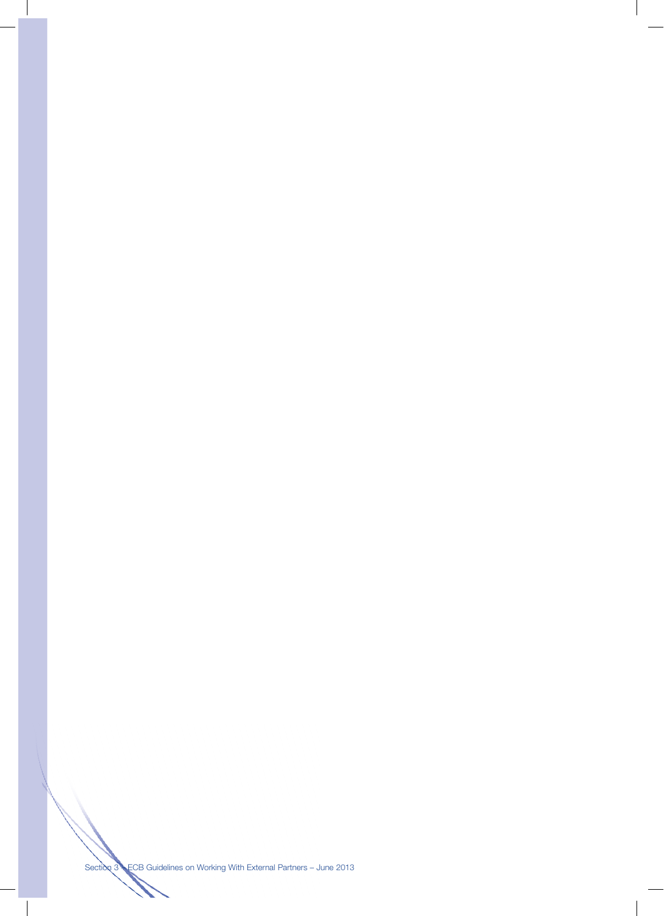Section 3 – ECB Guidelines on Working With External Partners – June 2013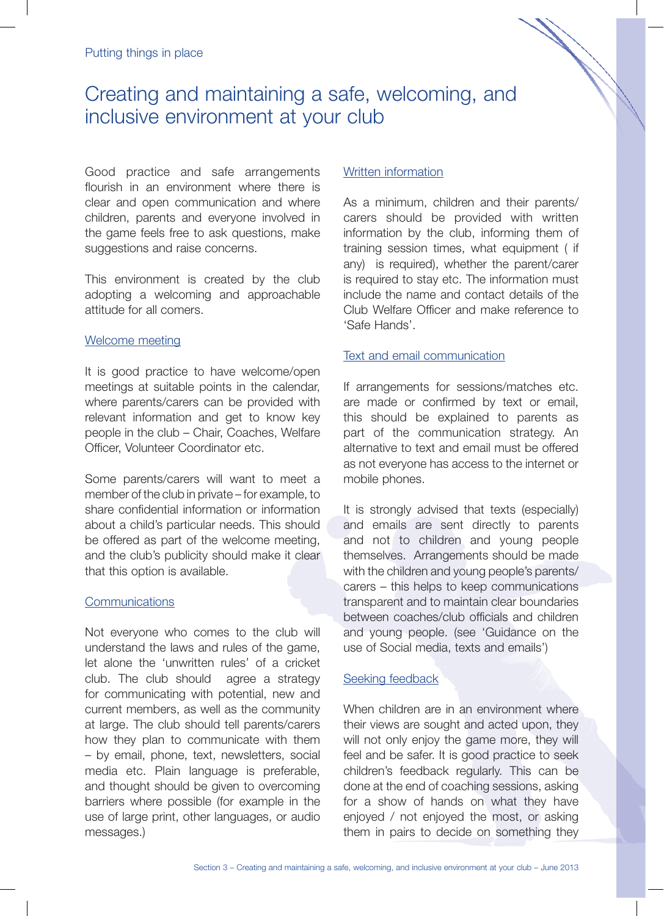# Creating and maintaining a safe, welcoming, and inclusive environment at your club

Good practice and safe arrangements flourish in an environment where there is clear and open communication and where children, parents and everyone involved in the game feels free to ask questions, make suggestions and raise concerns.

This environment is created by the club adopting a welcoming and approachable attitude for all comers.

## Welcome meeting

It is good practice to have welcome/open meetings at suitable points in the calendar, where parents/carers can be provided with relevant information and get to know key people in the club – Chair, Coaches, Welfare Officer, Volunteer Coordinator etc.

Some parents/carers will want to meet a member of the club in private – for example, to share confidential information or information about a child's particular needs. This should be offered as part of the welcome meeting, and the club's publicity should make it clear that this option is available.

## **Communications**

Not everyone who comes to the club will understand the laws and rules of the game, let alone the 'unwritten rules' of a cricket club. The club should agree a strategy for communicating with potential, new and current members, as well as the community at large. The club should tell parents/carers how they plan to communicate with them – by email, phone, text, newsletters, social media etc. Plain language is preferable, and thought should be given to overcoming barriers where possible (for example in the use of large print, other languages, or audio messages.)

## Written information

As a minimum, children and their parents/ carers should be provided with written information by the club, informing them of training session times, what equipment ( if any) is required), whether the parent/carer is required to stay etc. The information must include the name and contact details of the Club Welfare Officer and make reference to 'Safe Hands'.

## Text and email communication

If arrangements for sessions/matches etc. are made or confirmed by text or email, this should be explained to parents as part of the communication strategy. An alternative to text and email must be offered as not everyone has access to the internet or mobile phones.

It is strongly advised that texts (especially) and emails are sent directly to parents and not to children and young people themselves. Arrangements should be made with the children and young people's parents/ carers – this helps to keep communications transparent and to maintain clear boundaries between coaches/club officials and children and young people. (see 'Guidance on the use of Social media, texts and emails')

## Seeking feedback

When children are in an environment where their views are sought and acted upon, they will not only enjoy the game more, they will feel and be safer. It is good practice to seek children's feedback regularly. This can be done at the end of coaching sessions, asking for a show of hands on what they have enjoyed / not enjoyed the most, or asking them in pairs to decide on something they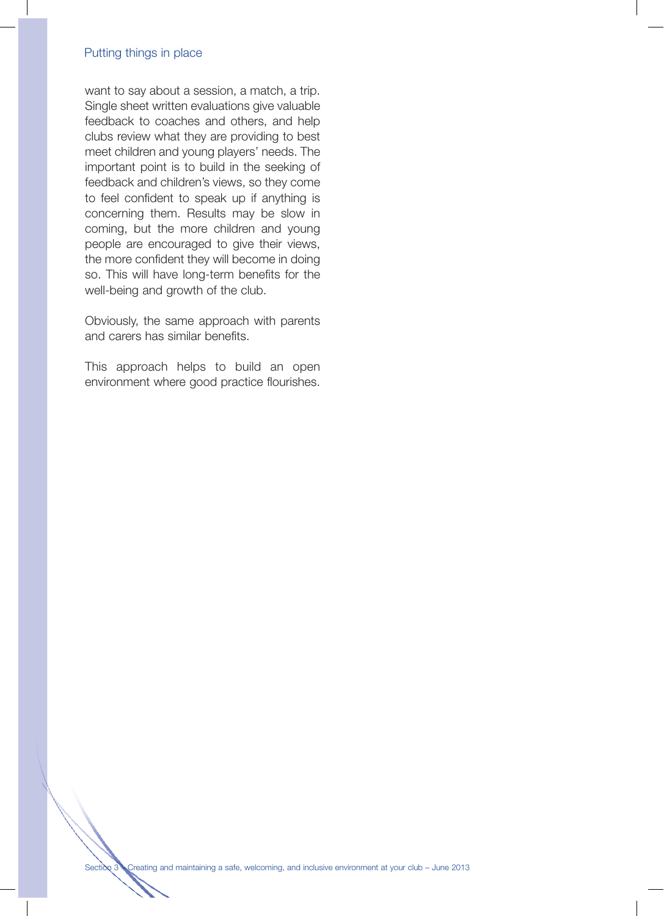#### Putting things in place

want to say about a session, a match, a trip. Single sheet written evaluations give valuable feedback to coaches and others, and help clubs review what they are providing to best meet children and young players' needs. The important point is to build in the seeking of feedback and children's views, so they come to feel confident to speak up if anything is concerning them. Results may be slow in coming, but the more children and young people are encouraged to give their views, the more confident they will become in doing so. This will have long-term benefits for the well-being and growth of the club.

Obviously, the same approach with parents and carers has similar benefits.

This approach helps to build an open environment where good practice flourishes.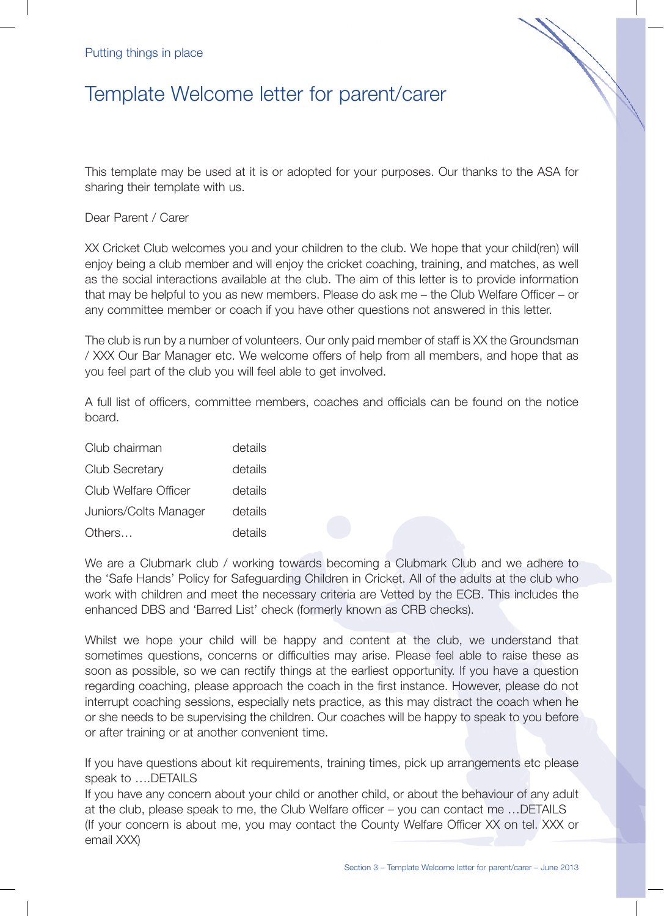# Template Welcome letter for parent/carer

This template may be used at it is or adopted for your purposes. Our thanks to the ASA for sharing their template with us.

Dear Parent / Carer

XX Cricket Club welcomes you and your children to the club. We hope that your child(ren) will enjoy being a club member and will enjoy the cricket coaching, training, and matches, as well as the social interactions available at the club. The aim of this letter is to provide information that may be helpful to you as new members. Please do ask me – the Club Welfare Officer – or any committee member or coach if you have other questions not answered in this letter.

The club is run by a number of volunteers. Our only paid member of staff is XX the Groundsman / XXX Our Bar Manager etc. We welcome offers of help from all members, and hope that as you feel part of the club you will feel able to get involved.

A full list of officers, committee members, coaches and officials can be found on the notice board.

| Club chairman         | details |
|-----------------------|---------|
| <b>Club Secretary</b> | details |
| Club Welfare Officer  | details |
| Juniors/Colts Manager | details |
| Others                | details |

We are a Clubmark club / working towards becoming a Clubmark Club and we adhere to the 'Safe Hands' Policy for Safeguarding Children in Cricket. All of the adults at the club who work with children and meet the necessary criteria are Vetted by the ECB. This includes the enhanced DBS and 'Barred List' check (formerly known as CRB checks).

Whilst we hope your child will be happy and content at the club, we understand that sometimes questions, concerns or difficulties may arise. Please feel able to raise these as soon as possible, so we can rectify things at the earliest opportunity. If you have a question regarding coaching, please approach the coach in the first instance. However, please do not interrupt coaching sessions, especially nets practice, as this may distract the coach when he or she needs to be supervising the children. Our coaches will be happy to speak to you before or after training or at another convenient time.

If you have questions about kit requirements, training times, pick up arrangements etc please speak to ….DETAILS

If you have any concern about your child or another child, or about the behaviour of any adult at the club, please speak to me, the Club Welfare officer – you can contact me …DETAILS (If your concern is about me, you may contact the County Welfare Officer XX on tel. XXX or email XXX)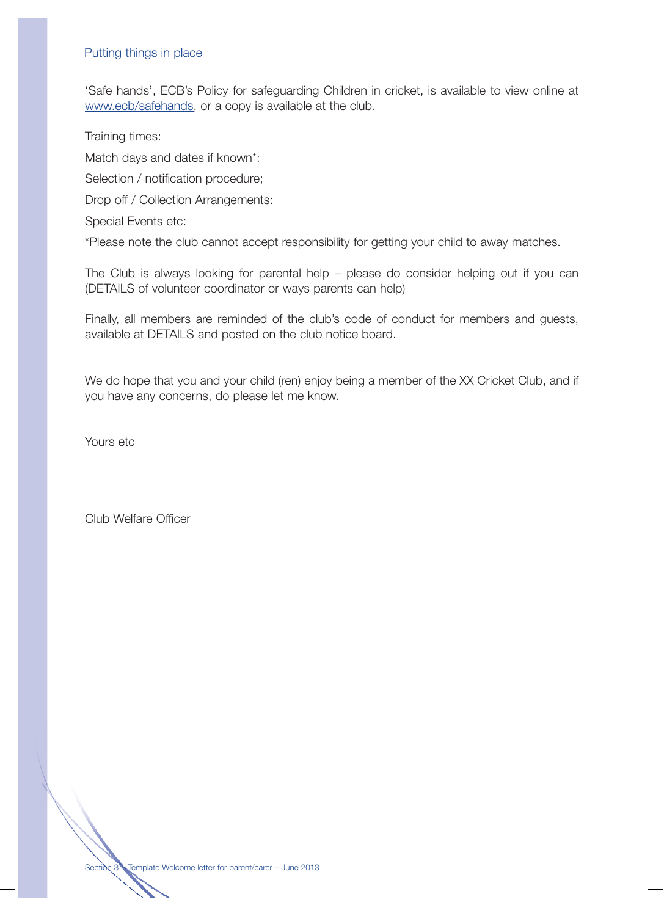### Putting things in place

'Safe hands', ECB's Policy for safeguarding Children in cricket, is available to view online at www.ecb/safehands, or a copy is available at the club.

Training times:

Match days and dates if known\*:

Selection / notification procedure;

Drop off / Collection Arrangements:

Special Events etc:

\*Please note the club cannot accept responsibility for getting your child to away matches.

The Club is always looking for parental help – please do consider helping out if you can (DETAILS of volunteer coordinator or ways parents can help)

Finally, all members are reminded of the club's code of conduct for members and guests, available at DETAILS and posted on the club notice board.

We do hope that you and your child (ren) enjoy being a member of the XX Cricket Club, and if you have any concerns, do please let me know.

Yours etc

Club Welfare Officer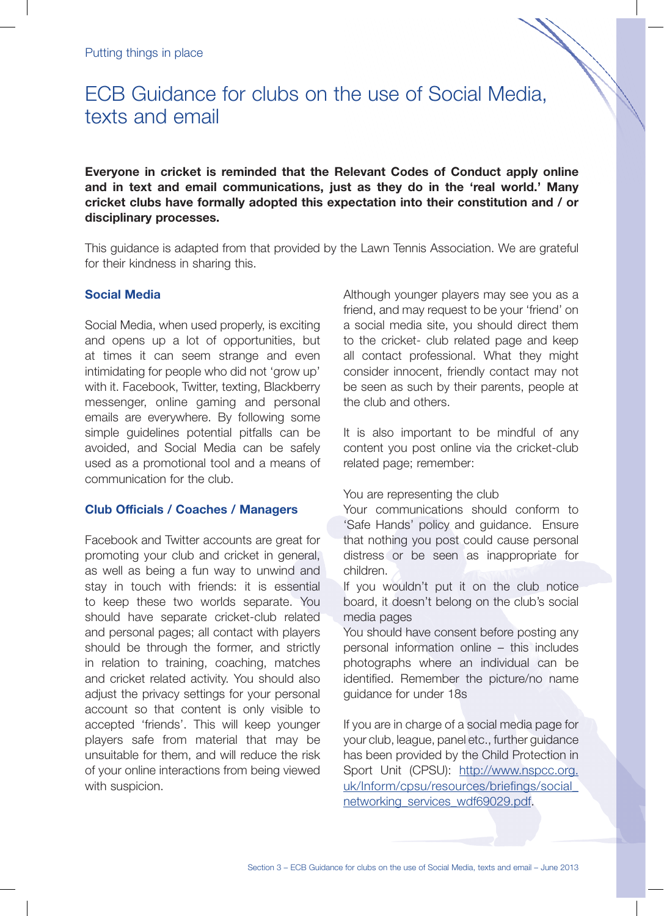# ECB Guidance for clubs on the use of Social Media, texts and email

**Everyone in cricket is reminded that the Relevant Codes of Conduct apply online and in text and email communications, just as they do in the 'real world.' Many cricket clubs have formally adopted this expectation into their constitution and / or disciplinary processes.**

This guidance is adapted from that provided by the Lawn Tennis Association. We are grateful for their kindness in sharing this.

#### **Social Media**

Social Media, when used properly, is exciting and opens up a lot of opportunities, but at times it can seem strange and even intimidating for people who did not 'grow up' with it. Facebook, Twitter, texting, Blackberry messenger, online gaming and personal emails are everywhere. By following some simple guidelines potential pitfalls can be avoided, and Social Media can be safely used as a promotional tool and a means of communication for the club.

#### **Club Officials / Coaches / Managers**

Facebook and Twitter accounts are great for promoting your club and cricket in general, as well as being a fun way to unwind and stay in touch with friends: it is essential to keep these two worlds separate. You should have separate cricket-club related and personal pages; all contact with players should be through the former, and strictly in relation to training, coaching, matches and cricket related activity. You should also adjust the privacy settings for your personal account so that content is only visible to accepted 'friends'. This will keep younger players safe from material that may be unsuitable for them, and will reduce the risk of your online interactions from being viewed with suspicion.

Although younger players may see you as a friend, and may request to be your 'friend' on a social media site, you should direct them to the cricket- club related page and keep all contact professional. What they might consider innocent, friendly contact may not be seen as such by their parents, people at the club and others.

It is also important to be mindful of any content you post online via the cricket-club related page; remember:

#### You are representing the club

Your communications should conform to 'Safe Hands' policy and guidance. Ensure that nothing you post could cause personal distress or be seen as inappropriate for children.

If you wouldn't put it on the club notice board, it doesn't belong on the club's social media pages

You should have consent before posting any personal information online – this includes photographs where an individual can be identified. Remember the picture/no name guidance for under 18s

If you are in charge of a social media page for your club, league, panel etc., further guidance has been provided by the Child Protection in Sport Unit (CPSU): http://www.nspcc.org. uk/Inform/cpsu/resources/briefings/social\_ networking\_services\_wdf69029.pdf.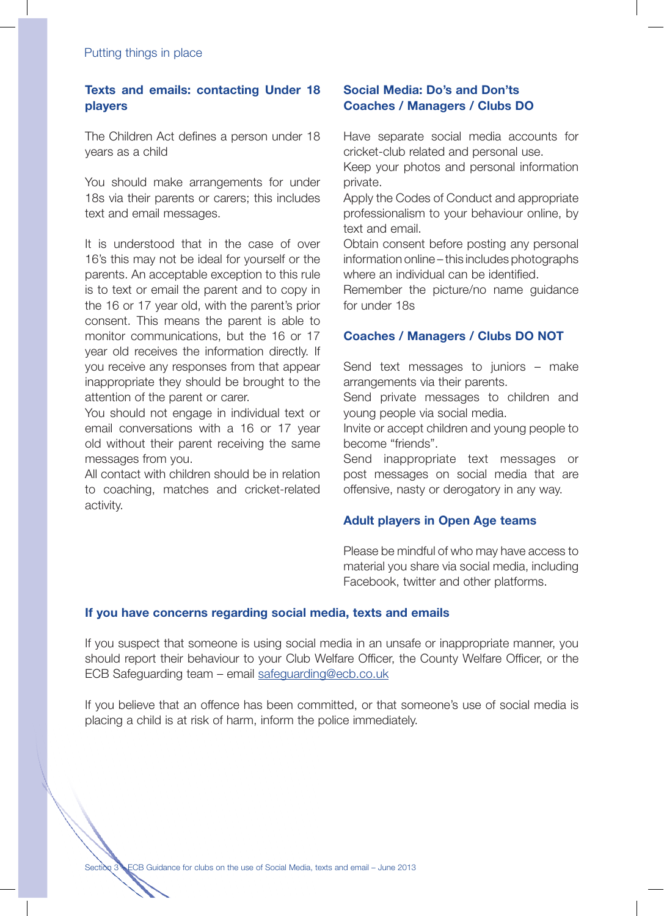## **Texts and emails: contacting Under 18 players**

The Children Act defines a person under 18 years as a child

You should make arrangements for under 18s via their parents or carers; this includes text and email messages.

It is understood that in the case of over 16's this may not be ideal for yourself or the parents. An acceptable exception to this rule is to text or email the parent and to copy in the 16 or 17 year old, with the parent's prior consent. This means the parent is able to monitor communications, but the 16 or 17 year old receives the information directly. If you receive any responses from that appear inappropriate they should be brought to the attention of the parent or carer.

You should not engage in individual text or email conversations with a 16 or 17 year old without their parent receiving the same messages from you.

All contact with children should be in relation to coaching, matches and cricket-related activity.

## **Social Media: Do's and Don'ts Coaches / Managers / Clubs DO**

Have separate social media accounts for cricket-club related and personal use. Keep your photos and personal information private.

Apply the Codes of Conduct and appropriate professionalism to your behaviour online, by text and email.

Obtain consent before posting any personal information online – this includes photographs where an individual can be identified.

Remember the picture/no name guidance for under 18s

## **Coaches / Managers / Clubs DO NOT**

Send text messages to juniors – make arrangements via their parents.

Send private messages to children and young people via social media.

Invite or accept children and young people to become "friends".

Send inappropriate text messages or post messages on social media that are offensive, nasty or derogatory in any way.

## **Adult players in Open Age teams**

Please be mindful of who may have access to material you share via social media, including Facebook, twitter and other platforms.

#### **If you have concerns regarding social media, texts and emails**

If you suspect that someone is using social media in an unsafe or inappropriate manner, you should report their behaviour to your Club Welfare Officer, the County Welfare Officer, or the ECB Safeguarding team – email safeguarding@ecb.co.uk

If you believe that an offence has been committed, or that someone's use of social media is placing a child is at risk of harm, inform the police immediately.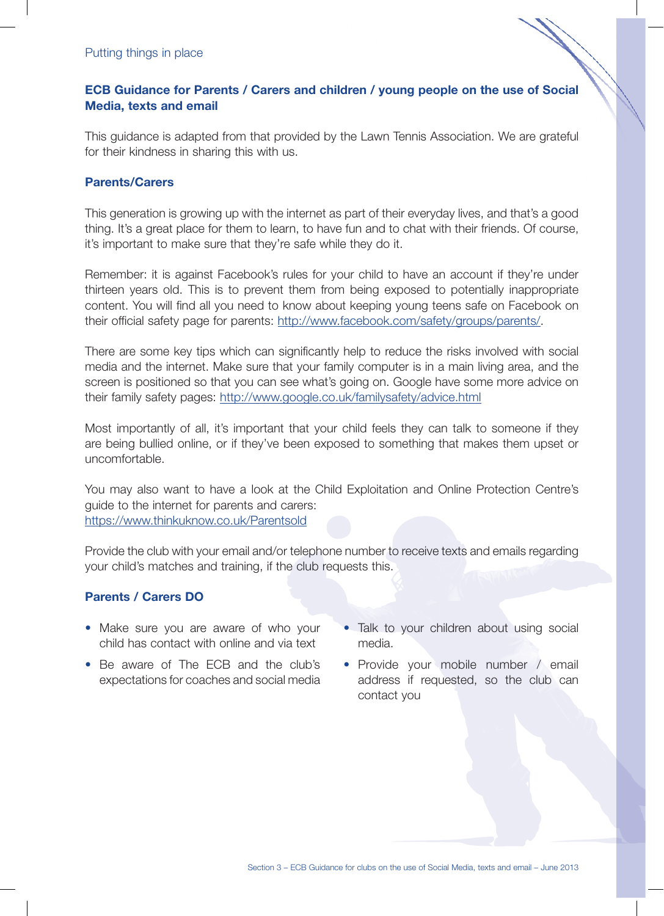## **ECB Guidance for Parents / Carers and children / young people on the use of Social Media, texts and email**

This guidance is adapted from that provided by the Lawn Tennis Association. We are grateful for their kindness in sharing this with us.

### **Parents/Carers**

This generation is growing up with the internet as part of their everyday lives, and that's a good thing. It's a great place for them to learn, to have fun and to chat with their friends. Of course, it's important to make sure that they're safe while they do it.

Remember: it is against Facebook's rules for your child to have an account if they're under thirteen years old. This is to prevent them from being exposed to potentially inappropriate content. You will find all you need to know about keeping young teens safe on Facebook on their official safety page for parents: http://www.facebook.com/safety/groups/parents/.

There are some key tips which can significantly help to reduce the risks involved with social media and the internet. Make sure that your family computer is in a main living area, and the screen is positioned so that you can see what's going on. Google have some more advice on their family safety pages: http://www.google.co.uk/familysafety/advice.html

Most importantly of all, it's important that your child feels they can talk to someone if they are being bullied online, or if they've been exposed to something that makes them upset or uncomfortable.

You may also want to have a look at the Child Exploitation and Online Protection Centre's guide to the internet for parents and carers: https://www.thinkuknow.co.uk/Parentsold

Provide the club with your email and/or telephone number to receive texts and emails regarding your child's matches and training, if the club requests this.

#### **Parents / Carers DO**

- Make sure you are aware of who your child has contact with online and via text
- Be aware of The ECB and the club's expectations for coaches and social media
- Talk to your children about using social media.
- Provide your mobile number / email address if requested, so the club can contact you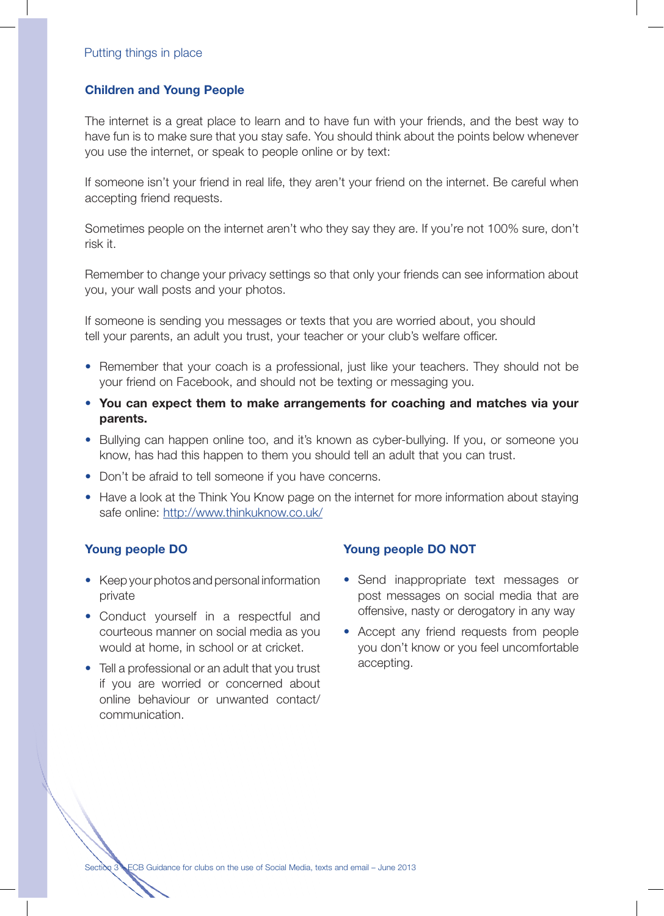#### Putting things in place

## **Children and Young People**

The internet is a great place to learn and to have fun with your friends, and the best way to have fun is to make sure that you stay safe. You should think about the points below whenever you use the internet, or speak to people online or by text:

If someone isn't your friend in real life, they aren't your friend on the internet. Be careful when accepting friend requests.

Sometimes people on the internet aren't who they say they are. If you're not 100% sure, don't risk it.

Remember to change your privacy settings so that only your friends can see information about you, your wall posts and your photos.

If someone is sending you messages or texts that you are worried about, you should tell your parents, an adult you trust, your teacher or your club's welfare officer.

- Remember that your coach is a professional, just like your teachers. They should not be your friend on Facebook, and should not be texting or messaging you.
- **You can expect them to make arrangements for coaching and matches via your parents.**
- Bullying can happen online too, and it's known as cyber-bullying. If you, or someone you know, has had this happen to them you should tell an adult that you can trust.
- Don't be afraid to tell someone if you have concerns.
- Have a look at the Think You Know page on the internet for more information about staying safe online: http://www.thinkuknow.co.uk/

#### **Young people DO**

- Keep your photos and personal information private
- Conduct yourself in a respectful and courteous manner on social media as you would at home, in school or at cricket.
- Tell a professional or an adult that you trust if you are worried or concerned about online behaviour or unwanted contact/ communication.

#### **Young people DO NOT**

- Send inappropriate text messages or post messages on social media that are offensive, nasty or derogatory in any way
- Accept any friend requests from people you don't know or you feel uncomfortable accepting.

Section 3 ECB Guidance for clubs on the use of Social Media, texts and email – June 2013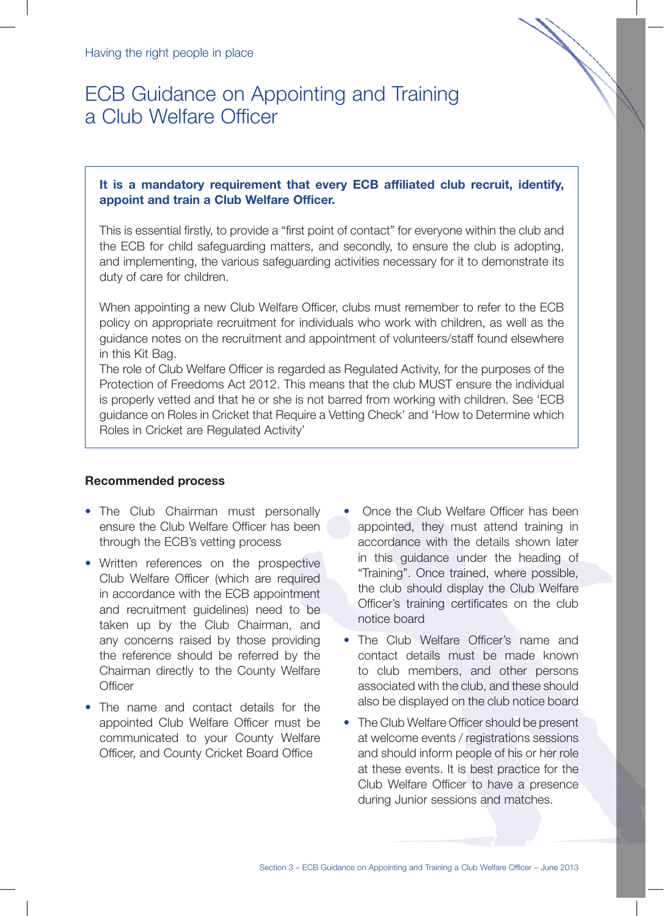# ECB Guidance on Appointing and Training a Club Welfare Officer

## **It is a mandatory requirement that every ECB affiliated club recruit, identify, appoint and train a Club Welfare Officer.**

This is essential firstly, to provide a "first point of contact" for everyone within the club and the ECB for child safeguarding matters, and secondly, to ensure the club is adopting, and implementing, the various safeguarding activities necessary for it to demonstrate its duty of care for children.

When appointing a new Club Welfare Officer, clubs must remember to refer to the ECB policy on appropriate recruitment for individuals who work with children, as well as the guidance notes on the recruitment and appointment of volunteers/staff found elsewhere in this Kit Bag.

The role of Club Welfare Officer is regarded as Regulated Activity, for the purposes of the Protection of Freedoms Act 2012. This means that the club MUST ensure the individual is properly vetted and that he or she is not barred from working with children. See 'ECB guidance on Roles in Cricket that Require a Vetting Check' and 'How to Determine which Roles in Cricket are Regulated Activity'

## **Recommended process**

- The Club Chairman must personally ensure the Club Welfare Officer has been through the ECB's vetting process
- Written references on the prospective Club Welfare Officer (which are required in accordance with the ECB appointment and recruitment guidelines) need to be taken up by the Club Chairman, and any concerns raised by those providing the reference should be referred by the Chairman directly to the County Welfare **Officer**
- The name and contact details for the appointed Club Welfare Officer must be communicated to your County Welfare Officer, and County Cricket Board Office
- Once the Club Welfare Officer has been appointed, they must attend training in accordance with the details shown later in this guidance under the heading of "Training". Once trained, where possible, the club should display the Club Welfare Officer's training certificates on the club notice board
- The Club Welfare Officer's name and contact details must be made known to club members, and other persons associated with the club, and these should also be displayed on the club notice board
- The Club Welfare Officer should be present at welcome events / registrations sessions and should inform people of his or her role at these events. It is best practice for the Club Welfare Officer to have a presence during Junior sessions and matches.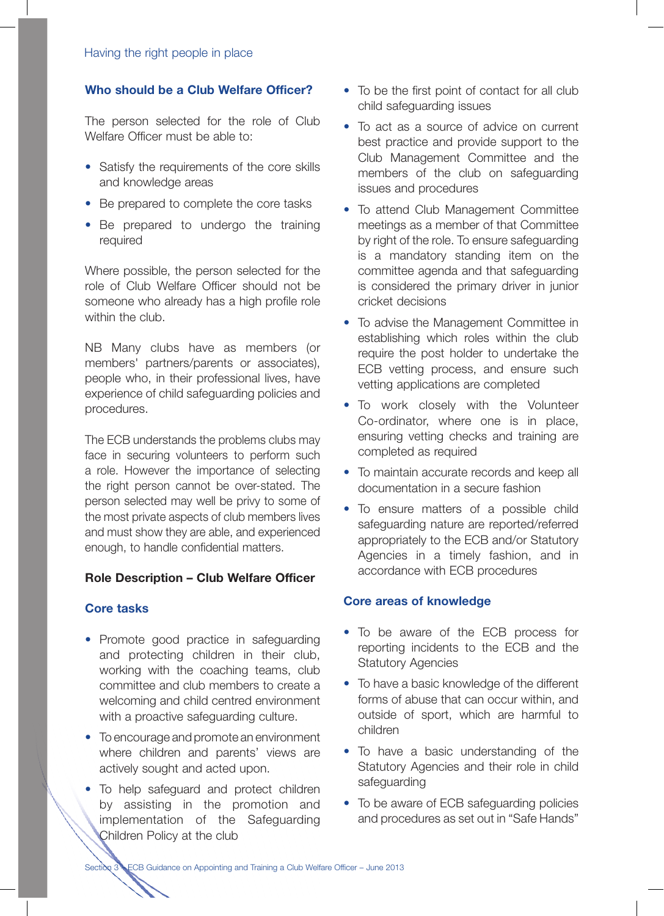## **Who should be a Club Welfare Officer?**

The person selected for the role of Club Welfare Officer must be able to:

- Satisfy the requirements of the core skills and knowledge areas
- Be prepared to complete the core tasks
- Be prepared to undergo the training required

Where possible, the person selected for the role of Club Welfare Officer should not be someone who already has a high profile role within the club.

NB Many clubs have as members (or members' partners/parents or associates), people who, in their professional lives, have experience of child safeguarding policies and procedures.

The ECB understands the problems clubs may face in securing volunteers to perform such a role. However the importance of selecting the right person cannot be over-stated. The person selected may well be privy to some of the most private aspects of club members lives and must show they are able, and experienced enough, to handle confidential matters.

#### **Role Description – Club Welfare Officer**

### **Core tasks**

- Promote good practice in safeguarding and protecting children in their club, working with the coaching teams, club committee and club members to create a welcoming and child centred environment with a proactive safeguarding culture.
- To encourage and promote an environment where children and parents' views are actively sought and acted upon.
- To help safeguard and protect children by assisting in the promotion and implementation of the Safeguarding Children Policy at the club
- To be the first point of contact for all club child safeguarding issues
- To act as a source of advice on current best practice and provide support to the Club Management Committee and the members of the club on safeguarding issues and procedures
- To attend Club Management Committee meetings as a member of that Committee by right of the role. To ensure safeguarding is a mandatory standing item on the committee agenda and that safeguarding is considered the primary driver in junior cricket decisions
- To advise the Management Committee in establishing which roles within the club require the post holder to undertake the ECB vetting process, and ensure such vetting applications are completed
- To work closely with the Volunteer Co-ordinator, where one is in place, ensuring vetting checks and training are completed as required
- To maintain accurate records and keep all documentation in a secure fashion
- To ensure matters of a possible child safeguarding nature are reported/referred appropriately to the ECB and/or Statutory Agencies in a timely fashion, and in accordance with ECB procedures

#### **Core areas of knowledge**

- To be aware of the ECB process for reporting incidents to the ECB and the Statutory Agencies
- To have a basic knowledge of the different forms of abuse that can occur within, and outside of sport, which are harmful to children
- To have a basic understanding of the Statutory Agencies and their role in child safeguarding
- To be aware of ECB safeguarding policies and procedures as set out in "Safe Hands"

Section 3 LECB Guidance on Appointing and Training a Club Welfare Officer - June 2013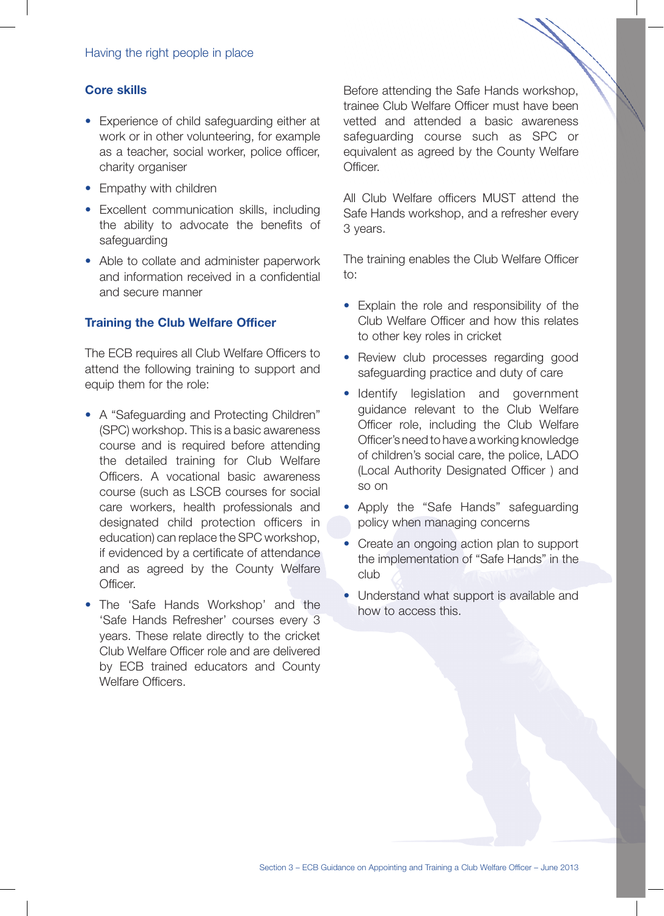## **Core skills**

- Experience of child safeguarding either at work or in other volunteering, for example as a teacher, social worker, police officer, charity organiser
- Empathy with children
- Excellent communication skills, including the ability to advocate the benefits of safeguarding
- Able to collate and administer paperwork and information received in a confidential and secure manner

## **Training the Club Welfare Officer**

The ECB requires all Club Welfare Officers to attend the following training to support and equip them for the role:

- A "Safeguarding and Protecting Children" (SPC) workshop. This is a basic awareness course and is required before attending the detailed training for Club Welfare Officers. A vocational basic awareness course (such as LSCB courses for social care workers, health professionals and designated child protection officers in education) can replace the SPC workshop, if evidenced by a certificate of attendance and as agreed by the County Welfare Officer.
- The 'Safe Hands Workshop' and the 'Safe Hands Refresher' courses every 3 years. These relate directly to the cricket Club Welfare Officer role and are delivered by ECB trained educators and County Welfare Officers.

Before attending the Safe Hands workshop, trainee Club Welfare Officer must have been vetted and attended a basic awareness safeguarding course such as SPC or equivalent as agreed by the County Welfare Officer.

All Club Welfare officers MUST attend the Safe Hands workshop, and a refresher every 3 years.

The training enables the Club Welfare Officer to:

- Explain the role and responsibility of the Club Welfare Officer and how this relates to other key roles in cricket
- Review club processes regarding good safeguarding practice and duty of care
- Identify legislation and government guidance relevant to the Club Welfare Officer role, including the Club Welfare Officer's need to have a working knowledge of children's social care, the police, LADO (Local Authority Designated Officer ) and so on
- Apply the "Safe Hands" safeguarding policy when managing concerns
- Create an ongoing action plan to support the implementation of "Safe Hands" in the club
- Understand what support is available and how to access this.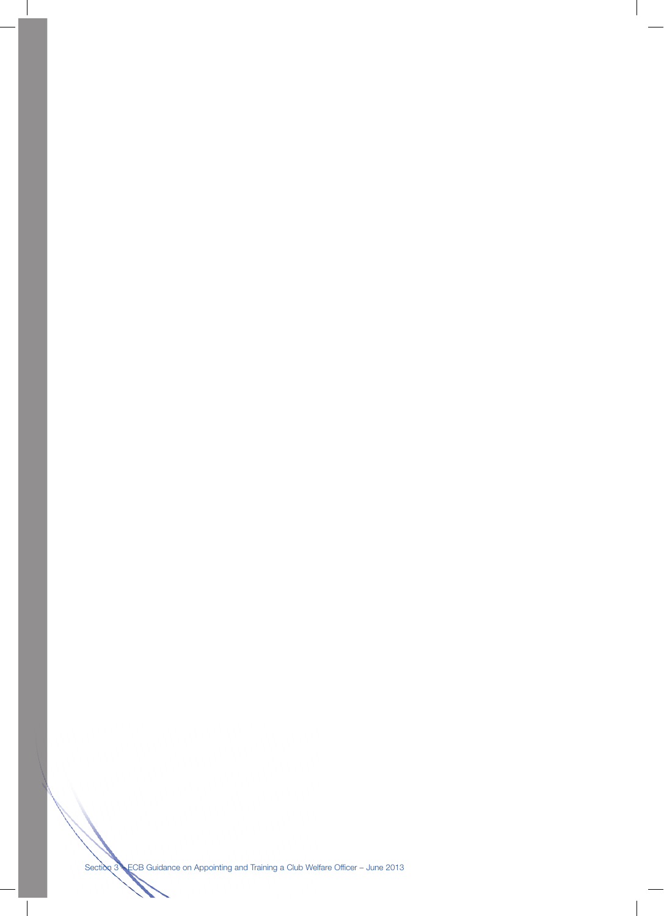Section 3 ECB Guidance on Appointing and Training a Club Welfare Officer – June 2013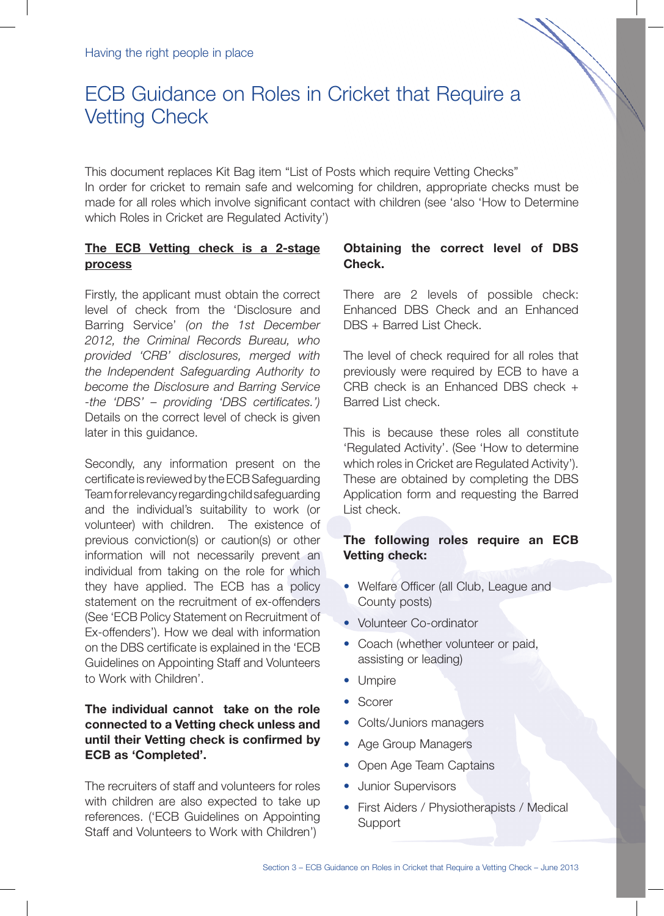# ECB Guidance on Roles in Cricket that Require a Vetting Check

This document replaces Kit Bag item "List of Posts which require Vetting Checks" In order for cricket to remain safe and welcoming for children, appropriate checks must be made for all roles which involve significant contact with children (see 'also 'How to Determine which Roles in Cricket are Regulated Activity')

## **The ECB Vetting check is a 2-stage process**

Firstly, the applicant must obtain the correct level of check from the 'Disclosure and Barring Service' *(on the 1st December 2012, the Criminal Records Bureau, who provided 'CRB' disclosures, merged with the Independent Safeguarding Authority to become the Disclosure and Barring Service -the 'DBS' – providing 'DBS certificates.')* Details on the correct level of check is given later in this guidance.

Secondly, any information present on the certificate is reviewed by the ECB Safeguarding Team for relevancy regarding child safeguarding and the individual's suitability to work (or volunteer) with children. The existence of previous conviction(s) or caution(s) or other information will not necessarily prevent an individual from taking on the role for which they have applied. The ECB has a policy statement on the recruitment of ex-offenders (See 'ECB Policy Statement on Recruitment of Ex-offenders'). How we deal with information on the DBS certificate is explained in the 'ECB Guidelines on Appointing Staff and Volunteers to Work with Children'.

## **The individual cannot take on the role connected to a Vetting check unless and until their Vetting check is confirmed by ECB as 'Completed'.**

The recruiters of staff and volunteers for roles with children are also expected to take up references. ('ECB Guidelines on Appointing Staff and Volunteers to Work with Children')

## **Obtaining the correct level of DBS Check.**

There are 2 levels of possible check: Enhanced DBS Check and an Enhanced DBS + Barred List Check.

The level of check required for all roles that previously were required by ECB to have a CRB check is an Enhanced DBS check + Barred List check.

This is because these roles all constitute 'Regulated Activity'. (See 'How to determine which roles in Cricket are Regulated Activity'). These are obtained by completing the DBS Application form and requesting the Barred List check.

## **The following roles require an ECB Vetting check:**

- Welfare Officer (all Club, League and County posts)
- Volunteer Co-ordinator
- Coach (whether volunteer or paid, assisting or leading)
- Umpire
- Scorer
- Colts/Juniors managers
- Age Group Managers
- Open Age Team Captains
- Junior Supervisors
- First Aiders / Physiotherapists / Medical **Support**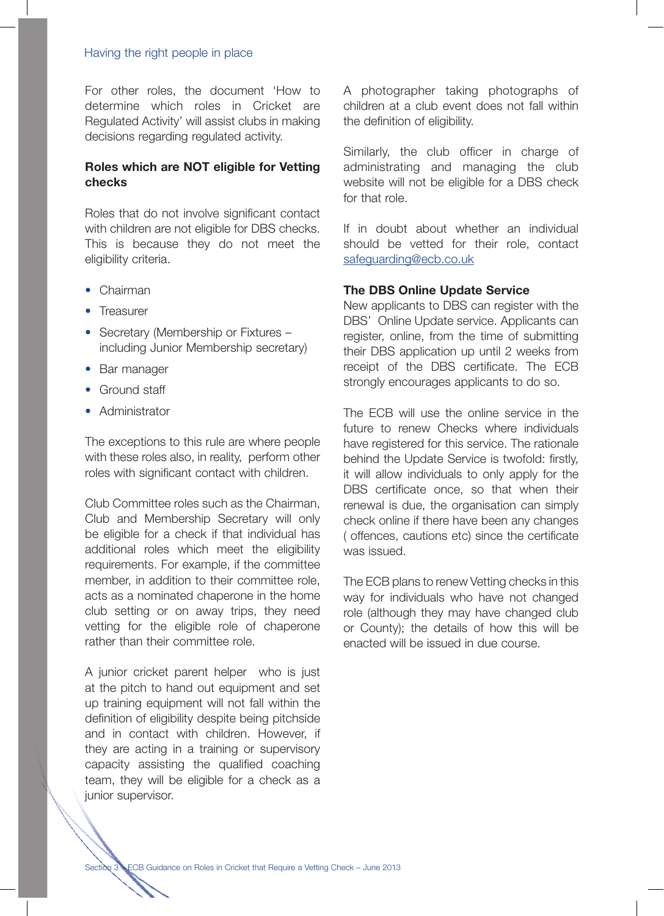#### Having the right people in place

For other roles, the document 'How to determine which roles in Cricket are Regulated Activity' will assist clubs in making decisions regarding regulated activity.

## **Roles which are NOT eligible for Vetting checks**

Roles that do not involve significant contact with children are not eligible for DBS checks. This is because they do not meet the eligibility criteria.

- Chairman
- Treasurer
- Secretary (Membership or Fixtures including Junior Membership secretary)
- Bar manager
- Ground staff
- Administrator

The exceptions to this rule are where people with these roles also, in reality, perform other roles with significant contact with children.

Club Committee roles such as the Chairman, Club and Membership Secretary will only be eligible for a check if that individual has additional roles which meet the eligibility requirements. For example, if the committee member, in addition to their committee role, acts as a nominated chaperone in the home club setting or on away trips, they need vetting for the eligible role of chaperone rather than their committee role.

A junior cricket parent helper who is just at the pitch to hand out equipment and set up training equipment will not fall within the definition of eligibility despite being pitchside and in contact with children. However, if they are acting in a training or supervisory capacity assisting the qualified coaching team, they will be eligible for a check as a junior supervisor.

A photographer taking photographs of children at a club event does not fall within the definition of eligibility.

Similarly, the club officer in charge of administrating and managing the club website will not be eligible for a DBS check for that role.

If in doubt about whether an individual should be vetted for their role, contact safeguarding@ecb.co.uk

#### **The DBS Online Update Service**

New applicants to DBS can register with the DBS' Online Update service. Applicants can register, online, from the time of submitting their DBS application up until 2 weeks from receipt of the DBS certificate. The ECB strongly encourages applicants to do so.

The ECB will use the online service in the future to renew Checks where individuals have registered for this service. The rationale behind the Update Service is twofold: firstly, it will allow individuals to only apply for the DBS certificate once, so that when their renewal is due, the organisation can simply check online if there have been any changes ( offences, cautions etc) since the certificate was issued.

The ECB plans to renew Vetting checks in this way for individuals who have not changed role (although they may have changed club or County); the details of how this will be enacted will be issued in due course.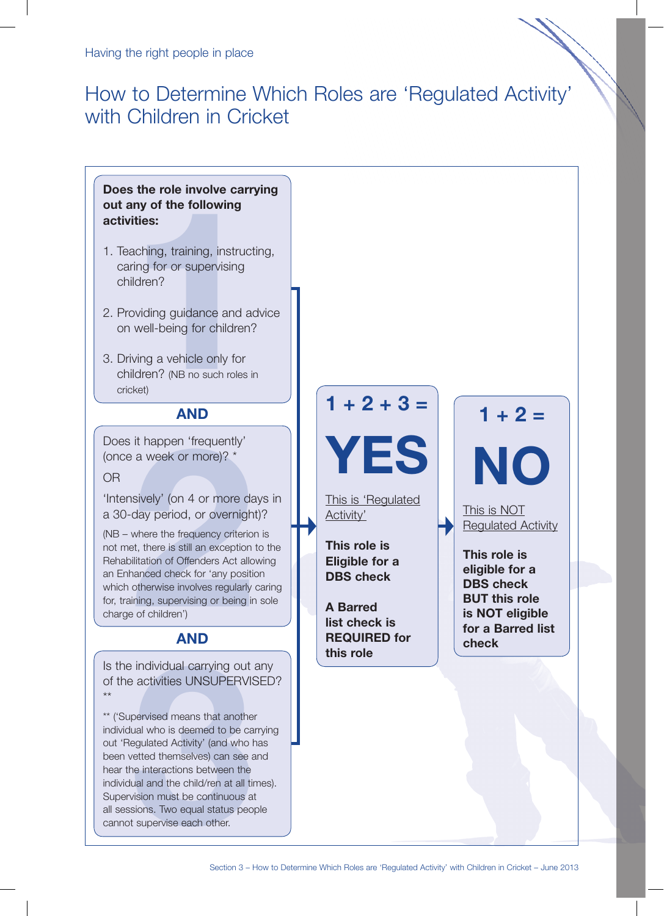# How to Determine Which Roles are 'Regulated Activity' with Children in Cricket

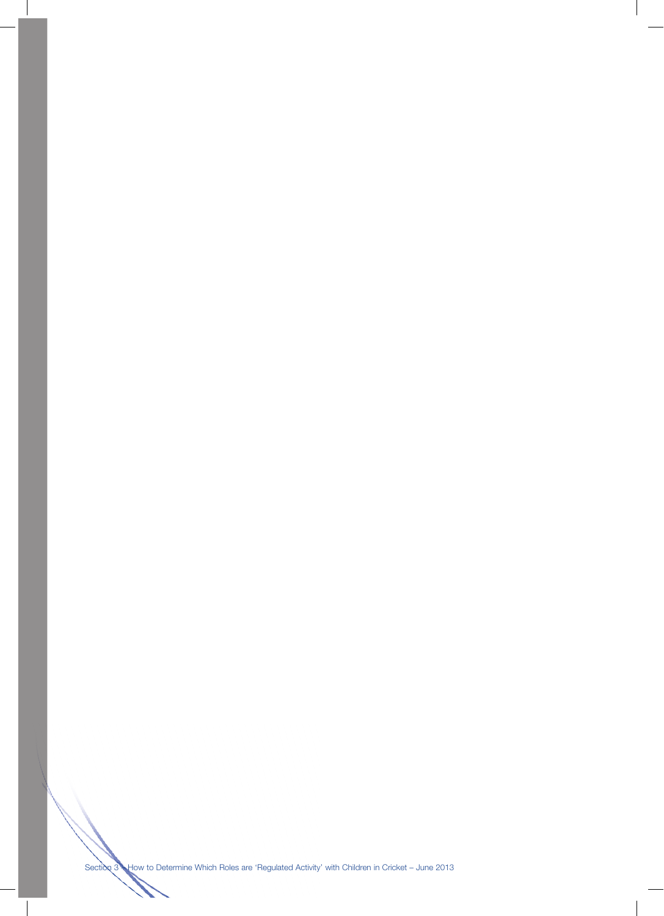Section 3 How to Determine Which Roles are 'Regulated Activity' with Children in Cricket – June 2013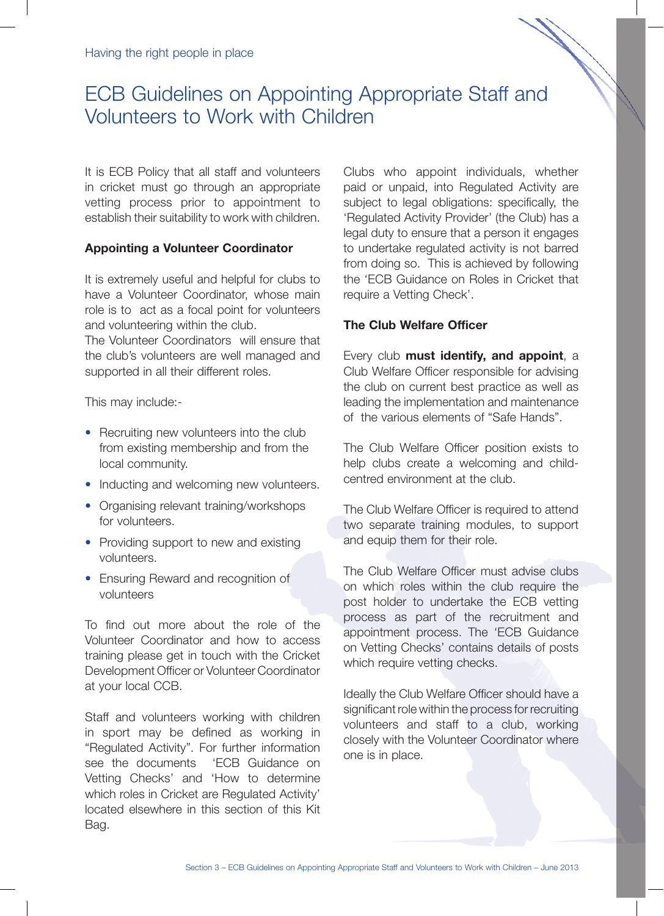# ECB Guidelines on Appointing Appropriate Staff and Volunteers to Work with Children

It is ECB Policy that all staff and volunteers in cricket must go through an appropriate vetting process prior to appointment to establish their suitability to work with children.

## **Appointing a Volunteer Coordinator**

It is extremely useful and helpful for clubs to have a Volunteer Coordinator, whose main role is to act as a focal point for volunteers and volunteering within the club.

The Volunteer Coordinators will ensure that the club's volunteers are well managed and supported in all their different roles.

This may include:-

- Recruiting new volunteers into the club from existing membership and from the local community.
- Inducting and welcoming new volunteers.
- Organising relevant training/workshops for volunteers.
- Providing support to new and existing volunteers.
- Ensuring Reward and recognition of volunteers

To find out more about the role of the Volunteer Coordinator and how to access training please get in touch with the Cricket Development Officer or Volunteer Coordinator at your local CCB.

Staff and volunteers working with children in sport may be defined as working in "Regulated Activity". For further information see the documents 'ECB Guidance on Vetting Checks' and 'How to determine which roles in Cricket are Regulated Activity' located elsewhere in this section of this Kit Bag.

Clubs who appoint individuals, whether paid or unpaid, into Regulated Activity are subject to legal obligations: specifically, the 'Regulated Activity Provider' (the Club) has a legal duty to ensure that a person it engages to undertake regulated activity is not barred from doing so. This is achieved by following the 'ECB Guidance on Roles in Cricket that require a Vetting Check'.

## **The Club Welfare Officer**

Every club **must identify, and appoint**, a Club Welfare Officer responsible for advising the club on current best practice as well as leading the implementation and maintenance of the various elements of "Safe Hands".

The Club Welfare Officer position exists to help clubs create a welcoming and childcentred environment at the club.

The Club Welfare Officer is required to attend two separate training modules, to support and equip them for their role.

The Club Welfare Officer must advise clubs on which roles within the club require the post holder to undertake the ECB vetting process as part of the recruitment and appointment process. The 'ECB Guidance on Vetting Checks' contains details of posts which require vetting checks.

Ideally the Club Welfare Officer should have a significant role within the process for recruiting volunteers and staff to a club, working closely with the Volunteer Coordinator where one is in place.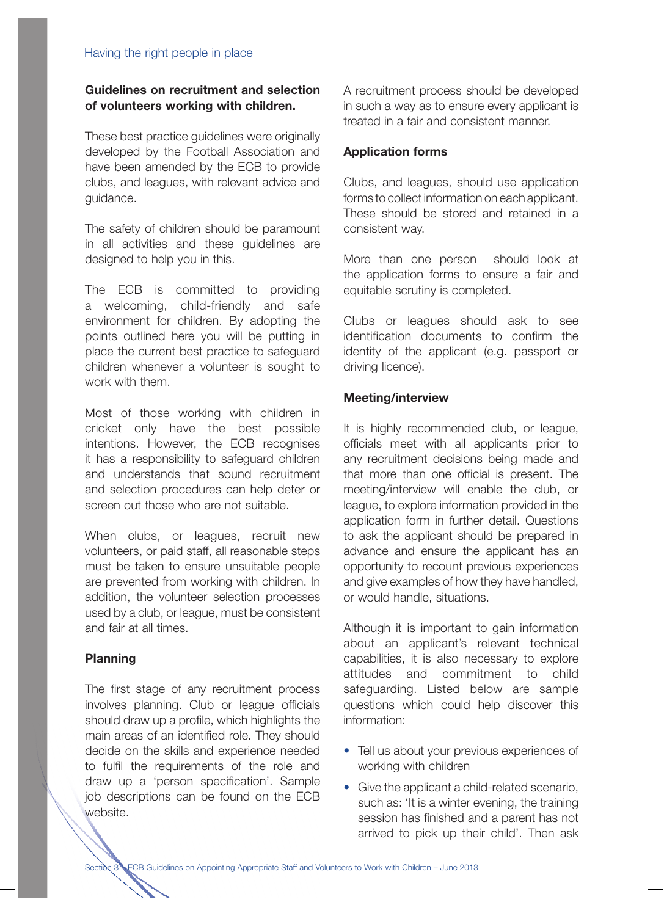## **Guidelines on recruitment and selection of volunteers working with children.**

These best practice guidelines were originally developed by the Football Association and have been amended by the ECB to provide clubs, and leagues, with relevant advice and guidance.

The safety of children should be paramount in all activities and these guidelines are designed to help you in this.

The ECB is committed to providing a welcoming, child-friendly and safe environment for children. By adopting the points outlined here you will be putting in place the current best practice to safeguard children whenever a volunteer is sought to work with them.

Most of those working with children in cricket only have the best possible intentions. However, the ECB recognises it has a responsibility to safeguard children and understands that sound recruitment and selection procedures can help deter or screen out those who are not suitable.

When clubs, or leagues, recruit new volunteers, or paid staff, all reasonable steps must be taken to ensure unsuitable people are prevented from working with children. In addition, the volunteer selection processes used by a club, or league, must be consistent and fair at all times.

## **Planning**

The first stage of any recruitment process involves planning. Club or league officials should draw up a profile, which highlights the main areas of an identified role. They should decide on the skills and experience needed to fulfil the requirements of the role and draw up a 'person specification'. Sample job descriptions can be found on the ECB website.

A recruitment process should be developed in such a way as to ensure every applicant is treated in a fair and consistent manner.

## **Application forms**

Clubs, and leagues, should use application forms to collect information on each applicant. These should be stored and retained in a consistent way.

More than one person should look at the application forms to ensure a fair and equitable scrutiny is completed.

Clubs or leagues should ask to see identification documents to confirm the identity of the applicant (e.g. passport or driving licence).

## **Meeting/interview**

It is highly recommended club, or league, officials meet with all applicants prior to any recruitment decisions being made and that more than one official is present. The meeting/interview will enable the club, or league, to explore information provided in the application form in further detail. Questions to ask the applicant should be prepared in advance and ensure the applicant has an opportunity to recount previous experiences and give examples of how they have handled, or would handle, situations.

Although it is important to gain information about an applicant's relevant technical capabilities, it is also necessary to explore attitudes and commitment to child safeguarding. Listed below are sample questions which could help discover this information:

- Tell us about your previous experiences of working with children
- Give the applicant a child-related scenario, such as: 'It is a winter evening, the training session has finished and a parent has not arrived to pick up their child'. Then ask

Section 3 – ECB Guidelines on Appointing Appropriate Staff and Volunteers to Work with Children – June 2013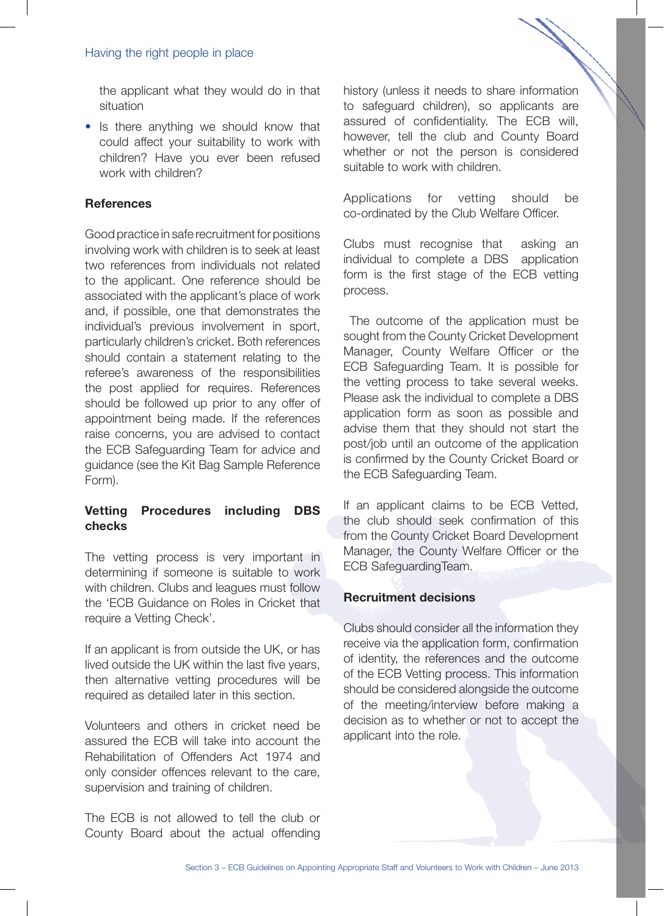the applicant what they would do in that situation

• Is there anything we should know that could affect your suitability to work with children? Have you ever been refused work with children?

## **References**

Good practice in safe recruitment for positions involving work with children is to seek at least two references from individuals not related to the applicant. One reference should be associated with the applicant's place of work and, if possible, one that demonstrates the individual's previous involvement in sport, particularly children's cricket. Both references should contain a statement relating to the referee's awareness of the responsibilities the post applied for requires. References should be followed up prior to any offer of appointment being made. If the references raise concerns, you are advised to contact the ECB Safeguarding Team for advice and guidance (see the Kit Bag Sample Reference Form).

## **Vetting Procedures including DBS checks**

The vetting process is very important in determining if someone is suitable to work with children. Clubs and leagues must follow the 'ECB Guidance on Roles in Cricket that require a Vetting Check'.

If an applicant is from outside the UK, or has lived outside the UK within the last five years, then alternative vetting procedures will be required as detailed later in this section.

Volunteers and others in cricket need be assured the ECB will take into account the Rehabilitation of Offenders Act 1974 and only consider offences relevant to the care, supervision and training of children.

The ECB is not allowed to tell the club or County Board about the actual offending

history (unless it needs to share information to safeguard children), so applicants are assured of confidentiality. The ECB will, however, tell the club and County Board whether or not the person is considered suitable to work with children.

Applications for vetting should be co-ordinated by the Club Welfare Officer.

Clubs must recognise that asking an individual to complete a DBS application form is the first stage of the ECB vetting process.

 The outcome of the application must be sought from the County Cricket Development Manager, County Welfare Officer or the ECB Safeguarding Team. It is possible for the vetting process to take several weeks. Please ask the individual to complete a DBS application form as soon as possible and advise them that they should not start the post/job until an outcome of the application is confirmed by the County Cricket Board or the ECB Safeguarding Team.

If an applicant claims to be ECB Vetted, the club should seek confirmation of this from the County Cricket Board Development Manager, the County Welfare Officer or the ECB SafeguardingTeam.

## **Recruitment decisions**

Clubs should consider all the information they receive via the application form, confirmation of identity, the references and the outcome of the ECB Vetting process. This information should be considered alongside the outcome of the meeting/interview before making a decision as to whether or not to accept the applicant into the role.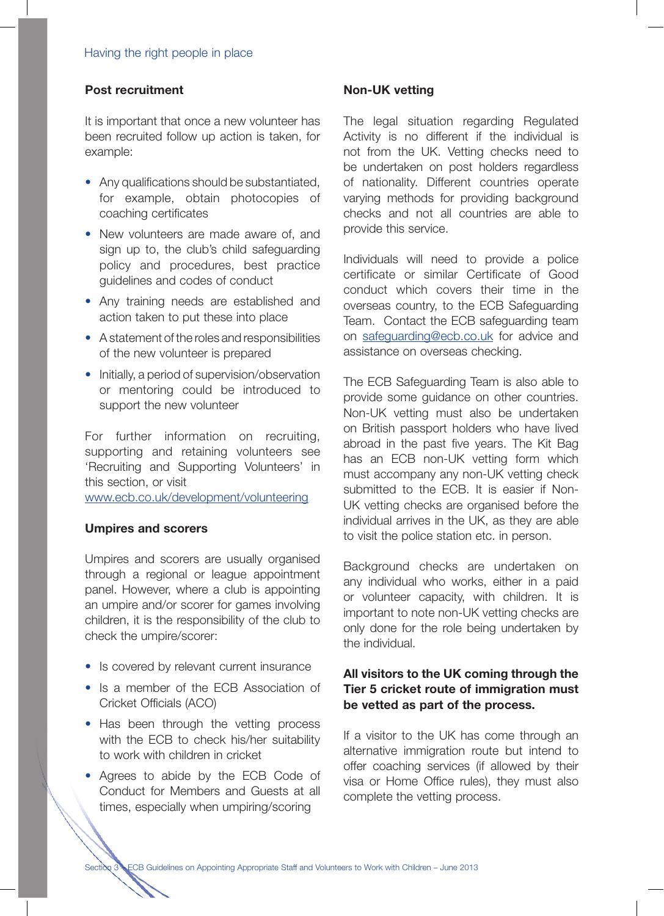## **Post recruitment**

It is important that once a new volunteer has been recruited follow up action is taken, for example:

- Any qualifications should be substantiated, for example, obtain photocopies of coaching certificates
- New volunteers are made aware of, and sign up to, the club's child safeguarding policy and procedures, best practice guidelines and codes of conduct
- Any training needs are established and action taken to put these into place
- A statement of the roles and responsibilities of the new volunteer is prepared
- Initially, a period of supervision/observation or mentoring could be introduced to support the new volunteer

For further information on recruiting, supporting and retaining volunteers see 'Recruiting and Supporting Volunteers' in this section, or visit

www.ecb.co.uk/development/volunteering

## **Umpires and scorers**

Umpires and scorers are usually organised through a regional or league appointment panel. However, where a club is appointing an umpire and/or scorer for games involving children, it is the responsibility of the club to check the umpire/scorer:

- Is covered by relevant current insurance
- Is a member of the ECB Association of Cricket Officials (ACO)
- Has been through the vetting process with the ECB to check his/her suitability to work with children in cricket
- Agrees to abide by the ECB Code of Conduct for Members and Guests at all times, especially when umpiring/scoring

## **Non-UK vetting**

The legal situation regarding Regulated Activity is no different if the individual is not from the UK. Vetting checks need to be undertaken on post holders regardless of nationality. Different countries operate varying methods for providing background checks and not all countries are able to provide this service.

Individuals will need to provide a police certificate or similar Certificate of Good conduct which covers their time in the overseas country, to the ECB Safeguarding Team. Contact the ECB safeguarding team on safeguarding@ecb.co.uk for advice and assistance on overseas checking.

The ECB Safeguarding Team is also able to provide some guidance on other countries. Non-UK vetting must also be undertaken on British passport holders who have lived abroad in the past five years. The Kit Bag has an ECB non-UK vetting form which must accompany any non-UK vetting check submitted to the ECB. It is easier if Non-UK vetting checks are organised before the individual arrives in the UK, as they are able to visit the police station etc. in person.

Background checks are undertaken on any individual who works, either in a paid or volunteer capacity, with children. It is important to note non-UK vetting checks are only done for the role being undertaken by the individual.

## **All visitors to the UK coming through the Tier 5 cricket route of immigration must be vetted as part of the process.**

If a visitor to the UK has come through an alternative immigration route but intend to offer coaching services (if allowed by their visa or Home Office rules), they must also complete the vetting process.

Section 3 – ECB Guidelines on Appointing Appropriate Staff and Volunteers to Work with Children – June 2013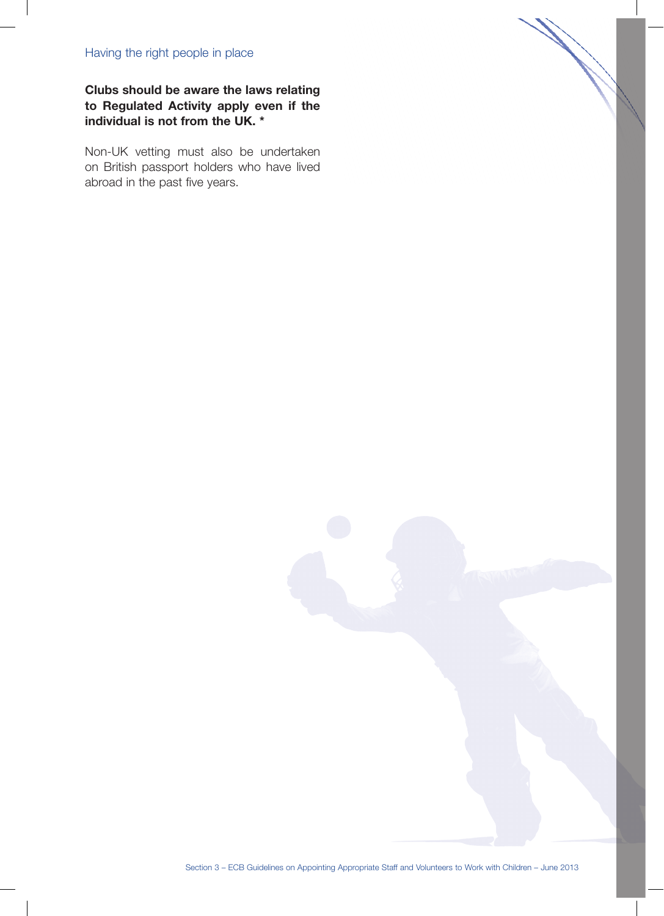## Having the right people in place

## **Clubs should be aware the laws relating to Regulated Activity apply even if the individual is not from the UK. \***

Non-UK vetting must also be undertaken on British passport holders who have lived abroad in the past five years.

Section 3 – ECB Guidelines on Appointing Appropriate Staff and Volunteers to Work with Children – June 2013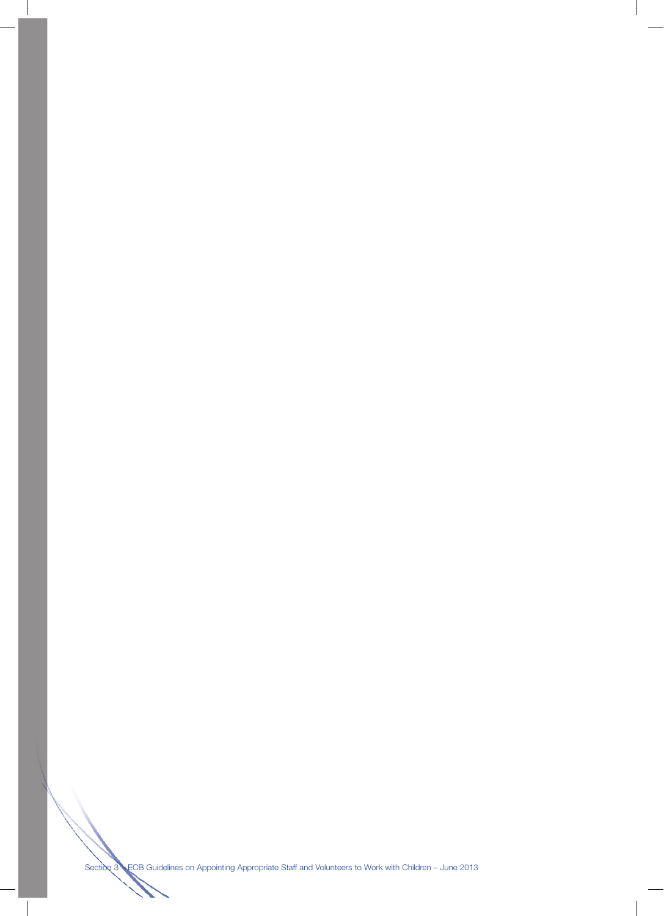Section 3 LECB Guidelines on Appointing Appropriate Staff and Volunteers to Work with Children – June 2013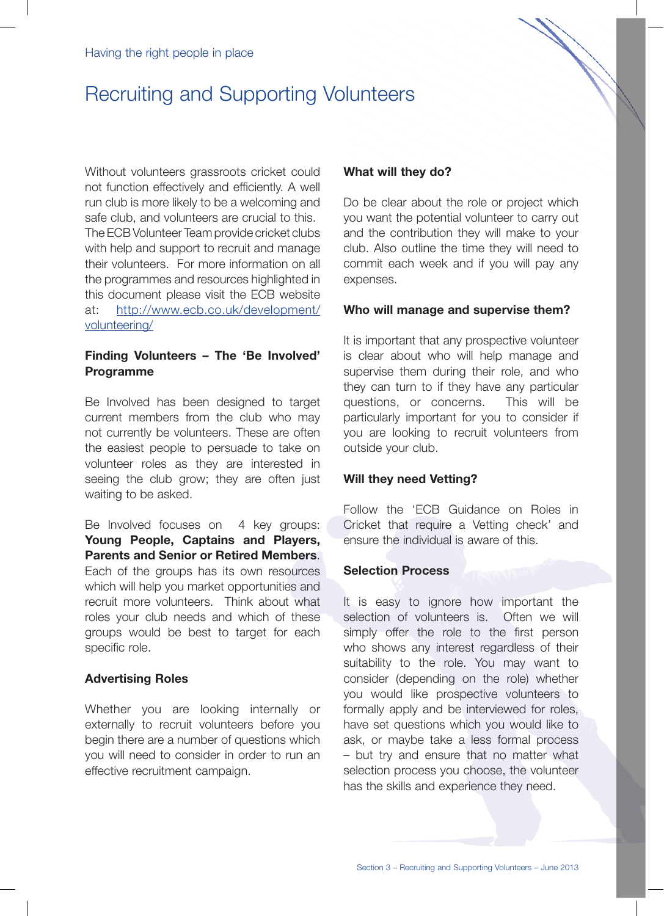# Recruiting and Supporting Volunteers

Without volunteers grassroots cricket could not function effectively and efficiently. A well run club is more likely to be a welcoming and safe club, and volunteers are crucial to this. The ECB Volunteer Team provide cricket clubs with help and support to recruit and manage their volunteers. For more information on all the programmes and resources highlighted in this document please visit the ECB website at: http://www.ecb.co.uk/development/ volunteering/

## **Finding Volunteers – The 'Be Involved' Programme**

Be Involved has been designed to target current members from the club who may not currently be volunteers. These are often the easiest people to persuade to take on volunteer roles as they are interested in seeing the club grow; they are often just waiting to be asked.

Be Involved focuses on 4 key groups: **Young People, Captains and Players, Parents and Senior or Retired Members**. Each of the groups has its own resources which will help you market opportunities and recruit more volunteers. Think about what roles your club needs and which of these groups would be best to target for each specific role.

## **Advertising Roles**

Whether you are looking internally or externally to recruit volunteers before you begin there are a number of questions which you will need to consider in order to run an effective recruitment campaign.

## **What will they do?**

Do be clear about the role or project which you want the potential volunteer to carry out and the contribution they will make to your club. Also outline the time they will need to commit each week and if you will pay any expenses.

## **Who will manage and supervise them?**

It is important that any prospective volunteer is clear about who will help manage and supervise them during their role, and who they can turn to if they have any particular questions, or concerns. This will be particularly important for you to consider if you are looking to recruit volunteers from outside your club.

## **Will they need Vetting?**

Follow the 'ECB Guidance on Roles in Cricket that require a Vetting check' and ensure the individual is aware of this.

## **Selection Process**

It is easy to ignore how important the selection of volunteers is. Often we will simply offer the role to the first person who shows any interest regardless of their suitability to the role. You may want to consider (depending on the role) whether you would like prospective volunteers to formally apply and be interviewed for roles, have set questions which you would like to ask, or maybe take a less formal process – but try and ensure that no matter what selection process you choose, the volunteer has the skills and experience they need.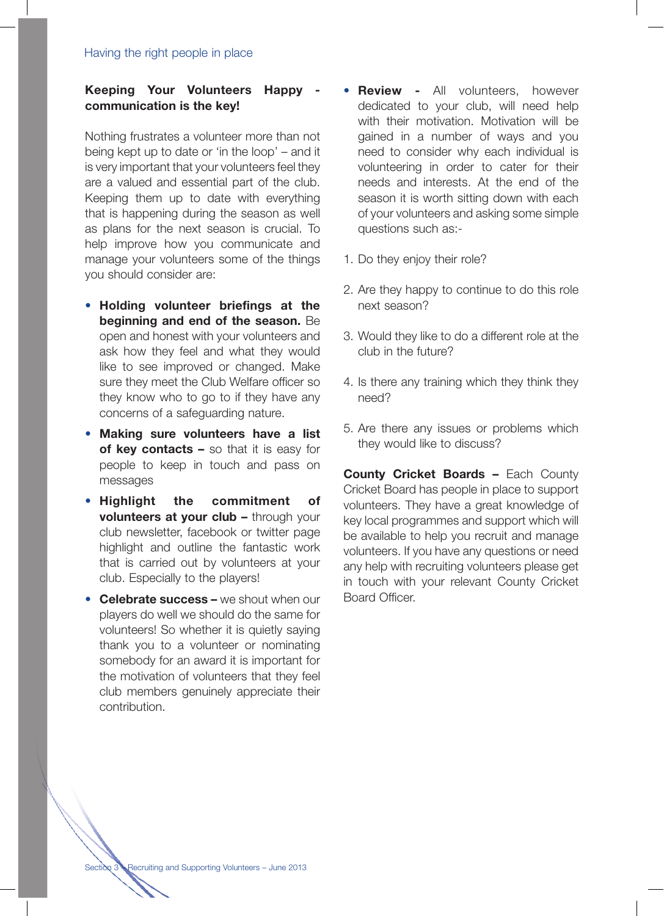#### Having the right people in place

## **Keeping Your Volunteers Happy communication is the key!**

Nothing frustrates a volunteer more than not being kept up to date or 'in the loop' – and it is very important that your volunteers feel they are a valued and essential part of the club. Keeping them up to date with everything that is happening during the season as well as plans for the next season is crucial. To help improve how you communicate and manage your volunteers some of the things you should consider are:

- **Holding volunteer briefings at the beginning and end of the season.** Be open and honest with your volunteers and ask how they feel and what they would like to see improved or changed. Make sure they meet the Club Welfare officer so they know who to go to if they have any concerns of a safeguarding nature.
- **Making sure volunteers have a list of key contacts –** so that it is easy for people to keep in touch and pass on messages
- **Highlight the commitment of volunteers at your club -** through your club newsletter, facebook or twitter page highlight and outline the fantastic work that is carried out by volunteers at your club. Especially to the players!
- **Celebrate success** we shout when our players do well we should do the same for volunteers! So whether it is quietly saying thank you to a volunteer or nominating somebody for an award it is important for the motivation of volunteers that they feel club members genuinely appreciate their contribution.
- **Review** All volunteers, however dedicated to your club, will need help with their motivation. Motivation will be gained in a number of ways and you need to consider why each individual is volunteering in order to cater for their needs and interests. At the end of the season it is worth sitting down with each of your volunteers and asking some simple questions such as:-
- 1. Do they enjoy their role?
- 2. Are they happy to continue to do this role next season?
- 3. Would they like to do a different role at the club in the future?
- 4. Is there any training which they think they need?
- 5. Are there any issues or problems which they would like to discuss?

**County Cricket Boards - Each County** Cricket Board has people in place to support volunteers. They have a great knowledge of key local programmes and support which will be available to help you recruit and manage volunteers. If you have any questions or need any help with recruiting volunteers please get in touch with your relevant County Cricket Board Officer.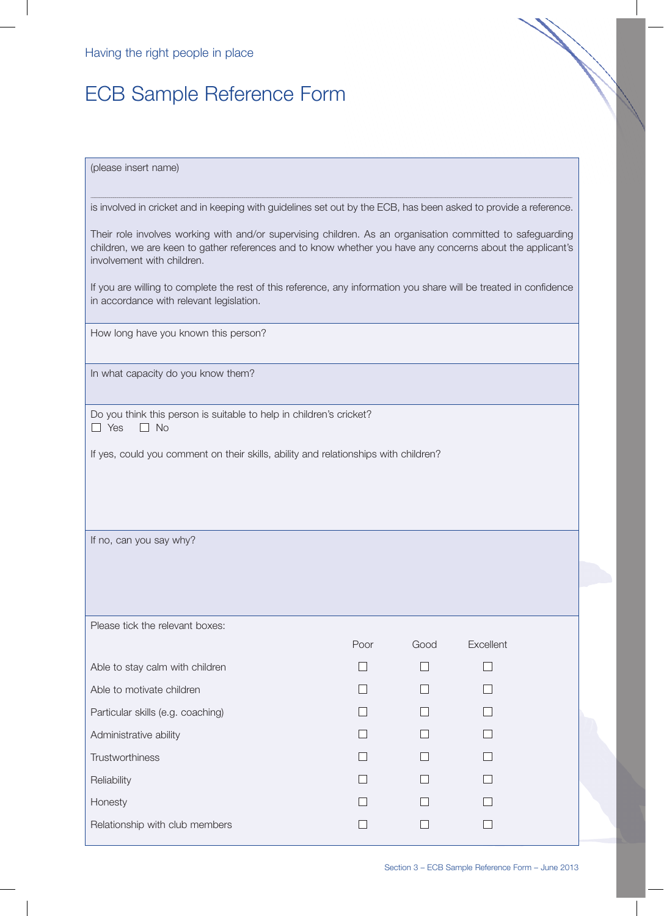# ECB Sample Reference Form

(please insert name)

\_\_\_\_\_\_\_\_\_\_\_\_\_\_\_\_\_\_\_\_\_\_\_\_\_\_\_\_\_\_\_\_\_\_\_\_\_\_\_\_\_\_\_\_\_\_\_\_\_\_\_\_\_\_\_\_\_\_\_\_\_\_\_\_\_\_\_\_\_\_\_\_\_\_\_\_\_\_\_\_\_\_\_\_\_\_\_\_\_\_\_\_\_\_\_\_\_\_\_\_\_\_\_\_\_\_\_\_\_\_\_\_\_\_\_\_\_\_\_\_\_\_\_\_\_\_\_\_\_\_\_\_\_\_\_\_\_\_\_\_\_\_\_\_\_\_\_\_\_\_\_\_\_\_\_\_\_\_\_\_\_\_\_\_\_\_\_\_\_\_\_\_\_\_\_\_\_\_\_\_\_\_\_\_\_\_\_\_\_\_\_\_\_\_\_\_\_\_\_\_\_\_\_\_\_\_\_\_\_\_\_\_\_\_\_\_\_\_\_\_\_\_\_\_\_\_\_\_\_\_\_\_\_\_\_ is involved in cricket and in keeping with guidelines set out by the ECB, has been asked to provide a reference.

Their role involves working with and/or supervising children. As an organisation committed to safeguarding children, we are keen to gather references and to know whether you have any concerns about the applicant's involvement with children.

If you are willing to complete the rest of this reference, any information you share will be treated in confidence in accordance with relevant legislation.

How long have you known this person?

In what capacity do you know them?

Do you think this person is suitable to help in children's cricket?  $\Box$  Yes  $\Box$  No

If yes, could you comment on their skills, ability and relationships with children?

If no, can you say why?

Please tick the relevant boxes:

|                                   | Poor | Good | Excellent |  |
|-----------------------------------|------|------|-----------|--|
| Able to stay calm with children   |      |      |           |  |
| Able to motivate children         |      |      |           |  |
| Particular skills (e.g. coaching) |      |      |           |  |
| Administrative ability            |      |      |           |  |
| <b>Trustworthiness</b>            |      |      |           |  |
| Reliability                       |      |      |           |  |
| Honesty                           |      |      |           |  |
| Relationship with club members    |      |      |           |  |
|                                   |      |      |           |  |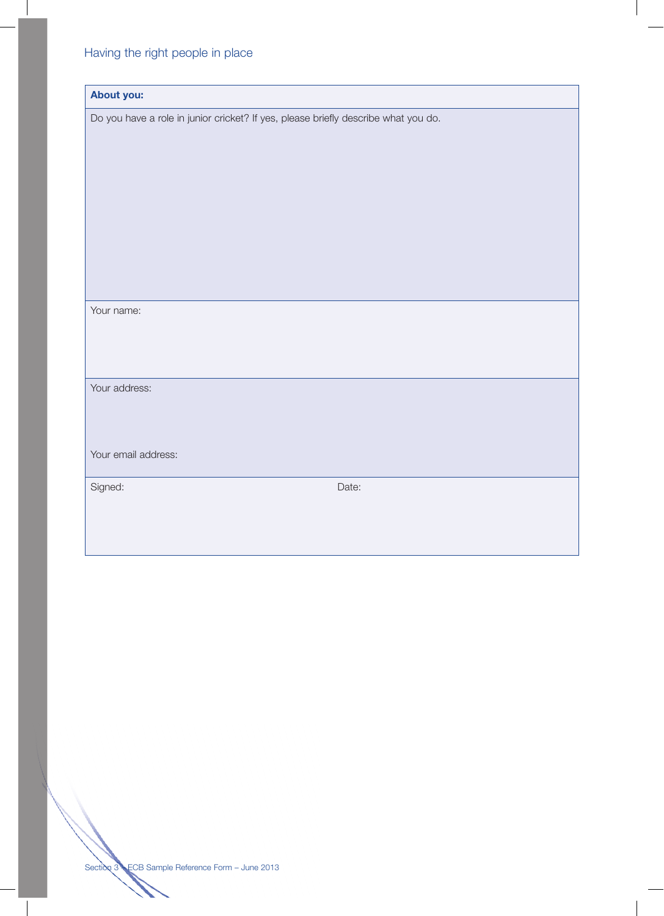# Having the right people in place

| About you:                                                                         |       |
|------------------------------------------------------------------------------------|-------|
| Do you have a role in junior cricket? If yes, please briefly describe what you do. |       |
|                                                                                    |       |
|                                                                                    |       |
| Your name:                                                                         |       |
| Your address:                                                                      |       |
| Your email address:                                                                |       |
| Signed:                                                                            | Date: |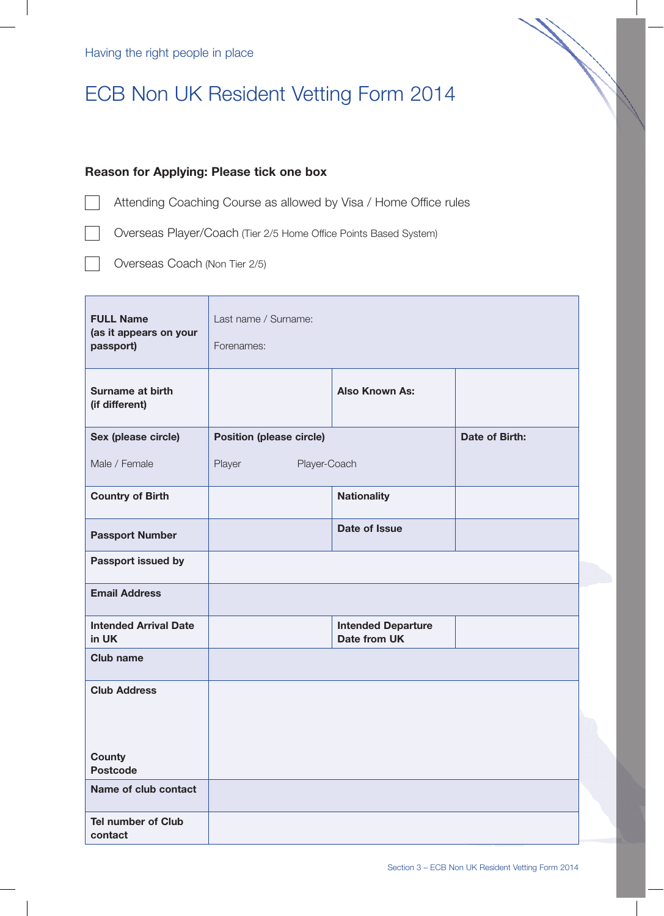# ECB Non UK Resident Vetting Form 2014

## **Reason for Applying: Please tick one box**



Attending Coaching Course as allowed by Visa / Home Office rules

Overseas Player/Coach (Tier 2/5 Home Office Points Based System)

Overseas Coach (Non Tier 2/5)

| <b>FULL Name</b><br>(as it appears on your<br>passport) | Last name / Surname:<br>Forenames: |                                           |                |
|---------------------------------------------------------|------------------------------------|-------------------------------------------|----------------|
| <b>Surname at birth</b><br>(if different)               |                                    | <b>Also Known As:</b>                     |                |
| Sex (please circle)                                     | <b>Position (please circle)</b>    |                                           | Date of Birth: |
| Male / Female                                           | Player-Coach<br>Player             |                                           |                |
| <b>Country of Birth</b>                                 |                                    | <b>Nationality</b>                        |                |
| <b>Passport Number</b>                                  |                                    | Date of Issue                             |                |
| <b>Passport issued by</b>                               |                                    |                                           |                |
| <b>Email Address</b>                                    |                                    |                                           |                |
| <b>Intended Arrival Date</b><br>in UK                   |                                    | <b>Intended Departure</b><br>Date from UK |                |
| <b>Club name</b>                                        |                                    |                                           |                |
| <b>Club Address</b><br>County                           |                                    |                                           |                |
| <b>Postcode</b>                                         |                                    |                                           |                |
| Name of club contact                                    |                                    |                                           |                |
| <b>Tel number of Club</b><br>contact                    |                                    |                                           |                |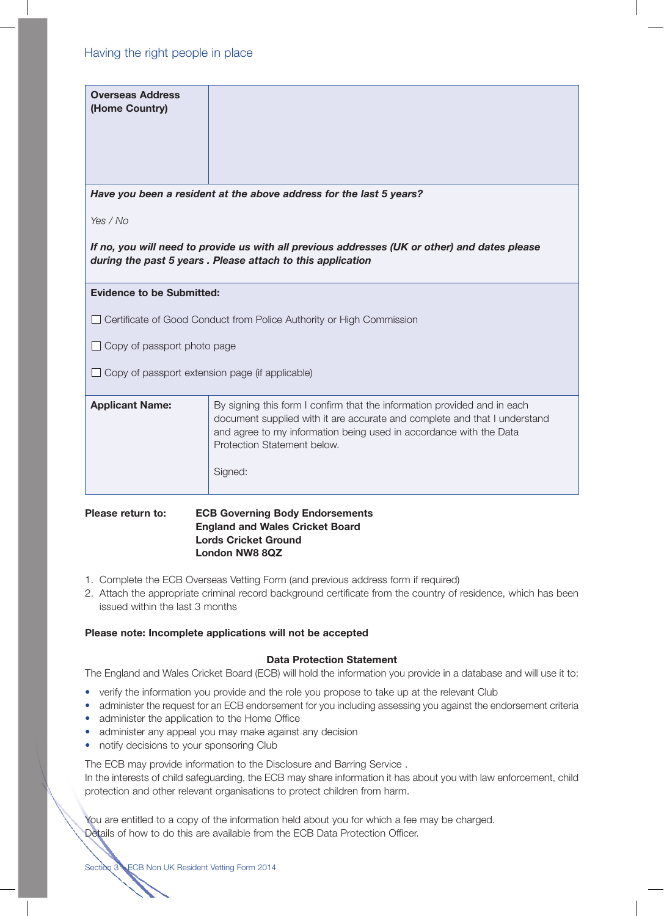Having the right people in place

| <b>Overseas Address</b><br>(Home Country)                                                                                                                   |                                                                                                                                                                                                                                                                       |  |  |
|-------------------------------------------------------------------------------------------------------------------------------------------------------------|-----------------------------------------------------------------------------------------------------------------------------------------------------------------------------------------------------------------------------------------------------------------------|--|--|
| Have you been a resident at the above address for the last 5 years?                                                                                         |                                                                                                                                                                                                                                                                       |  |  |
| Yes / No                                                                                                                                                    |                                                                                                                                                                                                                                                                       |  |  |
| If no, you will need to provide us with all previous addresses (UK or other) and dates please<br>during the past 5 years. Please attach to this application |                                                                                                                                                                                                                                                                       |  |  |
| <b>Evidence to be Submitted:</b>                                                                                                                            |                                                                                                                                                                                                                                                                       |  |  |
| □ Certificate of Good Conduct from Police Authority or High Commission                                                                                      |                                                                                                                                                                                                                                                                       |  |  |
| $\Box$ Copy of passport photo page                                                                                                                          |                                                                                                                                                                                                                                                                       |  |  |
| $\Box$ Copy of passport extension page (if applicable)                                                                                                      |                                                                                                                                                                                                                                                                       |  |  |
| <b>Applicant Name:</b>                                                                                                                                      | By signing this form I confirm that the information provided and in each<br>document supplied with it are accurate and complete and that I understand<br>and agree to my information being used in accordance with the Data<br>Protection Statement below.<br>Signed: |  |  |

#### **Please return to: ECB Governing Body Endorsements England and Wales Cricket Board Lords Cricket Ground London NW8 8QZ**

- 1. Complete the ECB Overseas Vetting Form (and previous address form if required)
- 2. Attach the appropriate criminal record background certificate from the country of residence, which has been issued within the last 3 months

#### **Please note: Incomplete applications will not be accepted**

#### **Data Protection Statement**

The England and Wales Cricket Board (ECB) will hold the information you provide in a database and will use it to:

- verify the information you provide and the role you propose to take up at the relevant Club
- administer the request for an ECB endorsement for you including assessing you against the endorsement criteria
- administer the application to the Home Office
- administer any appeal you may make against any decision
- notify decisions to your sponsoring Club

The ECB may provide information to the Disclosure and Barring Service . In the interests of child safeguarding, the ECB may share information it has about you with law enforcement, child protection and other relevant organisations to protect children from harm.

You are entitled to a copy of the information held about you for which a fee may be charged. Details of how to do this are available from the ECB Data Protection Officer.

Section 3 – ECB Non UK Resident Vetting Form 2014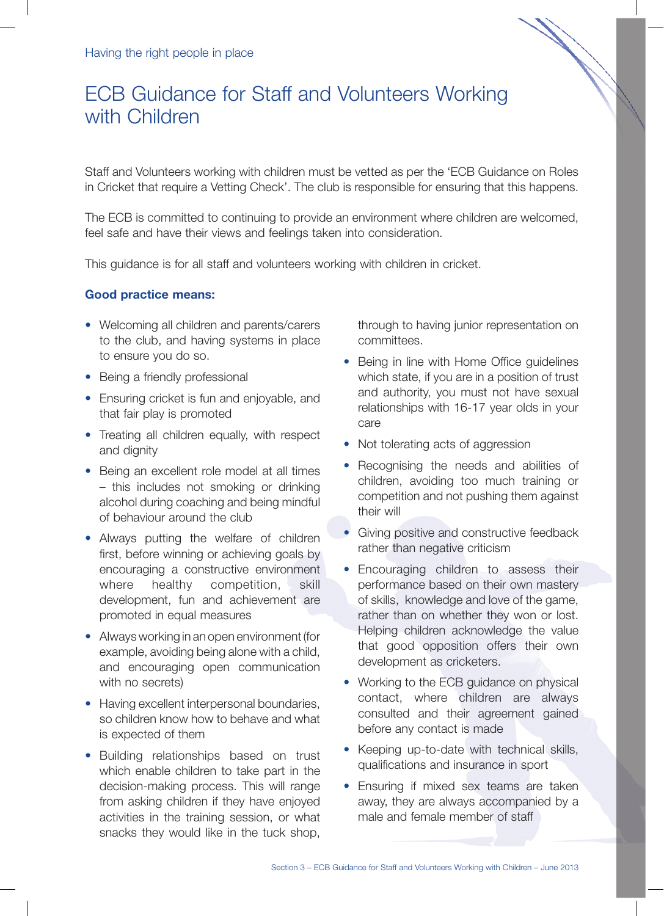# ECB Guidance for Staff and Volunteers Working with Children

Staff and Volunteers working with children must be vetted as per the 'ECB Guidance on Roles in Cricket that require a Vetting Check'. The club is responsible for ensuring that this happens.

The ECB is committed to continuing to provide an environment where children are welcomed, feel safe and have their views and feelings taken into consideration.

This guidance is for all staff and volunteers working with children in cricket.

## **Good practice means:**

- Welcoming all children and parents/carers to the club, and having systems in place to ensure you do so.
- Being a friendly professional
- Ensuring cricket is fun and enjoyable, and that fair play is promoted
- Treating all children equally, with respect and dignity
- Being an excellent role model at all times – this includes not smoking or drinking alcohol during coaching and being mindful of behaviour around the club
- Always putting the welfare of children first, before winning or achieving goals by encouraging a constructive environment where healthy competition, skill development, fun and achievement are promoted in equal measures
- Always working in an open environment (for example, avoiding being alone with a child, and encouraging open communication with no secrets)
- Having excellent interpersonal boundaries, so children know how to behave and what is expected of them
- Building relationships based on trust which enable children to take part in the decision-making process. This will range from asking children if they have enjoyed activities in the training session, or what snacks they would like in the tuck shop,

through to having junior representation on committees.

- Being in line with Home Office guidelines which state, if you are in a position of trust and authority, you must not have sexual relationships with 16-17 year olds in your care
- Not tolerating acts of aggression
- Recognising the needs and abilities of children, avoiding too much training or competition and not pushing them against their will
- Giving positive and constructive feedback rather than negative criticism
- Encouraging children to assess their performance based on their own mastery of skills, knowledge and love of the game, rather than on whether they won or lost. Helping children acknowledge the value that good opposition offers their own development as cricketers.
- Working to the ECB guidance on physical contact, where children are always consulted and their agreement gained before any contact is made
- Keeping up-to-date with technical skills, qualifications and insurance in sport
- Ensuring if mixed sex teams are taken away, they are always accompanied by a male and female member of staff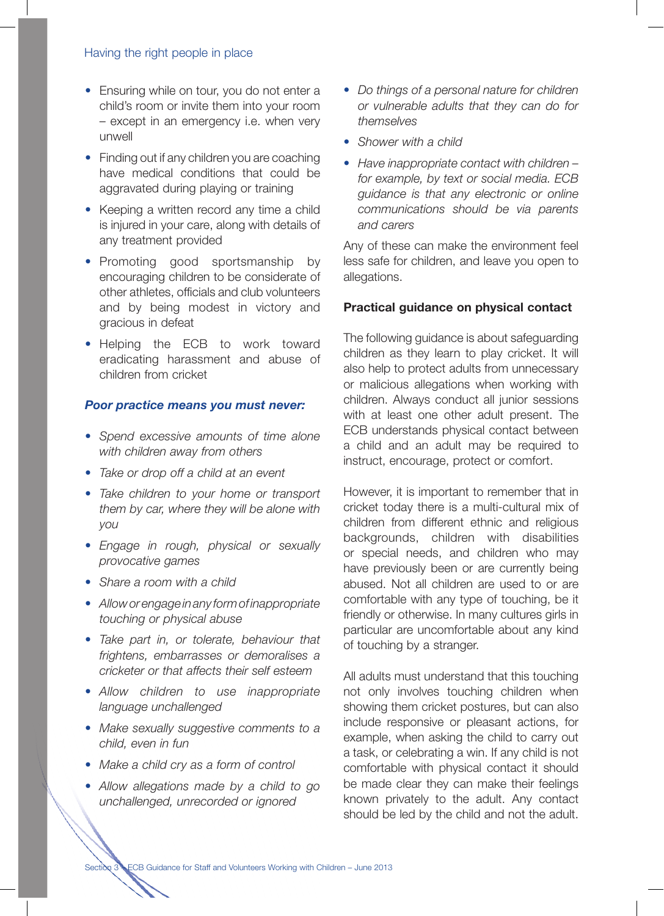#### Having the right people in place

- Ensuring while on tour, you do not enter a child's room or invite them into your room – except in an emergency i.e. when very unwell
- Finding out if any children you are coaching have medical conditions that could be aggravated during playing or training
- Keeping a written record any time a child is injured in your care, along with details of any treatment provided
- Promoting good sportsmanship by encouraging children to be considerate of other athletes, officials and club volunteers and by being modest in victory and gracious in defeat
- Helping the ECB to work toward eradicating harassment and abuse of children from cricket

#### *Poor practice means you must never:*

- *Spend excessive amounts of time alone with children away from others*
- *Take or drop off a child at an event*
- *Take children to your home or transport them by car, where they will be alone with you*
- *Engage in rough, physical or sexually provocative games*
- *Share a room with a child*
- *Allow or engage in any form of inappropriate touching or physical abuse*
- *Take part in, or tolerate, behaviour that frightens, embarrasses or demoralises a cricketer or that affects their self esteem*
- *Allow children to use inappropriate language unchallenged*
- *Make sexually suggestive comments to a child, even in fun*
- *Make a child cry as a form of control*
- *Allow allegations made by a child to go unchallenged, unrecorded or ignored*
- *Do things of a personal nature for children or vulnerable adults that they can do for themselves*
- *Shower with a child*
- *Have inappropriate contact with children for example, by text or social media. ECB guidance is that any electronic or online communications should be via parents and carers*

Any of these can make the environment feel less safe for children, and leave you open to allegations.

#### **Practical guidance on physical contact**

The following guidance is about safeguarding children as they learn to play cricket. It will also help to protect adults from unnecessary or malicious allegations when working with children. Always conduct all junior sessions with at least one other adult present. The ECB understands physical contact between a child and an adult may be required to instruct, encourage, protect or comfort.

However, it is important to remember that in cricket today there is a multi-cultural mix of children from different ethnic and religious backgrounds, children with disabilities or special needs, and children who may have previously been or are currently being abused. Not all children are used to or are comfortable with any type of touching, be it friendly or otherwise. In many cultures girls in particular are uncomfortable about any kind of touching by a stranger.

All adults must understand that this touching not only involves touching children when showing them cricket postures, but can also include responsive or pleasant actions, for example, when asking the child to carry out a task, or celebrating a win. If any child is not comfortable with physical contact it should be made clear they can make their feelings known privately to the adult. Any contact should be led by the child and not the adult.

Section 3 ECB Guidance for Staff and Volunteers Working with Children - June 2013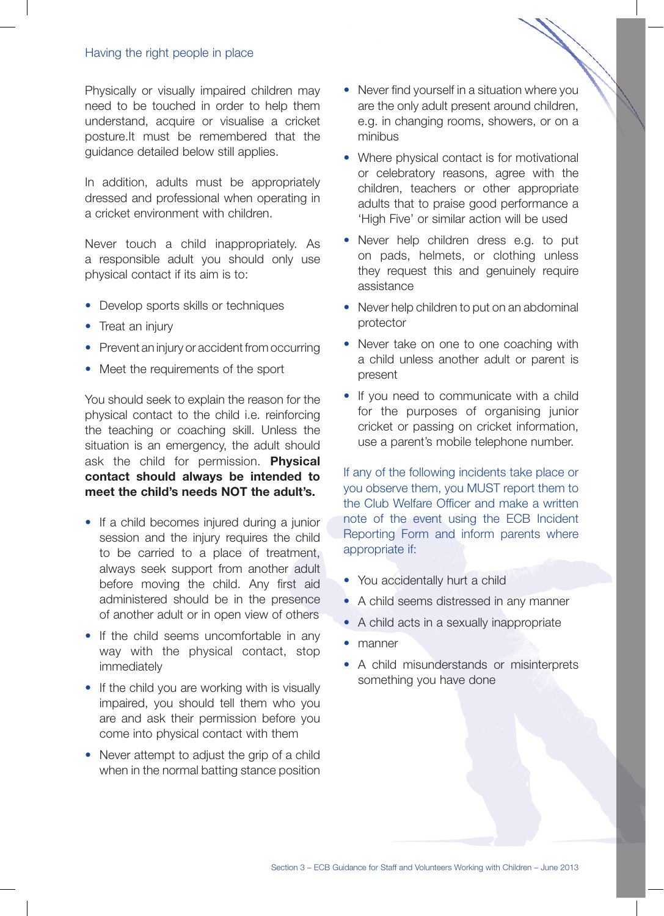Physically or visually impaired children may need to be touched in order to help them understand, acquire or visualise a cricket posture.It must be remembered that the guidance detailed below still applies.

In addition, adults must be appropriately dressed and professional when operating in a cricket environment with children.

Never touch a child inappropriately. As a responsible adult you should only use physical contact if its aim is to:

- Develop sports skills or techniques
- Treat an injury
- Prevent an injury or accident from occurring
- Meet the requirements of the sport

You should seek to explain the reason for the physical contact to the child i.e. reinforcing the teaching or coaching skill. Unless the situation is an emergency, the adult should ask the child for permission. **Physical contact should always be intended to meet the child's needs NOT the adult's.**

- If a child becomes injured during a junior session and the injury requires the child to be carried to a place of treatment, always seek support from another adult before moving the child. Any first aid administered should be in the presence of another adult or in open view of others
- If the child seems uncomfortable in any way with the physical contact, stop immediately
- If the child you are working with is visually impaired, you should tell them who you are and ask their permission before you come into physical contact with them
- Never attempt to adjust the grip of a child when in the normal batting stance position
- Never find yourself in a situation where you are the only adult present around children, e.g. in changing rooms, showers, or on a minibus
- Where physical contact is for motivational or celebratory reasons, agree with the children, teachers or other appropriate adults that to praise good performance a 'High Five' or similar action will be used
- Never help children dress e.g. to put on pads, helmets, or clothing unless they request this and genuinely require assistance
- Never help children to put on an abdominal protector
- Never take on one to one coaching with a child unless another adult or parent is present
- If you need to communicate with a child for the purposes of organising junior cricket or passing on cricket information, use a parent's mobile telephone number.

If any of the following incidents take place or you observe them, you MUST report them to the Club Welfare Officer and make a written note of the event using the ECB Incident Reporting Form and inform parents where appropriate if:

- You accidentally hurt a child
- A child seems distressed in any manner
- A child acts in a sexually inappropriate
- manner
- A child misunderstands or misinterprets something you have done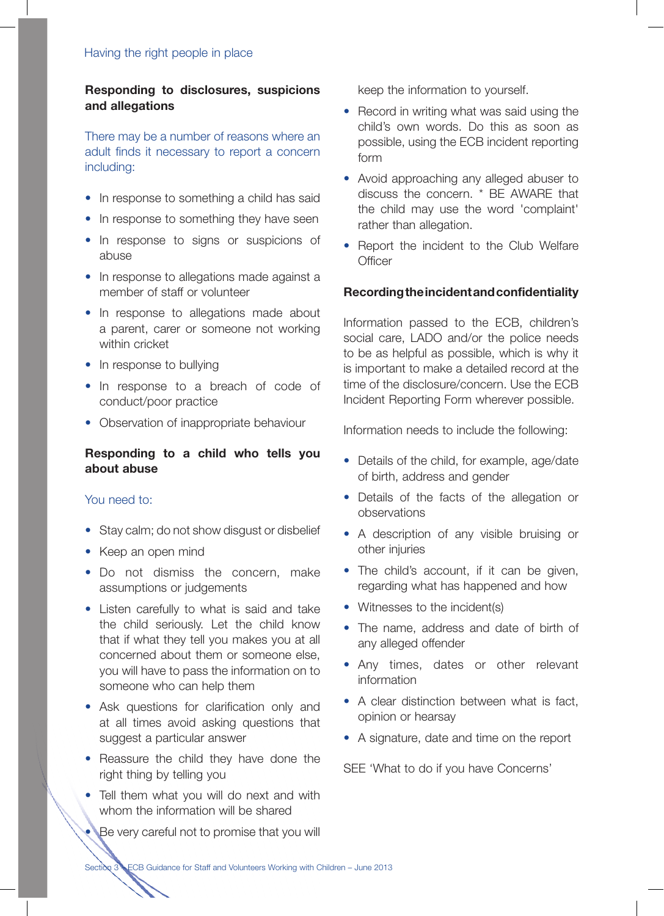# **Responding to disclosures, suspicions and allegations**

There may be a number of reasons where an adult finds it necessary to report a concern including:

- In response to something a child has said
- In response to something they have seen
- In response to signs or suspicions of abuse
- In response to allegations made against a member of staff or volunteer
- In response to allegations made about a parent, carer or someone not working within cricket
- In response to bullying
- In response to a breach of code of conduct/poor practice
- Observation of inappropriate behaviour

# **Responding to a child who tells you about abuse**

#### You need to:

- Stay calm; do not show disqust or disbelief
- Keep an open mind
- Do not dismiss the concern, make assumptions or judgements
- Listen carefully to what is said and take the child seriously. Let the child know that if what they tell you makes you at all concerned about them or someone else, you will have to pass the information on to someone who can help them
- Ask questions for clarification only and at all times avoid asking questions that suggest a particular answer
- Reassure the child they have done the right thing by telling you
- Tell them what you will do next and with whom the information will be shared
- Be very careful not to promise that you will

keep the information to yourself.

- Record in writing what was said using the child's own words. Do this as soon as possible, using the ECB incident reporting form
- Avoid approaching any alleged abuser to discuss the concern. \* BE AWARE that the child may use the word 'complaint' rather than allegation.
- Report the incident to the Club Welfare **Officer**

## **Recording the incident and confidentiality**

Information passed to the ECB, children's social care, LADO and/or the police needs to be as helpful as possible, which is why it is important to make a detailed record at the time of the disclosure/concern. Use the ECB Incident Reporting Form wherever possible.

Information needs to include the following:

- Details of the child, for example, age/date of birth, address and gender
- Details of the facts of the allegation or observations
- A description of any visible bruising or other injuries
- The child's account, if it can be given, regarding what has happened and how
- Witnesses to the incident(s)
- The name, address and date of birth of any alleged offender
- Any times, dates or other relevant information
- A clear distinction between what is fact, opinion or hearsay
- A signature, date and time on the report

SEE 'What to do if you have Concerns'

Section 3 ECB Guidance for Staff and Volunteers Working with Children – June 2013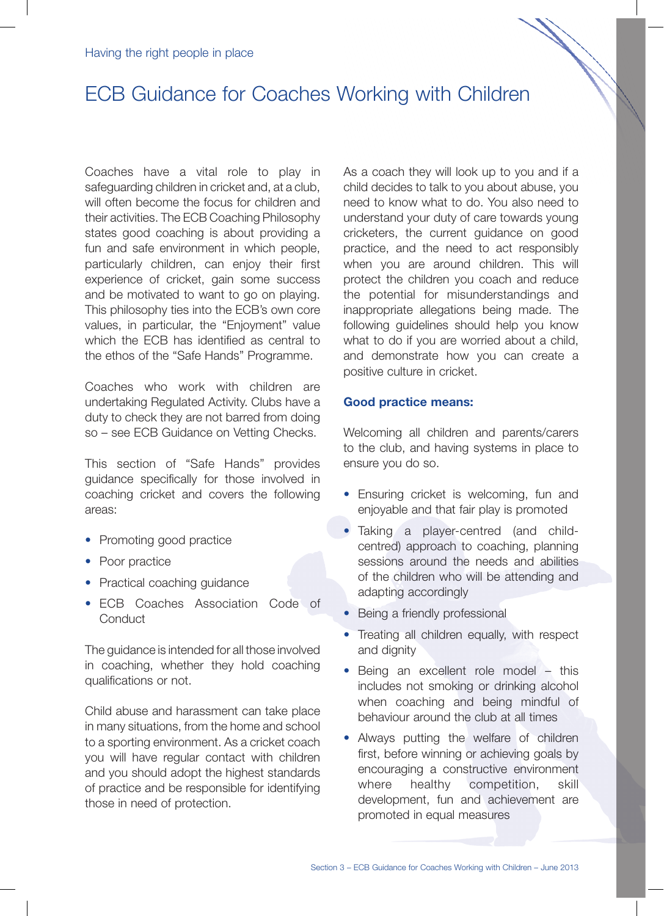# ECB Guidance for Coaches Working with Children

Coaches have a vital role to play in safeguarding children in cricket and, at a club, will often become the focus for children and their activities. The ECB Coaching Philosophy states good coaching is about providing a fun and safe environment in which people, particularly children, can enjoy their first experience of cricket, gain some success and be motivated to want to go on playing. This philosophy ties into the ECB's own core values, in particular, the "Enjoyment" value which the ECB has identified as central to the ethos of the "Safe Hands" Programme.

Coaches who work with children are undertaking Regulated Activity. Clubs have a duty to check they are not barred from doing so – see ECB Guidance on Vetting Checks.

This section of "Safe Hands" provides guidance specifically for those involved in coaching cricket and covers the following areas:

- Promoting good practice
- Poor practice
- Practical coaching guidance
- ECB Coaches Association Code of **Conduct**

The guidance is intended for all those involved in coaching, whether they hold coaching qualifications or not.

Child abuse and harassment can take place in many situations, from the home and school to a sporting environment. As a cricket coach you will have regular contact with children and you should adopt the highest standards of practice and be responsible for identifying those in need of protection.

As a coach they will look up to you and if a child decides to talk to you about abuse, you need to know what to do. You also need to understand your duty of care towards young cricketers, the current guidance on good practice, and the need to act responsibly when you are around children. This will protect the children you coach and reduce the potential for misunderstandings and inappropriate allegations being made. The following guidelines should help you know what to do if you are worried about a child, and demonstrate how you can create a positive culture in cricket.

## **Good practice means:**

Welcoming all children and parents/carers to the club, and having systems in place to ensure you do so.

- Ensuring cricket is welcoming, fun and enjoyable and that fair play is promoted
- Taking a player-centred (and childcentred) approach to coaching, planning sessions around the needs and abilities of the children who will be attending and adapting accordingly
- Being a friendly professional
- Treating all children equally, with respect and dignity
- Being an excellent role model this includes not smoking or drinking alcohol when coaching and being mindful of behaviour around the club at all times
- Always putting the welfare of children first, before winning or achieving goals by encouraging a constructive environment where healthy competition, skill development, fun and achievement are promoted in equal measures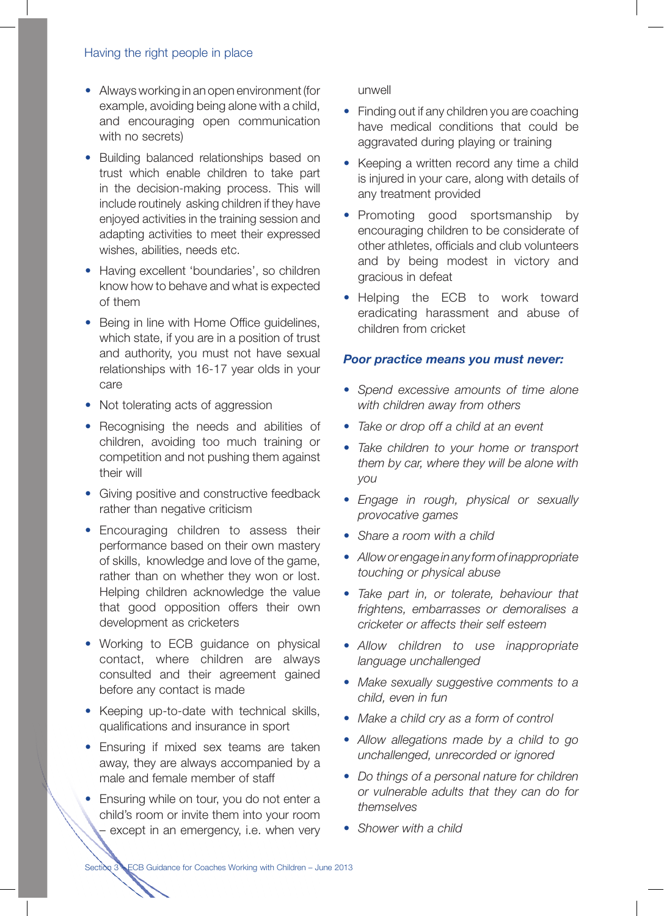- Always working in an open environment (for example, avoiding being alone with a child, and encouraging open communication with no secrets)
- Building balanced relationships based on trust which enable children to take part in the decision-making process. This will include routinely asking children if they have enjoyed activities in the training session and adapting activities to meet their expressed wishes, abilities, needs etc.
- Having excellent 'boundaries', so children know how to behave and what is expected of them
- Being in line with Home Office guidelines, which state, if you are in a position of trust and authority, you must not have sexual relationships with 16-17 year olds in your care
- Not tolerating acts of aggression
- Recognising the needs and abilities of children, avoiding too much training or competition and not pushing them against their will
- Giving positive and constructive feedback rather than negative criticism
- Encouraging children to assess their performance based on their own mastery of skills, knowledge and love of the game, rather than on whether they won or lost. Helping children acknowledge the value that good opposition offers their own development as cricketers
- Working to ECB guidance on physical contact, where children are always consulted and their agreement gained before any contact is made
- Keeping up-to-date with technical skills, qualifications and insurance in sport
- Ensuring if mixed sex teams are taken away, they are always accompanied by a male and female member of staff
- Ensuring while on tour, you do not enter a child's room or invite them into your room – except in an emergency, i.e. when very

unwell

- Finding out if any children you are coaching have medical conditions that could be aggravated during playing or training
- Keeping a written record any time a child is injured in your care, along with details of any treatment provided
- Promoting good sportsmanship by encouraging children to be considerate of other athletes, officials and club volunteers and by being modest in victory and gracious in defeat
- Helping the ECB to work toward eradicating harassment and abuse of children from cricket

## *Poor practice means you must never:*

- *Spend excessive amounts of time alone with children away from others*
- *Take or drop off a child at an event*
- *Take children to your home or transport them by car, where they will be alone with you*
- *Engage in rough, physical or sexually provocative games*
- *Share a room with a child*
- *Allow or engage in any form of inappropriate touching or physical abuse*
- *Take part in, or tolerate, behaviour that frightens, embarrasses or demoralises a cricketer or affects their self esteem*
- *Allow children to use inappropriate language unchallenged*
- *Make sexually suggestive comments to a child, even in fun*
- *Make a child cry as a form of control*
- *Allow allegations made by a child to go unchallenged, unrecorded or ignored*
- *Do things of a personal nature for children or vulnerable adults that they can do for themselves*
- *Shower with a child*

Section 3 – ECB Guidance for Coaches Working with Children – June 2013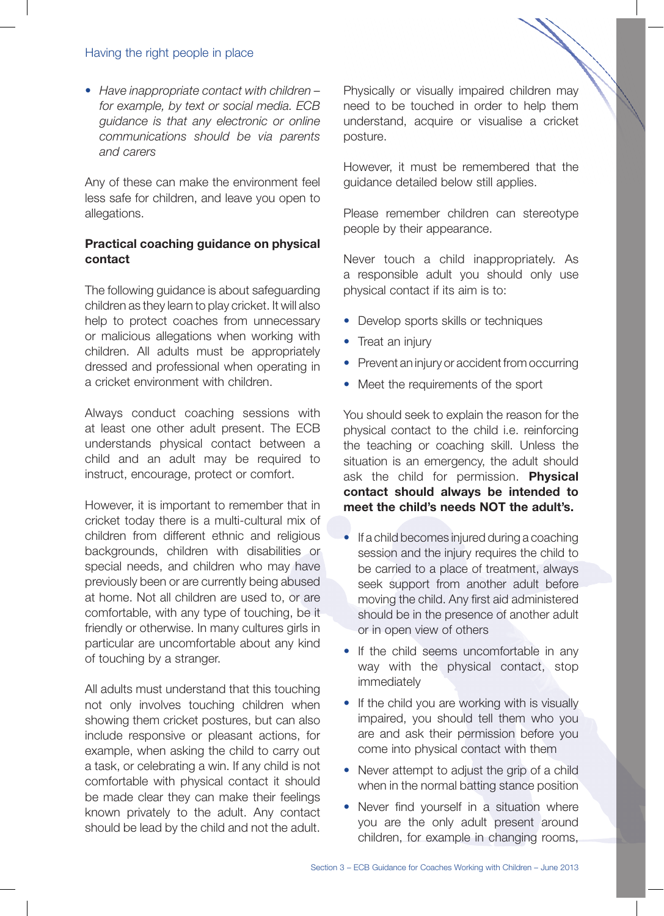• *Have inappropriate contact with children – for example, by text or social media. ECB guidance is that any electronic or online communications should be via parents and carers* 

Any of these can make the environment feel less safe for children, and leave you open to allegations.

# **Practical coaching guidance on physical contact**

The following guidance is about safeguarding children as they learn to play cricket. It will also help to protect coaches from unnecessary or malicious allegations when working with children. All adults must be appropriately dressed and professional when operating in a cricket environment with children.

Always conduct coaching sessions with at least one other adult present. The ECB understands physical contact between a child and an adult may be required to instruct, encourage, protect or comfort.

However, it is important to remember that in cricket today there is a multi-cultural mix of children from different ethnic and religious backgrounds, children with disabilities or special needs, and children who may have previously been or are currently being abused at home. Not all children are used to, or are comfortable, with any type of touching, be it friendly or otherwise. In many cultures girls in particular are uncomfortable about any kind of touching by a stranger.

All adults must understand that this touching not only involves touching children when showing them cricket postures, but can also include responsive or pleasant actions, for example, when asking the child to carry out a task, or celebrating a win. If any child is not comfortable with physical contact it should be made clear they can make their feelings known privately to the adult. Any contact should be lead by the child and not the adult. Physically or visually impaired children may need to be touched in order to help them understand, acquire or visualise a cricket posture.

However, it must be remembered that the guidance detailed below still applies.

Please remember children can stereotype people by their appearance.

Never touch a child inappropriately. As a responsible adult you should only use physical contact if its aim is to:

- Develop sports skills or techniques
- Treat an injury
- Prevent an injury or accident from occurring
- Meet the requirements of the sport

You should seek to explain the reason for the physical contact to the child i.e. reinforcing the teaching or coaching skill. Unless the situation is an emergency, the adult should ask the child for permission. **Physical contact should always be intended to meet the child's needs NOT the adult's.**

- If a child becomes injured during a coaching session and the injury requires the child to be carried to a place of treatment, always seek support from another adult before moving the child. Any first aid administered should be in the presence of another adult or in open view of others
- If the child seems uncomfortable in any way with the physical contact, stop immediately
- If the child you are working with is visually impaired, you should tell them who you are and ask their permission before you come into physical contact with them
- Never attempt to adjust the grip of a child when in the normal batting stance position
- Never find yourself in a situation where you are the only adult present around children, for example in changing rooms,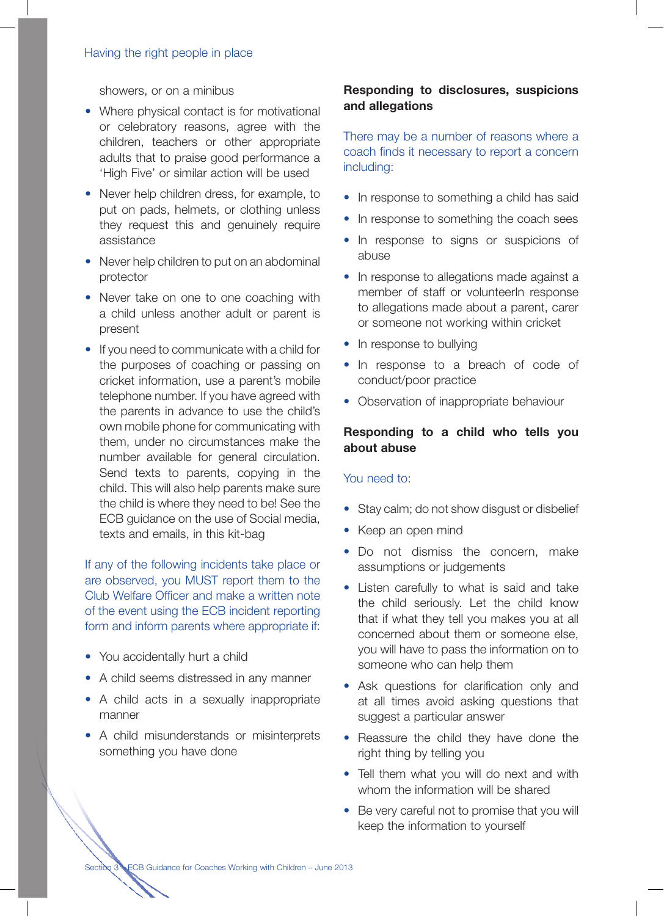showers, or on a minibus

- Where physical contact is for motivational or celebratory reasons, agree with the children, teachers or other appropriate adults that to praise good performance a 'High Five' or similar action will be used
- Never help children dress, for example, to put on pads, helmets, or clothing unless they request this and genuinely require assistance
- Never help children to put on an abdominal protector
- Never take on one to one coaching with a child unless another adult or parent is present
- If you need to communicate with a child for the purposes of coaching or passing on cricket information, use a parent's mobile telephone number. If you have agreed with the parents in advance to use the child's own mobile phone for communicating with them, under no circumstances make the number available for general circulation. Send texts to parents, copying in the child. This will also help parents make sure the child is where they need to be! See the ECB guidance on the use of Social media, texts and emails, in this kit-bag

If any of the following incidents take place or are observed, you MUST report them to the Club Welfare Officer and make a written note of the event using the ECB incident reporting form and inform parents where appropriate if:

- You accidentally hurt a child
- A child seems distressed in any manner
- A child acts in a sexually inappropriate manner
- A child misunderstands or misinterprets something you have done

# **Responding to disclosures, suspicions and allegations**

There may be a number of reasons where a coach finds it necessary to report a concern including:

- In response to something a child has said
- In response to something the coach sees
- In response to signs or suspicions of abuse
- In response to allegations made against a member of staff or volunteerIn response to allegations made about a parent, carer or someone not working within cricket
- In response to bullying
- In response to a breach of code of conduct/poor practice
- Observation of inappropriate behaviour

## **Responding to a child who tells you about abuse**

#### You need to:

- Stay calm; do not show disgust or disbelief
- Keep an open mind
- Do not dismiss the concern, make assumptions or judgements
- Listen carefully to what is said and take the child seriously. Let the child know that if what they tell you makes you at all concerned about them or someone else, you will have to pass the information on to someone who can help them
- Ask questions for clarification only and at all times avoid asking questions that suggest a particular answer
- Reassure the child they have done the right thing by telling you
- Tell them what you will do next and with whom the information will be shared
- Be very careful not to promise that you will keep the information to yourself

Section 3 – ECB Guidance for Coaches Working with Children – June 2013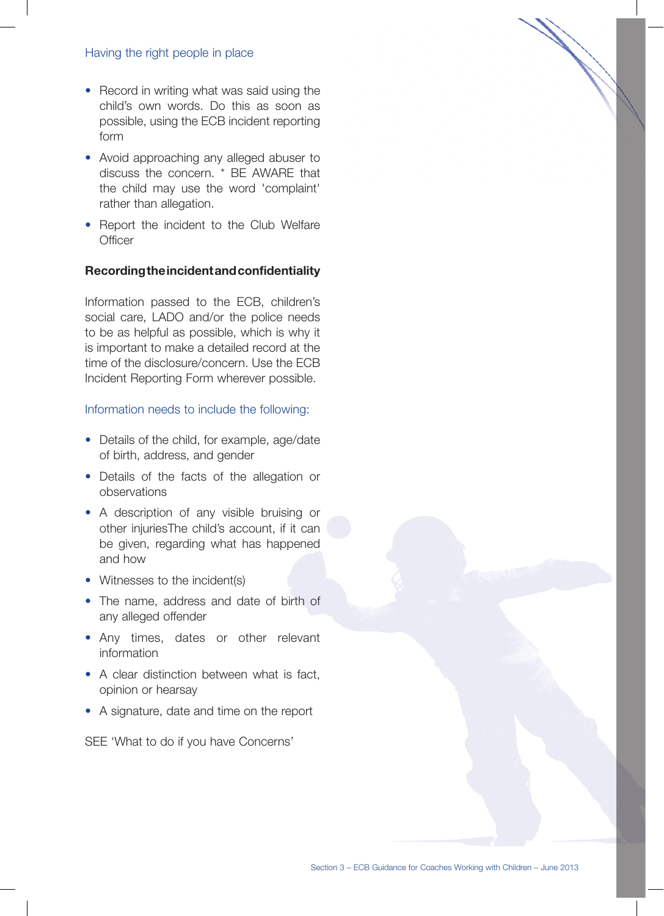- Record in writing what was said using the child's own words. Do this as soon as possible, using the ECB incident reporting form
- Avoid approaching any alleged abuser to discuss the concern. \* BE AWARE that the child may use the word 'complaint' rather than allegation.
- Report the incident to the Club Welfare **Officer**

## **Recording the incident and confidentiality**

Information passed to the ECB, children's social care, LADO and/or the police needs to be as helpful as possible, which is why it is important to make a detailed record at the time of the disclosure/concern. Use the ECB Incident Reporting Form wherever possible.

### Information needs to include the following:

- Details of the child, for example, age/date of birth, address, and gender
- Details of the facts of the allegation or observations
- A description of any visible bruising or other injuriesThe child's account, if it can be given, regarding what has happened and how
- Witnesses to the incident(s)
- The name, address and date of birth of any alleged offender
- Any times, dates or other relevant information
- A clear distinction between what is fact, opinion or hearsay
- A signature, date and time on the report

SEE 'What to do if you have Concerns'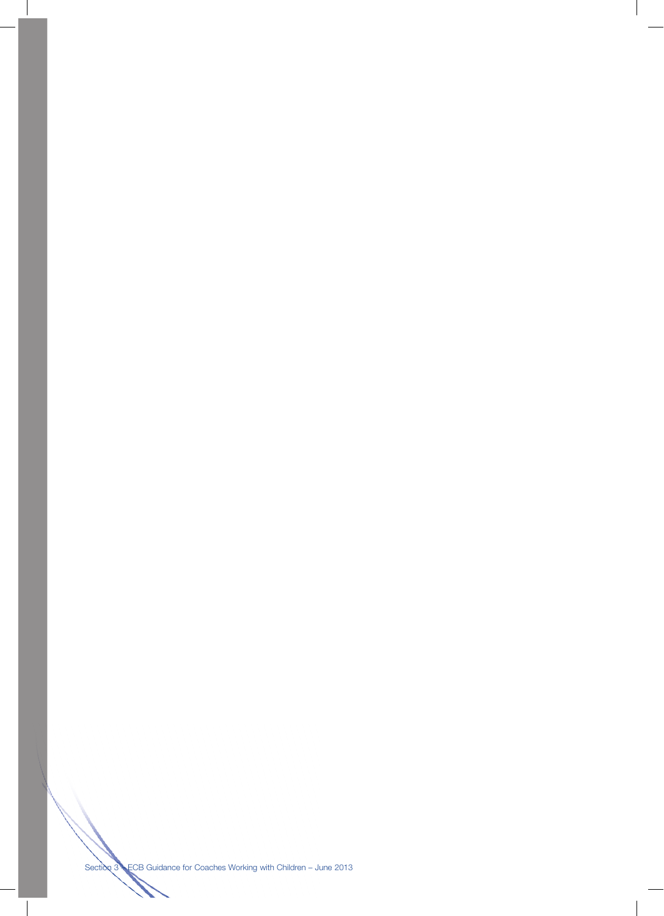Section 3 **ECB Guidance for Coaches Working with Children – June 2013**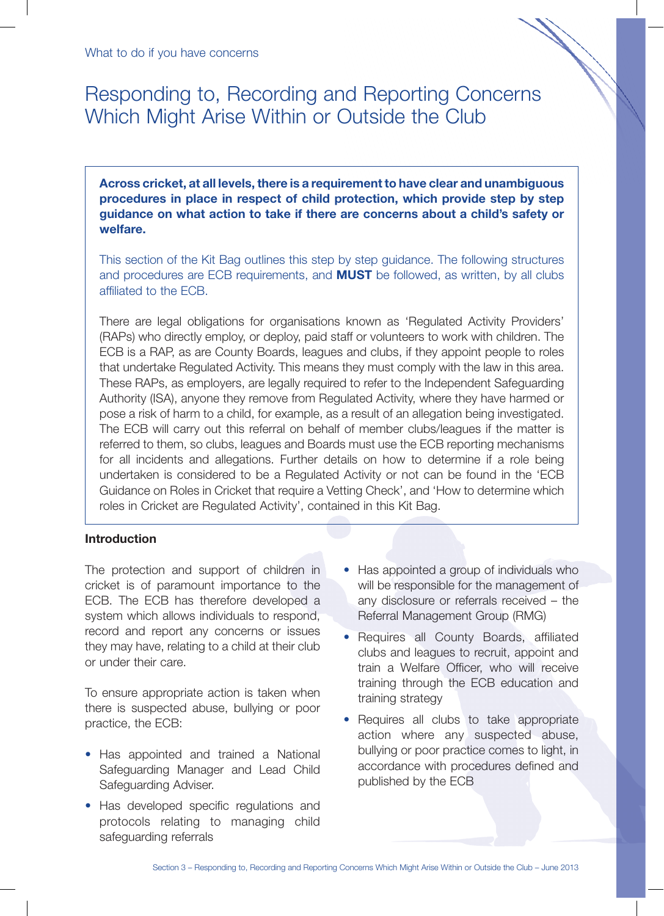# Responding to, Recording and Reporting Concerns Which Might Arise Within or Outside the Club

**Across cricket, at all levels, there is a requirement to have clear and unambiguous procedures in place in respect of child protection, which provide step by step guidance on what action to take if there are concerns about a child's safety or welfare.**

This section of the Kit Bag outlines this step by step guidance. The following structures and procedures are ECB requirements, and **MUST** be followed, as written, by all clubs affiliated to the ECB.

There are legal obligations for organisations known as 'Regulated Activity Providers' (RAPs) who directly employ, or deploy, paid staff or volunteers to work with children. The ECB is a RAP, as are County Boards, leagues and clubs, if they appoint people to roles that undertake Regulated Activity. This means they must comply with the law in this area. These RAPs, as employers, are legally required to refer to the Independent Safeguarding Authority (ISA), anyone they remove from Regulated Activity, where they have harmed or pose a risk of harm to a child, for example, as a result of an allegation being investigated. The ECB will carry out this referral on behalf of member clubs/leagues if the matter is referred to them, so clubs, leagues and Boards must use the ECB reporting mechanisms for all incidents and allegations. Further details on how to determine if a role being undertaken is considered to be a Regulated Activity or not can be found in the 'ECB Guidance on Roles in Cricket that require a Vetting Check', and 'How to determine which roles in Cricket are Regulated Activity', contained in this Kit Bag.

# **Introduction**

The protection and support of children in cricket is of paramount importance to the ECB. The ECB has therefore developed a system which allows individuals to respond, record and report any concerns or issues they may have, relating to a child at their club or under their care.

To ensure appropriate action is taken when there is suspected abuse, bullying or poor practice, the ECB:

- Has appointed and trained a National Safeguarding Manager and Lead Child Safeguarding Adviser.
- Has developed specific regulations and protocols relating to managing child safeguarding referrals
- Has appointed a group of individuals who will be responsible for the management of any disclosure or referrals received – the Referral Management Group (RMG)
- Requires all County Boards, affiliated clubs and leagues to recruit, appoint and train a Welfare Officer, who will receive training through the ECB education and training strategy
- Requires all clubs to take appropriate action where any suspected abuse, bullying or poor practice comes to light, in accordance with procedures defined and published by the ECB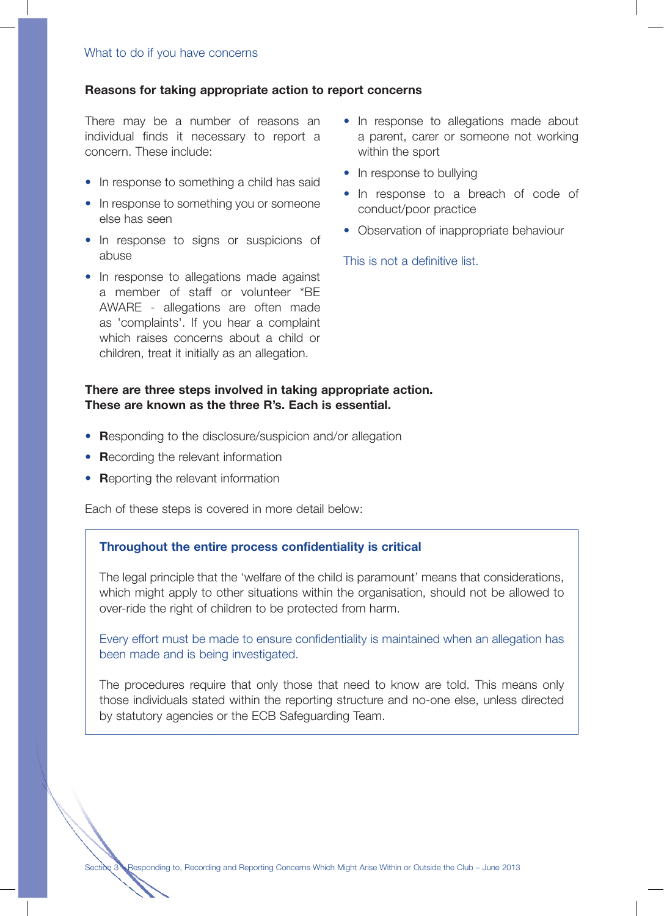#### **Reasons for taking appropriate action to report concerns**

There may be a number of reasons an individual finds it necessary to report a concern. These include:

- In response to something a child has said
- In response to something you or someone else has seen
- In response to signs or suspicions of abuse
- In response to allegations made against a member of staff or volunteer \*BE AWARE - allegations are often made as 'complaints'. If you hear a complaint which raises concerns about a child or children, treat it initially as an allegation.
- In response to allegations made about a parent, carer or someone not working within the sport
- In response to bullying
- In response to a breach of code of conduct/poor practice
- Observation of inappropriate behaviour

This is not a definitive list.

# **There are three steps involved in taking appropriate action. These are known as the three R's. Each is essential.**

- **R**esponding to the disclosure/suspicion and/or allegation
- **R**ecording the relevant information
- **R**eporting the relevant information

Each of these steps is covered in more detail below:

### **Throughout the entire process confidentiality is critical**

The legal principle that the 'welfare of the child is paramount' means that considerations, which might apply to other situations within the organisation, should not be allowed to over-ride the right of children to be protected from harm.

Every effort must be made to ensure confidentiality is maintained when an allegation has been made and is being investigated.

The procedures require that only those that need to know are told. This means only those individuals stated within the reporting structure and no-one else, unless directed by statutory agencies or the ECB Safeguarding Team.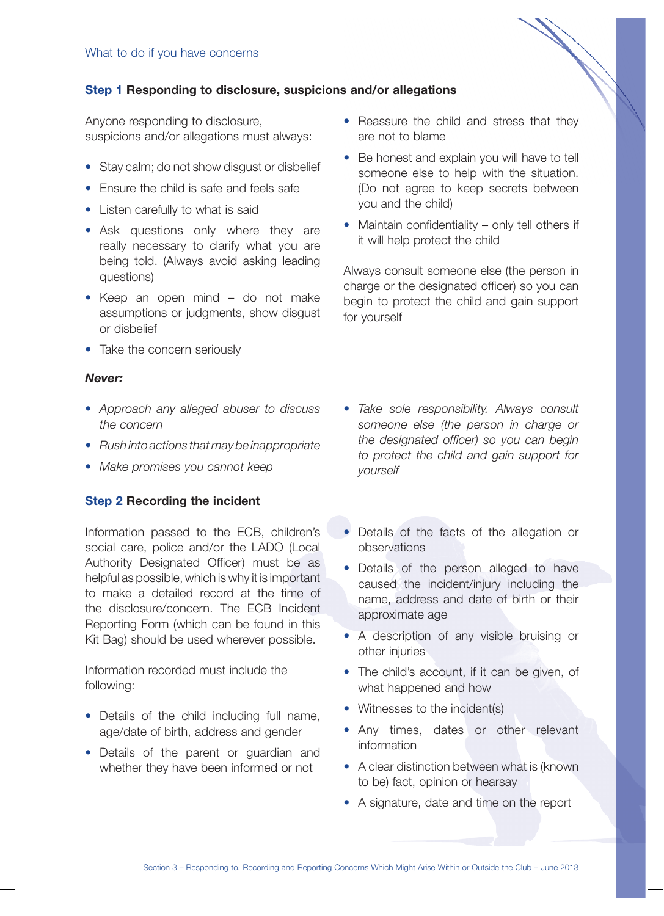# **Step 1 Responding to disclosure, suspicions and/or allegations**

Anyone responding to disclosure, suspicions and/or allegations must always:

- Stay calm; do not show disqust or disbelief
- Ensure the child is safe and feels safe
- Listen carefully to what is said
- Ask questions only where they are really necessary to clarify what you are being told. (Always avoid asking leading questions)
- Keep an open mind do not make assumptions or judgments, show disgust or disbelief
- Take the concern seriously

## *Never:*

- *Approach any alleged abuser to discuss the concern*
- *Rush into actions that may be inappropriate*
- *Make promises you cannot keep*

# **Step 2 Recording the incident**

Information passed to the ECB, children's social care, police and/or the LADO (Local Authority Designated Officer) must be as helpful as possible, which is why it is important to make a detailed record at the time of the disclosure/concern. The ECB Incident Reporting Form (which can be found in this Kit Bag) should be used wherever possible.

Information recorded must include the following:

- Details of the child including full name, age/date of birth, address and gender
- Details of the parent or guardian and whether they have been informed or not
- Reassure the child and stress that they are not to blame
- Be honest and explain you will have to tell someone else to help with the situation. (Do not agree to keep secrets between you and the child)
- Maintain confidentiality only tell others if it will help protect the child

Always consult someone else (the person in charge or the designated officer) so you can begin to protect the child and gain support for yourself

- *Take sole responsibility. Always consult someone else (the person in charge or the designated officer) so you can begin to protect the child and gain support for yourself*
- Details of the facts of the allegation or observations
- Details of the person alleged to have caused the incident/injury including the name, address and date of birth or their approximate age
- A description of any visible bruising or other injuries
- The child's account, if it can be given, of what happened and how
- Witnesses to the incident(s)
- Any times, dates or other relevant information
- A clear distinction between what is (known to be) fact, opinion or hearsay
- A signature, date and time on the report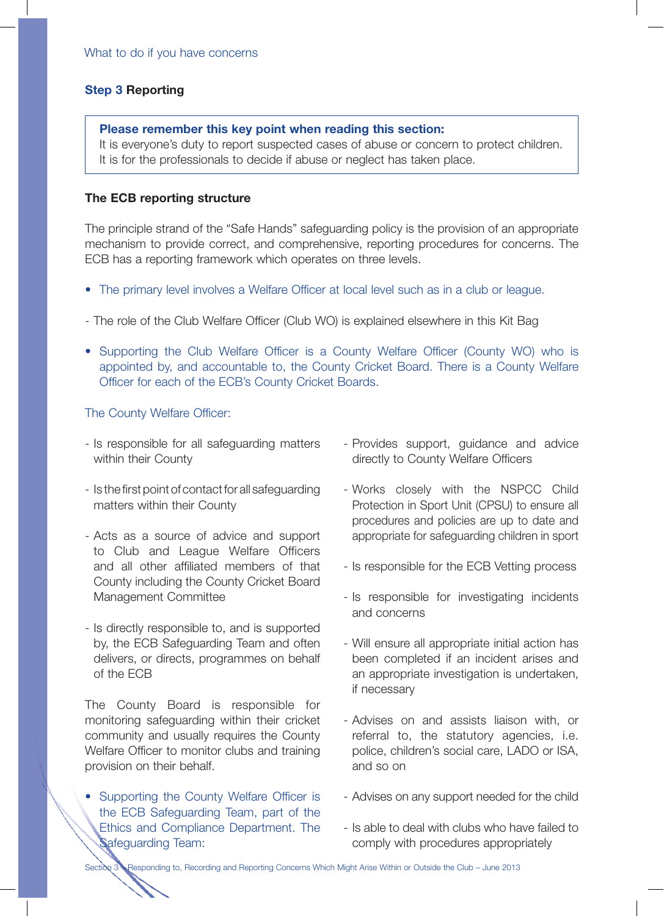# **Step 3 Reporting**

### **Please remember this key point when reading this section:**

It is everyone's duty to report suspected cases of abuse or concern to protect children. It is for the professionals to decide if abuse or neglect has taken place.

### **The ECB reporting structure**

The principle strand of the "Safe Hands" safeguarding policy is the provision of an appropriate mechanism to provide correct, and comprehensive, reporting procedures for concerns. The ECB has a reporting framework which operates on three levels.

- The primary level involves a Welfare Officer at local level such as in a club or league.
- The role of the Club Welfare Officer (Club WO) is explained elsewhere in this Kit Bag
- Supporting the Club Welfare Officer is a County Welfare Officer (County WO) who is appointed by, and accountable to, the County Cricket Board. There is a County Welfare Officer for each of the ECB's County Cricket Boards.

# The County Welfare Officer:

- Is responsible for all safeguarding matters within their County
- Is the first point of contact for all safeguarding matters within their County
- Acts as a source of advice and support to Club and League Welfare Officers and all other affiliated members of that County including the County Cricket Board Management Committee
- Is directly responsible to, and is supported by, the ECB Safeguarding Team and often delivers, or directs, programmes on behalf of the ECB

The County Board is responsible for monitoring safeguarding within their cricket community and usually requires the County Welfare Officer to monitor clubs and training provision on their behalf.

• Supporting the County Welfare Officer is the ECB Safeguarding Team, part of the Ethics and Compliance Department. The Safeguarding Team:

- Provides support, guidance and advice directly to County Welfare Officers
- Works closely with the NSPCC Child Protection in Sport Unit (CPSU) to ensure all procedures and policies are up to date and appropriate for safeguarding children in sport
- Is responsible for the ECB Vetting process
- Is responsible for investigating incidents and concerns
- Will ensure all appropriate initial action has been completed if an incident arises and an appropriate investigation is undertaken, if necessary
- Advises on and assists liaison with, or referral to, the statutory agencies, i.e. police, children's social care, LADO or ISA, and so on
- Advises on any support needed for the child
- Is able to deal with clubs who have failed to comply with procedures appropriately

Section 3 – Responding to, Recording and Reporting Concerns Which Might Arise Within or Outside the Club – June 2013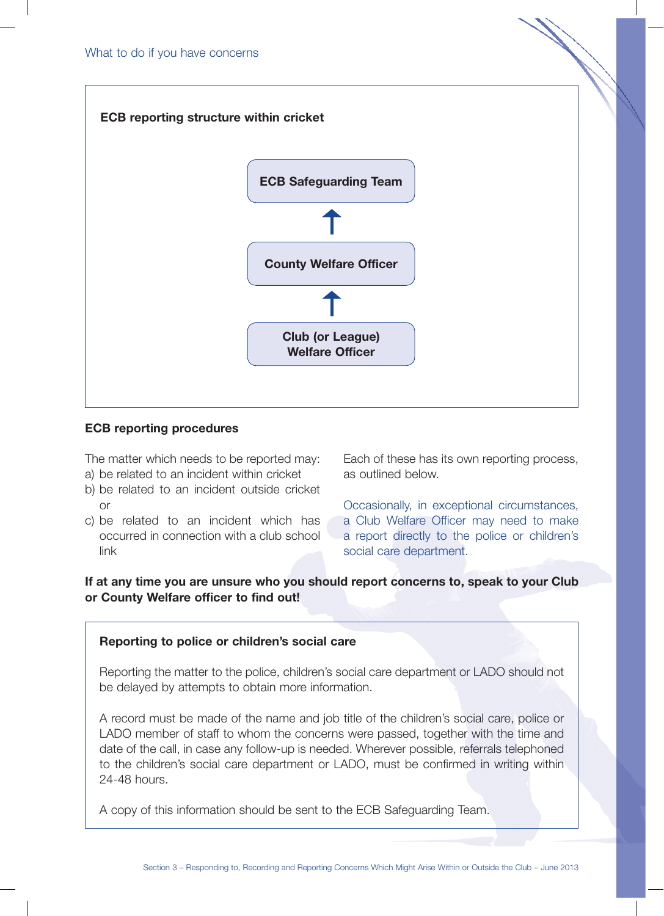

## **ECB reporting procedures**

The matter which needs to be reported may:

- a) be related to an incident within cricket
- b) be related to an incident outside cricket or
- c) be related to an incident which has occurred in connection with a club school link

Each of these has its own reporting process, as outlined below.

Occasionally, in exceptional circumstances, a Club Welfare Officer may need to make a report directly to the police or children's social care department.

# **If at any time you are unsure who you should report concerns to, speak to your Club or County Welfare officer to find out!**

# **Reporting to police or children's social care**

Reporting the matter to the police, children's social care department or LADO should not be delayed by attempts to obtain more information.

A record must be made of the name and job title of the children's social care, police or LADO member of staff to whom the concerns were passed, together with the time and date of the call, in case any follow-up is needed. Wherever possible, referrals telephoned to the children's social care department or LADO, must be confirmed in writing within 24-48 hours.

A copy of this information should be sent to the ECB Safeguarding Team.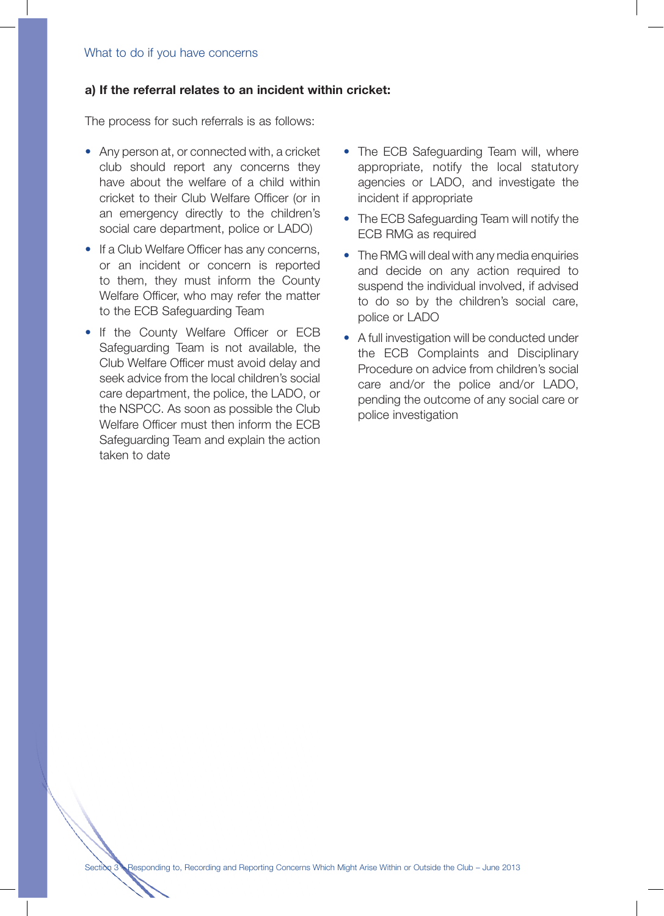#### **a) If the referral relates to an incident within cricket:**

The process for such referrals is as follows:

- Any person at, or connected with, a cricket club should report any concerns they have about the welfare of a child within cricket to their Club Welfare Officer (or in an emergency directly to the children's social care department, police or LADO)
- If a Club Welfare Officer has any concerns, or an incident or concern is reported to them, they must inform the County Welfare Officer, who may refer the matter to the ECB Safeguarding Team
- If the County Welfare Officer or ECB Safeguarding Team is not available, the Club Welfare Officer must avoid delay and seek advice from the local children's social care department, the police, the LADO, or the NSPCC. As soon as possible the Club Welfare Officer must then inform the ECB Safeguarding Team and explain the action taken to date
- The ECB Safeguarding Team will, where appropriate, notify the local statutory agencies or LADO, and investigate the incident if appropriate
- The ECB Safeguarding Team will notify the ECB RMG as required
- The RMG will deal with any media enquiries and decide on any action required to suspend the individual involved, if advised to do so by the children's social care, police or LADO
- A full investigation will be conducted under the ECB Complaints and Disciplinary Procedure on advice from children's social care and/or the police and/or LADO, pending the outcome of any social care or police investigation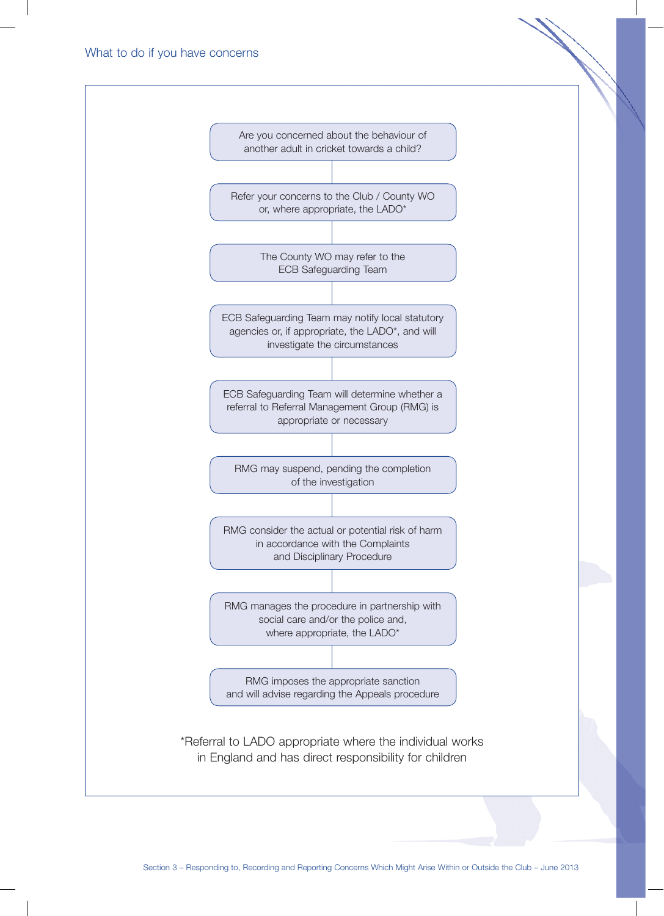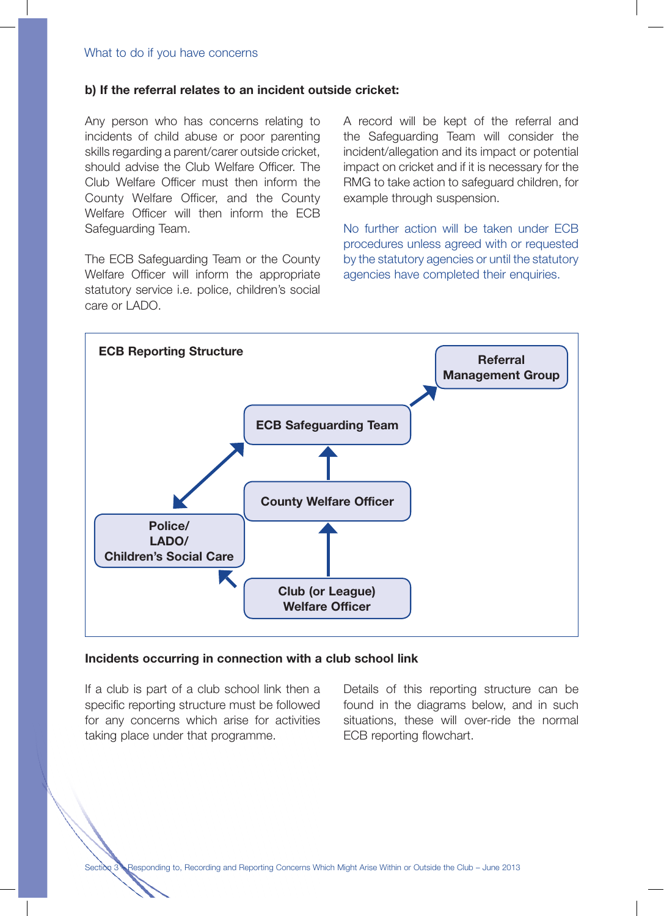#### **b) If the referral relates to an incident outside cricket:**

Any person who has concerns relating to incidents of child abuse or poor parenting skills regarding a parent/carer outside cricket, should advise the Club Welfare Officer. The Club Welfare Officer must then inform the County Welfare Officer, and the County Welfare Officer will then inform the ECB Safeguarding Team.

The ECB Safeguarding Team or the County Welfare Officer will inform the appropriate statutory service i.e. police, children's social care or LADO.

A record will be kept of the referral and the Safeguarding Team will consider the incident/allegation and its impact or potential impact on cricket and if it is necessary for the RMG to take action to safeguard children, for example through suspension.

No further action will be taken under ECB procedures unless agreed with or requested by the statutory agencies or until the statutory agencies have completed their enquiries.



#### **Incidents occurring in connection with a club school link**

If a club is part of a club school link then a specific reporting structure must be followed for any concerns which arise for activities taking place under that programme.

Details of this reporting structure can be found in the diagrams below, and in such situations, these will over-ride the normal ECB reporting flowchart.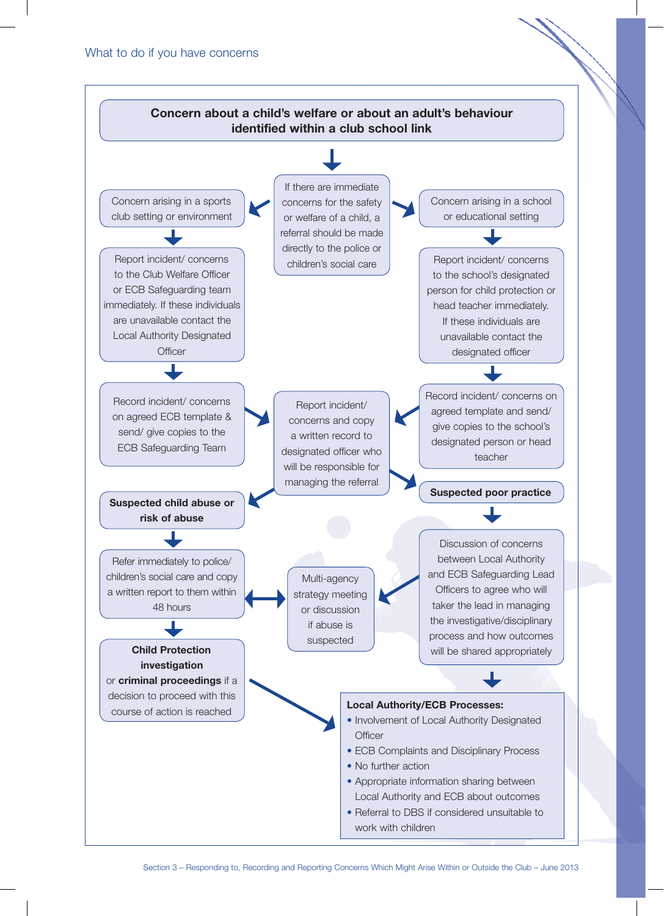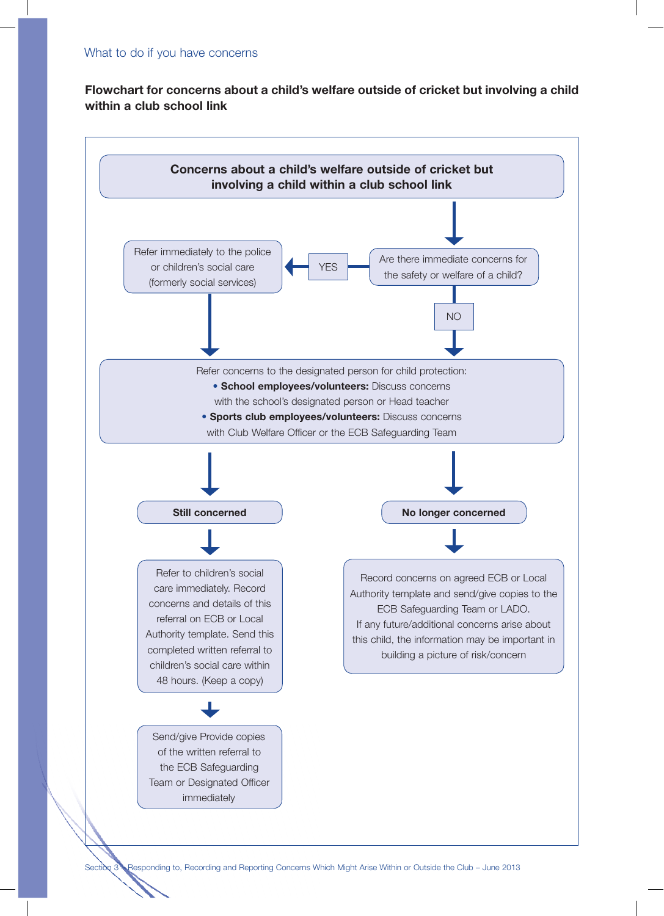#### What to do if you have concerns

**Flowchart for concerns about a child's welfare outside of cricket but involving a child within a club school link**



Section 3 – Responding to, Recording and Reporting Concerns Which Might Arise Within or Outside the Club – June 2013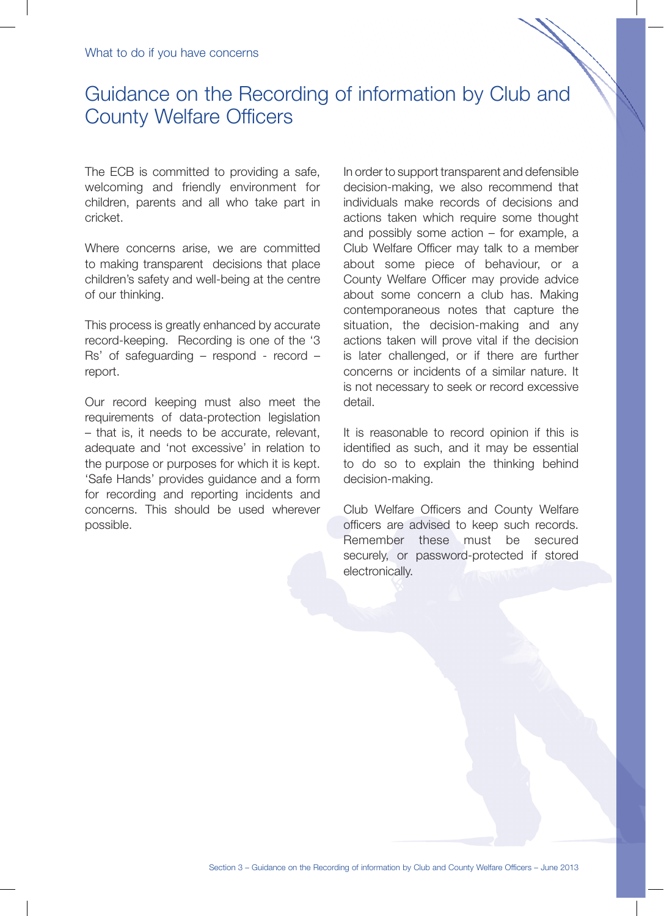# Guidance on the Recording of information by Club and County Welfare Officers

The ECB is committed to providing a safe, welcoming and friendly environment for children, parents and all who take part in cricket.

Where concerns arise, we are committed to making transparent decisions that place children's safety and well-being at the centre of our thinking.

This process is greatly enhanced by accurate record-keeping. Recording is one of the '3 Rs' of safeguarding – respond - record – report.

Our record keeping must also meet the requirements of data-protection legislation – that is, it needs to be accurate, relevant, adequate and 'not excessive' in relation to the purpose or purposes for which it is kept. 'Safe Hands' provides guidance and a form for recording and reporting incidents and concerns. This should be used wherever possible.

In order to support transparent and defensible decision-making, we also recommend that individuals make records of decisions and actions taken which require some thought and possibly some action – for example, a Club Welfare Officer may talk to a member about some piece of behaviour, or a County Welfare Officer may provide advice about some concern a club has. Making contemporaneous notes that capture the situation, the decision-making and any actions taken will prove vital if the decision is later challenged, or if there are further concerns or incidents of a similar nature. It is not necessary to seek or record excessive detail.

It is reasonable to record opinion if this is identified as such, and it may be essential to do so to explain the thinking behind decision-making.

Club Welfare Officers and County Welfare officers are advised to keep such records. Remember these must be secured securely, or password-protected if stored electronically.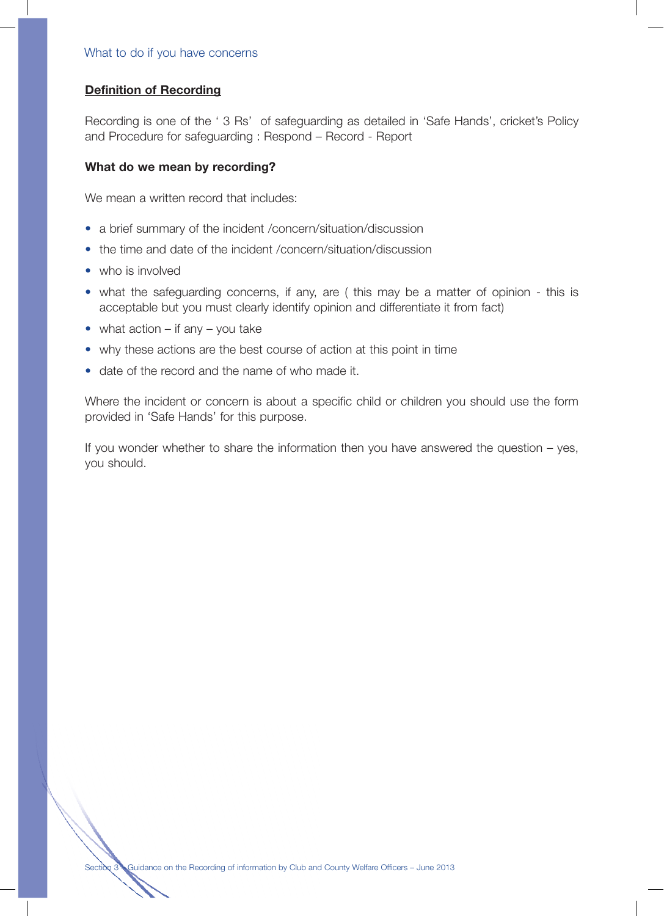# **Definition of Recording**

Recording is one of the ' 3 Rs' of safeguarding as detailed in 'Safe Hands', cricket's Policy and Procedure for safeguarding : Respond – Record - Report

# **What do we mean by recording?**

We mean a written record that includes:

- a brief summary of the incident /concern/situation/discussion
- the time and date of the incident /concern/situation/discussion
- who is involved
- what the safeguarding concerns, if any, are (this may be a matter of opinion this is acceptable but you must clearly identify opinion and differentiate it from fact)
- what action  $-$  if any  $-$  you take
- why these actions are the best course of action at this point in time
- date of the record and the name of who made it.

Where the incident or concern is about a specific child or children you should use the form provided in 'Safe Hands' for this purpose.

If you wonder whether to share the information then you have answered the question – yes, you should.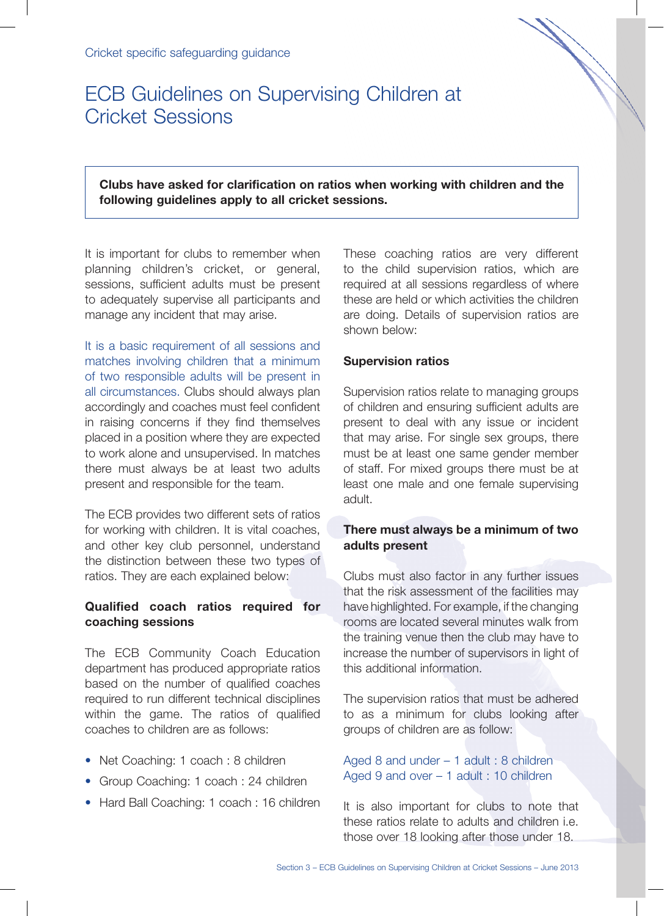# ECB Guidelines on Supervising Children at Cricket Sessions

**Clubs have asked for clarification on ratios when working with children and the following guidelines apply to all cricket sessions.**

It is important for clubs to remember when planning children's cricket, or general, sessions, sufficient adults must be present to adequately supervise all participants and manage any incident that may arise.

It is a basic requirement of all sessions and matches involving children that a minimum of two responsible adults will be present in all circumstances. Clubs should always plan accordingly and coaches must feel confident in raising concerns if they find themselves placed in a position where they are expected to work alone and unsupervised. In matches there must always be at least two adults present and responsible for the team.

The ECB provides two different sets of ratios for working with children. It is vital coaches, and other key club personnel, understand the distinction between these two types of ratios. They are each explained below:

# **Qualified coach ratios required for coaching sessions**

The ECB Community Coach Education department has produced appropriate ratios based on the number of qualified coaches required to run different technical disciplines within the game. The ratios of qualified coaches to children are as follows:

- Net Coaching: 1 coach : 8 children
- Group Coaching: 1 coach : 24 children
- Hard Ball Coaching: 1 coach: 16 children

These coaching ratios are very different to the child supervision ratios, which are required at all sessions regardless of where these are held or which activities the children are doing. Details of supervision ratios are shown below:

# **Supervision ratios**

Supervision ratios relate to managing groups of children and ensuring sufficient adults are present to deal with any issue or incident that may arise. For single sex groups, there must be at least one same gender member of staff. For mixed groups there must be at least one male and one female supervising adult.

# **There must always be a minimum of two adults present**

Clubs must also factor in any further issues that the risk assessment of the facilities may have highlighted. For example, if the changing rooms are located several minutes walk from the training venue then the club may have to increase the number of supervisors in light of this additional information.

The supervision ratios that must be adhered to as a minimum for clubs looking after groups of children are as follow:

Aged 8 and under – 1 adult : 8 children Aged 9 and over – 1 adult : 10 children

It is also important for clubs to note that these ratios relate to adults and children i.e. those over 18 looking after those under 18.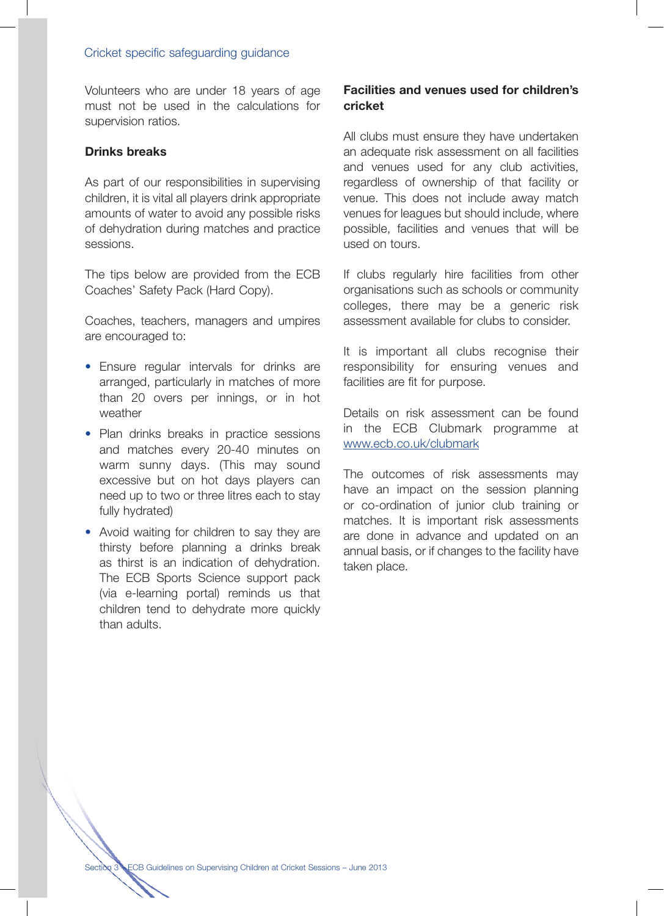Volunteers who are under 18 years of age must not be used in the calculations for supervision ratios.

# **Drinks breaks**

As part of our responsibilities in supervising children, it is vital all players drink appropriate amounts of water to avoid any possible risks of dehydration during matches and practice sessions.

The tips below are provided from the ECB Coaches' Safety Pack (Hard Copy).

Coaches, teachers, managers and umpires are encouraged to:

- Ensure regular intervals for drinks are arranged, particularly in matches of more than 20 overs per innings, or in hot weather
- Plan drinks breaks in practice sessions and matches every 20-40 minutes on warm sunny days. (This may sound excessive but on hot days players can need up to two or three litres each to stay fully hydrated)
- Avoid waiting for children to say they are thirsty before planning a drinks break as thirst is an indication of dehydration. The ECB Sports Science support pack (via e-learning portal) reminds us that children tend to dehydrate more quickly than adults.

# **Facilities and venues used for children's cricket**

All clubs must ensure they have undertaken an adequate risk assessment on all facilities and venues used for any club activities, regardless of ownership of that facility or venue. This does not include away match venues for leagues but should include, where possible, facilities and venues that will be used on tours.

If clubs regularly hire facilities from other organisations such as schools or community colleges, there may be a generic risk assessment available for clubs to consider.

It is important all clubs recognise their responsibility for ensuring venues and facilities are fit for purpose.

Details on risk assessment can be found in the ECB Clubmark programme at www.ecb.co.uk/clubmark

The outcomes of risk assessments may have an impact on the session planning or co-ordination of junior club training or matches. It is important risk assessments are done in advance and updated on an annual basis, or if changes to the facility have taken place.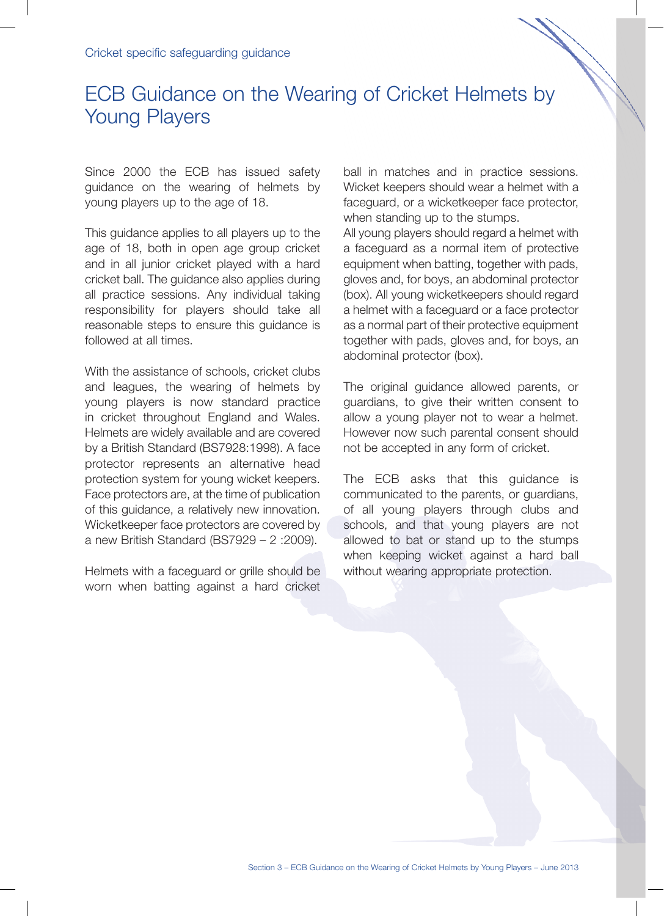# ECB Guidance on the Wearing of Cricket Helmets by Young Players

Since 2000 the ECB has issued safety guidance on the wearing of helmets by young players up to the age of 18.

This guidance applies to all players up to the age of 18, both in open age group cricket and in all junior cricket played with a hard cricket ball. The guidance also applies during all practice sessions. Any individual taking responsibility for players should take all reasonable steps to ensure this guidance is followed at all times.

With the assistance of schools, cricket clubs and leagues, the wearing of helmets by young players is now standard practice in cricket throughout England and Wales. Helmets are widely available and are covered by a British Standard (BS7928:1998). A face protector represents an alternative head protection system for young wicket keepers. Face protectors are, at the time of publication of this guidance, a relatively new innovation. Wicketkeeper face protectors are covered by a new British Standard (BS7929 – 2 :2009).

Helmets with a faceguard or grille should be worn when batting against a hard cricket

ball in matches and in practice sessions. Wicket keepers should wear a helmet with a faceguard, or a wicketkeeper face protector, when standing up to the stumps.

All young players should regard a helmet with a faceguard as a normal item of protective equipment when batting, together with pads, gloves and, for boys, an abdominal protector (box). All young wicketkeepers should regard a helmet with a faceguard or a face protector as a normal part of their protective equipment together with pads, gloves and, for boys, an abdominal protector (box).

The original guidance allowed parents, or guardians, to give their written consent to allow a young player not to wear a helmet. However now such parental consent should not be accepted in any form of cricket.

The ECB asks that this guidance is communicated to the parents, or guardians, of all young players through clubs and schools, and that young players are not allowed to bat or stand up to the stumps when keeping wicket against a hard ball without wearing appropriate protection.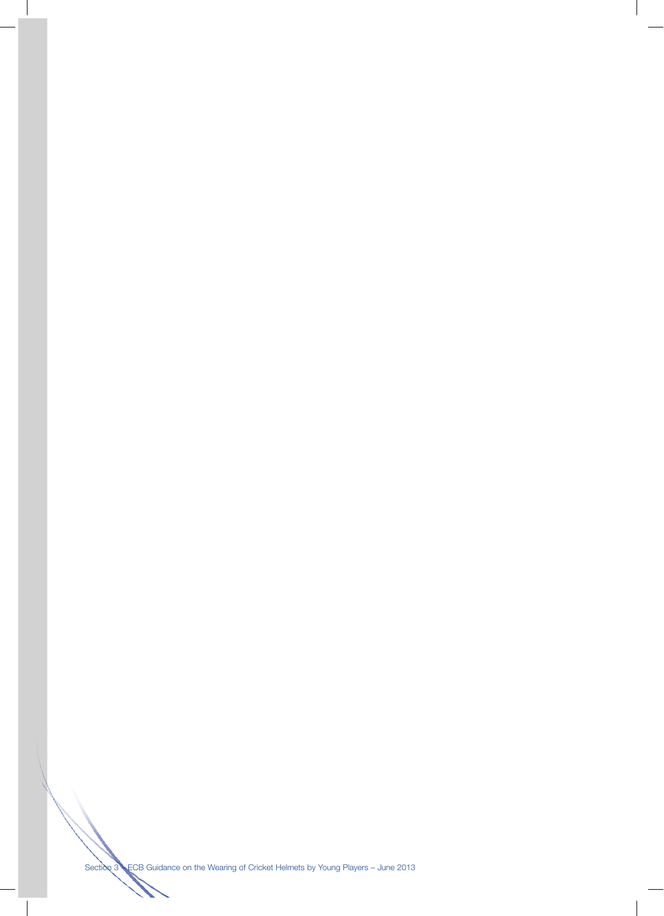Section 3 ECB Guidance on the Wearing of Cricket Helmets by Young Players – June 2013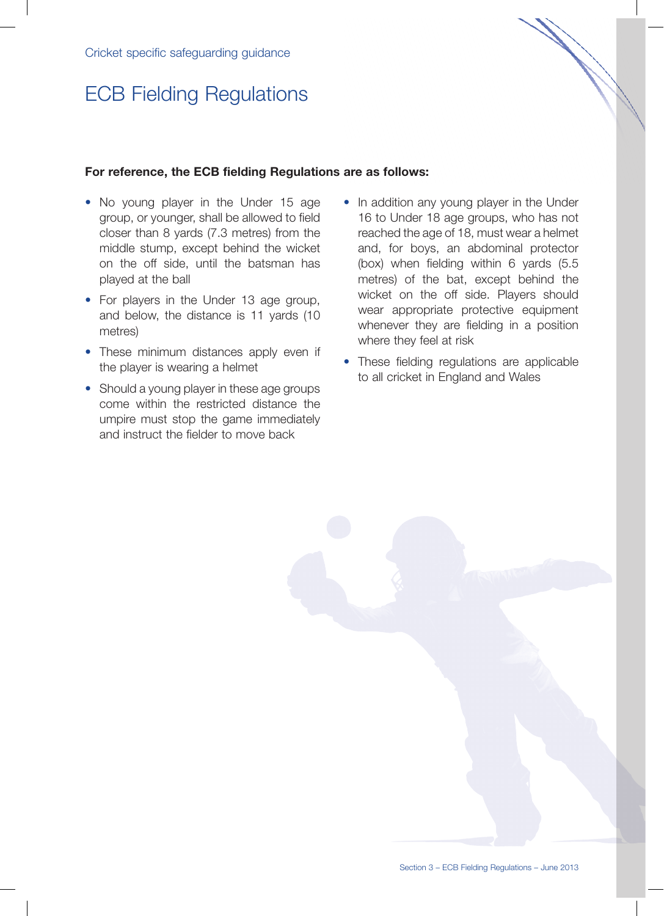# ECB Fielding Regulations

## **For reference, the ECB fielding Regulations are as follows:**

- No young player in the Under 15 age group, or younger, shall be allowed to field closer than 8 yards (7.3 metres) from the middle stump, except behind the wicket on the off side, until the batsman has played at the ball
- For players in the Under 13 age group, and below, the distance is 11 yards (10 metres)
- These minimum distances apply even if the player is wearing a helmet
- Should a young player in these age groups come within the restricted distance the umpire must stop the game immediately and instruct the fielder to move back
- In addition any young player in the Under 16 to Under 18 age groups, who has not reached the age of 18, must wear a helmet and, for boys, an abdominal protector (box) when fielding within 6 yards (5.5 metres) of the bat, except behind the wicket on the off side. Players should wear appropriate protective equipment whenever they are fielding in a position where they feel at risk
- These fielding regulations are applicable to all cricket in England and Wales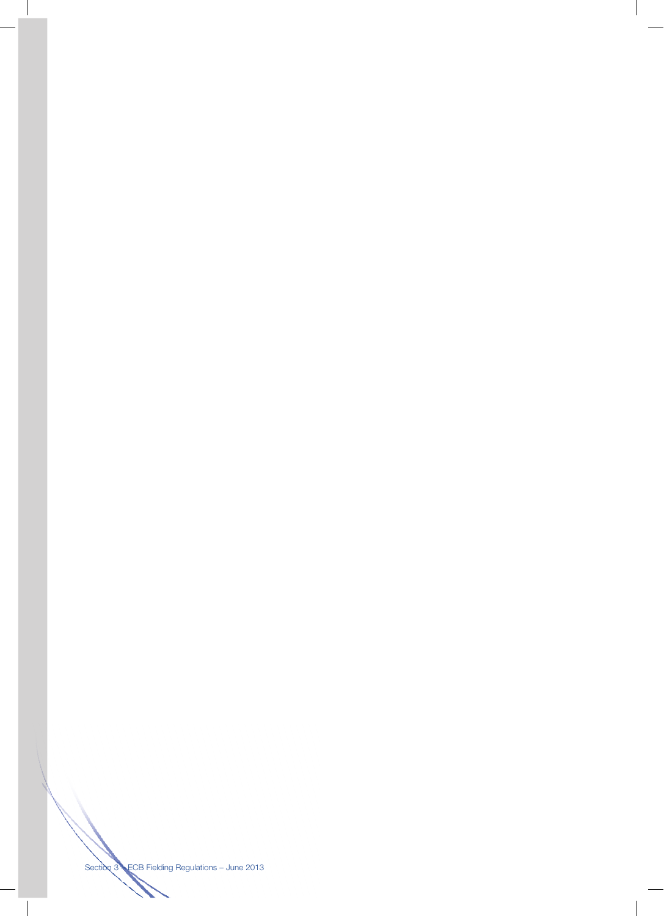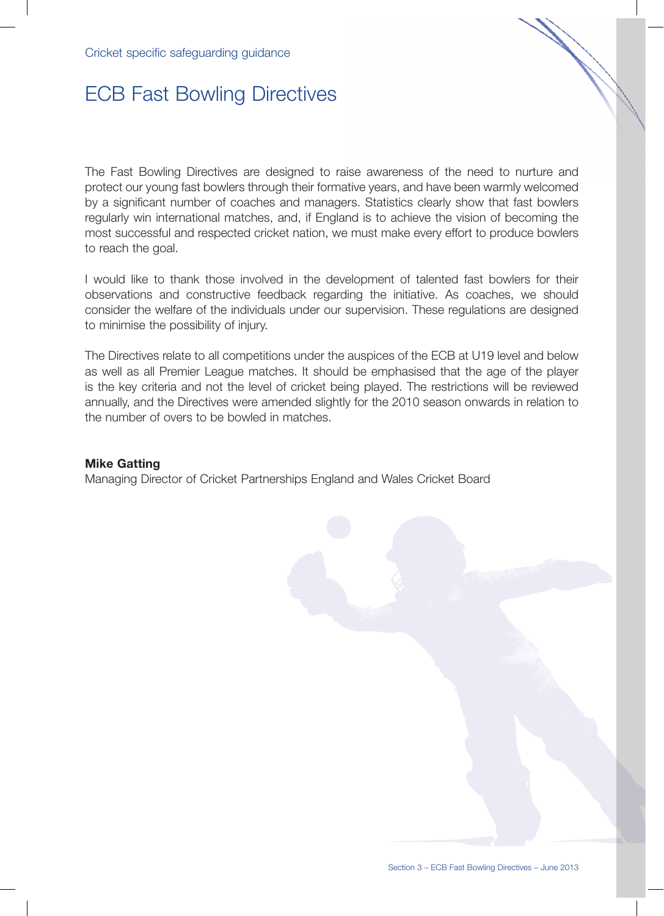# ECB Fast Bowling Directives

The Fast Bowling Directives are designed to raise awareness of the need to nurture and protect our young fast bowlers through their formative years, and have been warmly welcomed by a significant number of coaches and managers. Statistics clearly show that fast bowlers regularly win international matches, and, if England is to achieve the vision of becoming the most successful and respected cricket nation, we must make every effort to produce bowlers to reach the goal.

I would like to thank those involved in the development of talented fast bowlers for their observations and constructive feedback regarding the initiative. As coaches, we should consider the welfare of the individuals under our supervision. These regulations are designed to minimise the possibility of injury.

The Directives relate to all competitions under the auspices of the ECB at U19 level and below as well as all Premier League matches. It should be emphasised that the age of the player is the key criteria and not the level of cricket being played. The restrictions will be reviewed annually, and the Directives were amended slightly for the 2010 season onwards in relation to the number of overs to be bowled in matches.

# **Mike Gatting**

Managing Director of Cricket Partnerships England and Wales Cricket Board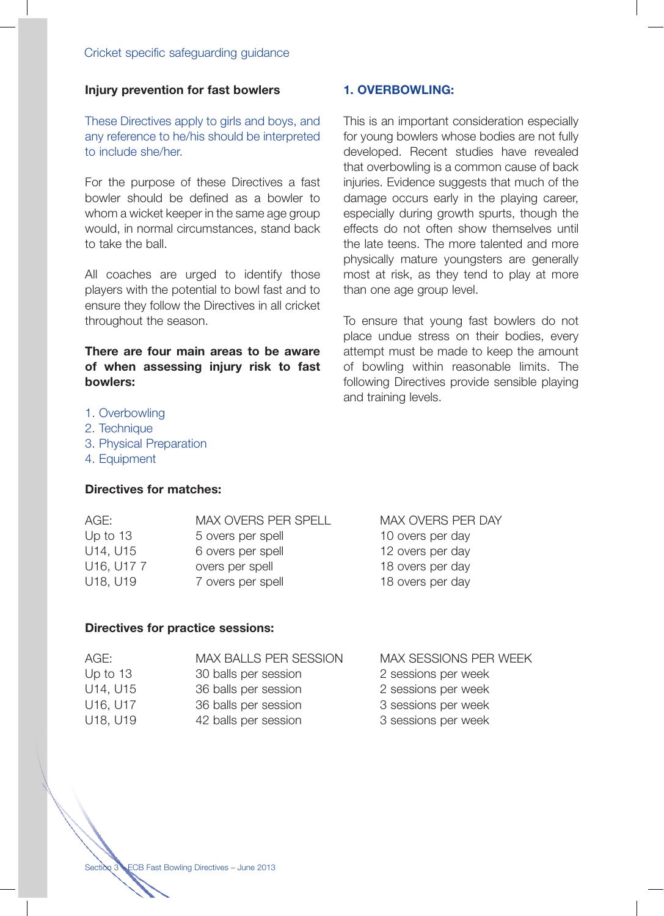#### **Injury prevention for fast bowlers**

These Directives apply to girls and boys, and any reference to he/his should be interpreted to include she/her.

For the purpose of these Directives a fast bowler should be defined as a bowler to whom a wicket keeper in the same age group would, in normal circumstances, stand back to take the ball.

All coaches are urged to identify those players with the potential to bowl fast and to ensure they follow the Directives in all cricket throughout the season.

**There are four main areas to be aware of when assessing injury risk to fast bowlers:**

- 1. Overbowling
- 2. Technique
- 3. Physical Preparation
- 4. Equipment

#### **Directives for matches:**

| AGE:       | <b>MAX OVERS PER SPELL</b> | MAX OVERS PER DAY |
|------------|----------------------------|-------------------|
| Up to $13$ | 5 overs per spell          | 10 overs per day  |
| U14, U15   | 6 overs per spell          | 12 overs per day  |
| U16, U17 7 | overs per spell            | 18 overs per day  |
| U18, U19   | 7 overs per spell          | 18 overs per day  |
|            |                            |                   |

#### **Directives for practice sessions:**

| AGE:                              | <b>MAX BALLS PER SESSION</b> | MAX SESSIONS PER WEEK |
|-----------------------------------|------------------------------|-----------------------|
| Up to $13$                        | 30 balls per session         | 2 sessions per week   |
| U14, U15                          | 36 balls per session         | 2 sessions per week   |
| U <sub>16</sub> , U <sub>17</sub> | 36 balls per session         | 3 sessions per week   |
| U18, U19                          | 42 balls per session         | 3 sessions per week   |

# **1. OVERBOWLING:**

This is an important consideration especially for young bowlers whose bodies are not fully developed. Recent studies have revealed that overbowling is a common cause of back injuries. Evidence suggests that much of the damage occurs early in the playing career, especially during growth spurts, though the effects do not often show themselves until the late teens. The more talented and more physically mature youngsters are generally most at risk, as they tend to play at more than one age group level.

To ensure that young fast bowlers do not place undue stress on their bodies, every attempt must be made to keep the amount of bowling within reasonable limits. The following Directives provide sensible playing and training levels.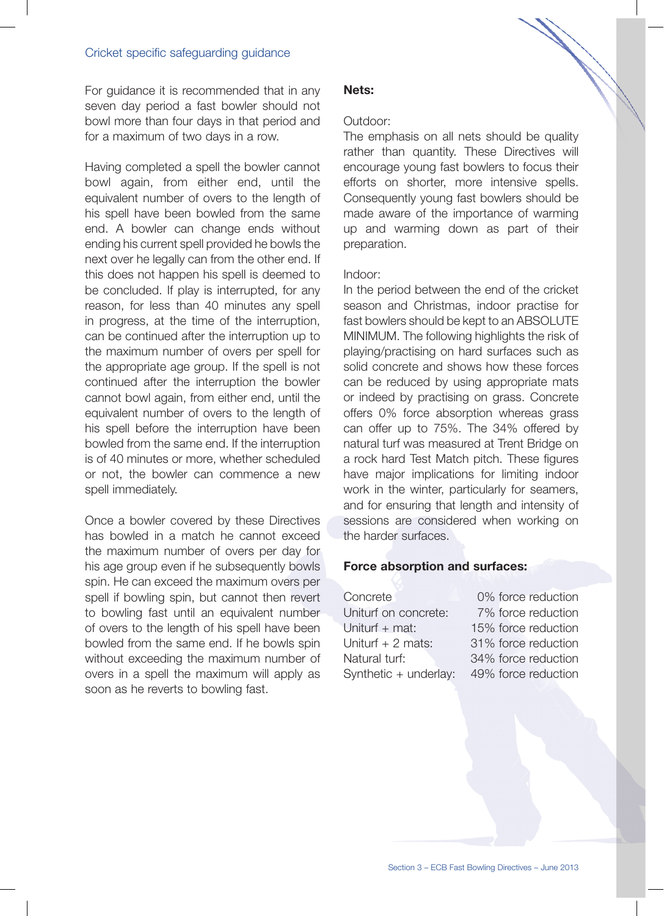## Cricket specific safeguarding guidance

For guidance it is recommended that in any seven day period a fast bowler should not bowl more than four days in that period and for a maximum of two days in a row.

Having completed a spell the bowler cannot bowl again, from either end, until the equivalent number of overs to the length of his spell have been bowled from the same end. A bowler can change ends without ending his current spell provided he bowls the next over he legally can from the other end. If this does not happen his spell is deemed to be concluded. If play is interrupted, for any reason, for less than 40 minutes any spell in progress, at the time of the interruption, can be continued after the interruption up to the maximum number of overs per spell for the appropriate age group. If the spell is not continued after the interruption the bowler cannot bowl again, from either end, until the equivalent number of overs to the length of his spell before the interruption have been bowled from the same end. If the interruption is of 40 minutes or more, whether scheduled or not, the bowler can commence a new spell immediately.

Once a bowler covered by these Directives has bowled in a match he cannot exceed the maximum number of overs per day for his age group even if he subsequently bowls spin. He can exceed the maximum overs per spell if bowling spin, but cannot then revert to bowling fast until an equivalent number of overs to the length of his spell have been bowled from the same end. If he bowls spin without exceeding the maximum number of overs in a spell the maximum will apply as soon as he reverts to bowling fast.

## **Nets:**

#### Outdoor:

The emphasis on all nets should be quality rather than quantity. These Directives will encourage young fast bowlers to focus their efforts on shorter, more intensive spells. Consequently young fast bowlers should be made aware of the importance of warming up and warming down as part of their preparation.

#### Indoor:

In the period between the end of the cricket season and Christmas, indoor practise for fast bowlers should be kept to an ABSOLUTE MINIMUM. The following highlights the risk of playing/practising on hard surfaces such as solid concrete and shows how these forces can be reduced by using appropriate mats or indeed by practising on grass. Concrete offers 0% force absorption whereas grass can offer up to 75%. The 34% offered by natural turf was measured at Trent Bridge on a rock hard Test Match pitch. These figures have major implications for limiting indoor work in the winter, particularly for seamers, and for ensuring that length and intensity of sessions are considered when working on the harder surfaces.

# **Force absorption and surfaces:**

| Concrete              |   |
|-----------------------|---|
| Uniturf on concrete:  |   |
| Uniturf + mat:        | 1 |
| Uniturf + 2 mats:     | G |
| Natural turf:         | G |
| Synthetic + underlay: | 4 |

0% force reduction 7% force reduction 5% force reduction 1% force reduction 34% force reduction 9% force reduction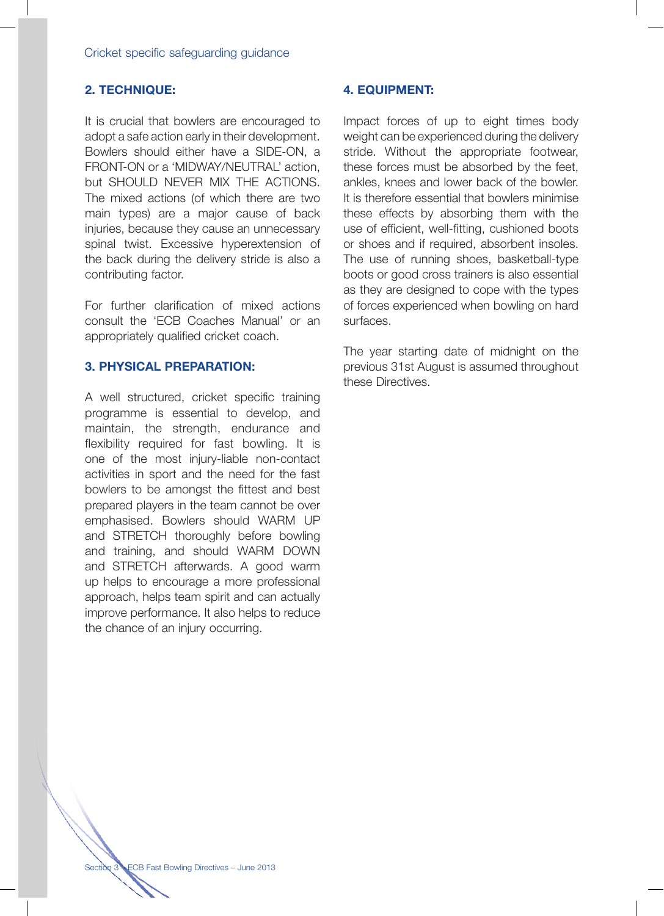# **2. TECHNIQUE:**

It is crucial that bowlers are encouraged to adopt a safe action early in their development. Bowlers should either have a SIDE-ON, a FRONT-ON or a 'MIDWAY/NEUTRAL' action, but SHOULD NEVER MIX THE ACTIONS. The mixed actions (of which there are two main types) are a major cause of back injuries, because they cause an unnecessary spinal twist. Excessive hyperextension of the back during the delivery stride is also a contributing factor.

For further clarification of mixed actions consult the 'ECB Coaches Manual' or an appropriately qualified cricket coach.

#### **3. PHYSICAL PREPARATION:**

A well structured, cricket specific training programme is essential to develop, and maintain, the strength, endurance and flexibility required for fast bowling. It is one of the most injury-liable non-contact activities in sport and the need for the fast bowlers to be amongst the fittest and best prepared players in the team cannot be over emphasised. Bowlers should WARM UP and STRETCH thoroughly before bowling and training, and should WARM DOWN and STRETCH afterwards. A good warm up helps to encourage a more professional approach, helps team spirit and can actually improve performance. It also helps to reduce the chance of an injury occurring.

### **4. EQUIPMENT:**

Impact forces of up to eight times body weight can be experienced during the delivery stride. Without the appropriate footwear, these forces must be absorbed by the feet, ankles, knees and lower back of the bowler. It is therefore essential that bowlers minimise these effects by absorbing them with the use of efficient, well-fitting, cushioned boots or shoes and if required, absorbent insoles. The use of running shoes, basketball-type boots or good cross trainers is also essential as they are designed to cope with the types of forces experienced when bowling on hard surfaces.

The year starting date of midnight on the previous 31st August is assumed throughout these Directives.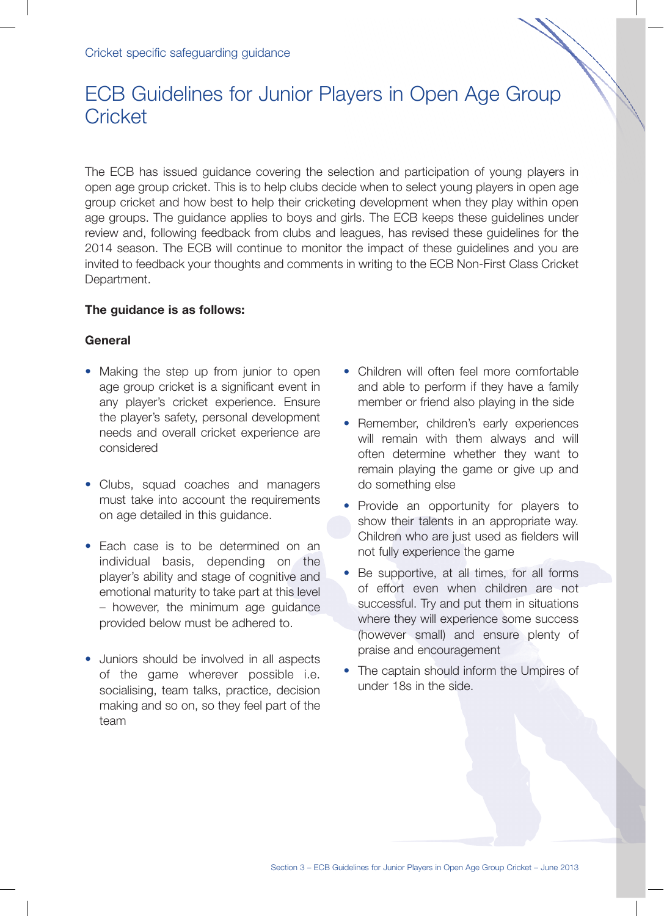# ECB Guidelines for Junior Players in Open Age Group **Cricket**

The ECB has issued guidance covering the selection and participation of young players in open age group cricket. This is to help clubs decide when to select young players in open age group cricket and how best to help their cricketing development when they play within open age groups. The guidance applies to boys and girls. The ECB keeps these guidelines under review and, following feedback from clubs and leagues, has revised these guidelines for the 2014 season. The ECB will continue to monitor the impact of these guidelines and you are invited to feedback your thoughts and comments in writing to the ECB Non-First Class Cricket Department.

#### **The guidance is as follows:**

# **General**

- Making the step up from junior to open age group cricket is a significant event in any player's cricket experience. Ensure the player's safety, personal development needs and overall cricket experience are considered
- Clubs, squad coaches and managers must take into account the requirements on age detailed in this guidance.
- Each case is to be determined on an individual basis, depending on the player's ability and stage of cognitive and emotional maturity to take part at this level – however, the minimum age guidance provided below must be adhered to.
- Juniors should be involved in all aspects of the game wherever possible i.e. socialising, team talks, practice, decision making and so on, so they feel part of the team
- Children will often feel more comfortable and able to perform if they have a family member or friend also playing in the side
- Remember, children's early experiences will remain with them always and will often determine whether they want to remain playing the game or give up and do something else
- Provide an opportunity for players to show their talents in an appropriate way. Children who are just used as fielders will not fully experience the game
- Be supportive, at all times, for all forms of effort even when children are not successful. Try and put them in situations where they will experience some success (however small) and ensure plenty of praise and encouragement
- The captain should inform the Umpires of under 18s in the side.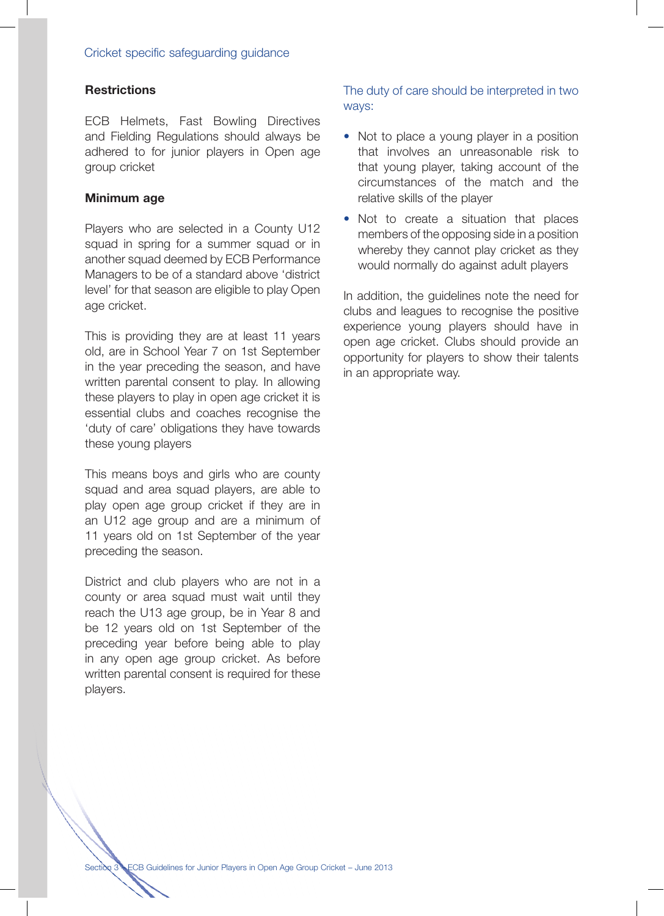# **Restrictions**

ECB Helmets, Fast Bowling Directives and Fielding Regulations should always be adhered to for junior players in Open age group cricket

# **Minimum age**

Players who are selected in a County U12 squad in spring for a summer squad or in another squad deemed by ECB Performance Managers to be of a standard above 'district level' for that season are eligible to play Open age cricket.

This is providing they are at least 11 years old, are in School Year 7 on 1st September in the year preceding the season, and have written parental consent to play. In allowing these players to play in open age cricket it is essential clubs and coaches recognise the 'duty of care' obligations they have towards these young players

This means boys and girls who are county squad and area squad players, are able to play open age group cricket if they are in an U12 age group and are a minimum of 11 years old on 1st September of the year preceding the season.

District and club players who are not in a county or area squad must wait until they reach the U13 age group, be in Year 8 and be 12 years old on 1st September of the preceding year before being able to play in any open age group cricket. As before written parental consent is required for these players.

# The duty of care should be interpreted in two ways:

- Not to place a young player in a position that involves an unreasonable risk to that young player, taking account of the circumstances of the match and the relative skills of the player
- Not to create a situation that places members of the opposing side in a position whereby they cannot play cricket as they would normally do against adult players

In addition, the guidelines note the need for clubs and leagues to recognise the positive experience young players should have in open age cricket. Clubs should provide an opportunity for players to show their talents in an appropriate way.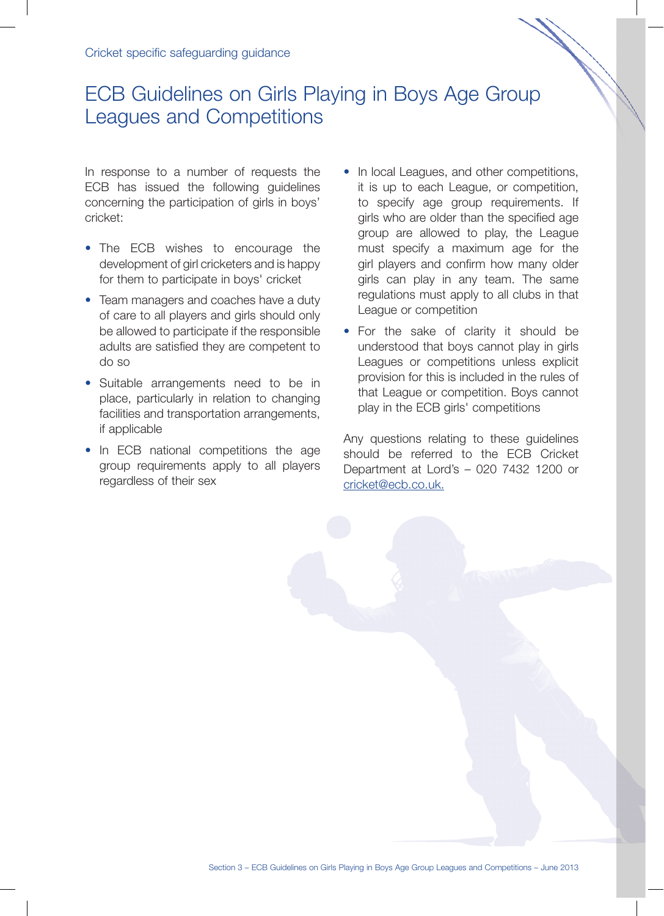# ECB Guidelines on Girls Playing in Boys Age Group Leagues and Competitions

In response to a number of requests the ECB has issued the following guidelines concerning the participation of girls in boys' cricket:

- The ECB wishes to encourage the development of girl cricketers and is happy for them to participate in boys' cricket
- Team managers and coaches have a duty of care to all players and girls should only be allowed to participate if the responsible adults are satisfied they are competent to do so
- Suitable arrangements need to be in place, particularly in relation to changing facilities and transportation arrangements, if applicable
- In ECB national competitions the age group requirements apply to all players regardless of their sex
- In local Leagues, and other competitions, it is up to each League, or competition, to specify age group requirements. If girls who are older than the specified age group are allowed to play, the League must specify a maximum age for the girl players and confirm how many older girls can play in any team. The same regulations must apply to all clubs in that League or competition
- For the sake of clarity it should be understood that boys cannot play in girls Leagues or competitions unless explicit provision for this is included in the rules of that League or competition. Boys cannot play in the ECB girls' competitions

Any questions relating to these guidelines should be referred to the ECB Cricket Department at Lord's – 020 7432 1200 or cricket@ecb.co.uk.